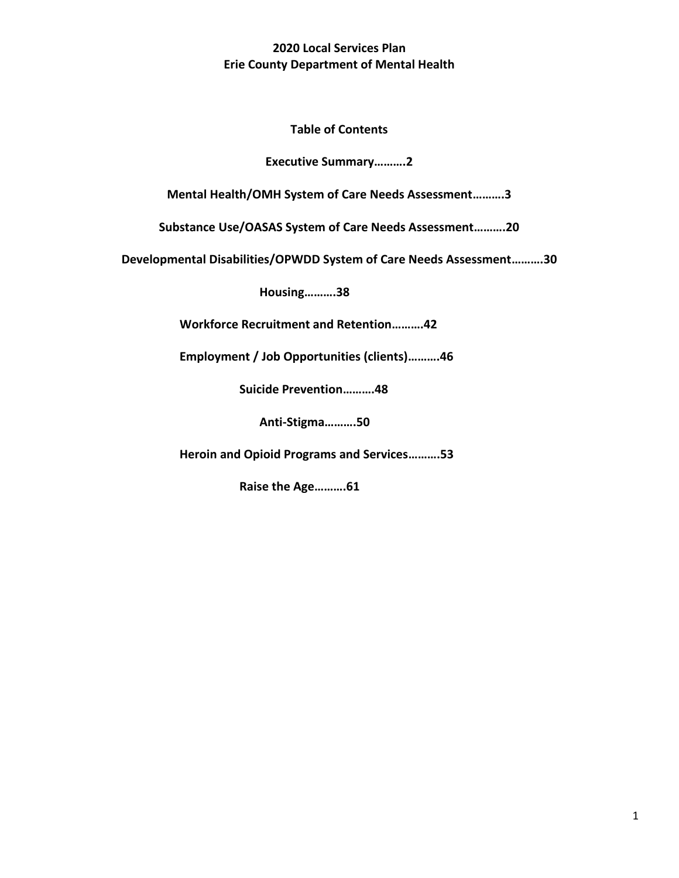**2020 Local Services Plan Erie County Department of Mental Health**

**Table of Contents**

**Executive Summary……….2**

**Mental Health/OMH System of Care Needs Assessment……….3**

**Substance Use/OASAS System of Care Needs Assessment……….20**

**Developmental Disabilities/OPWDD System of Care Needs Assessment……….30**

**Housing……….38**

**Workforce Recruitment and Retention……….42**

**Employment / Job Opportunities (clients)……….46**

**Suicide Prevention……….48**

**Anti-Stigma……….50**

**Heroin and Opioid Programs and Services……….53**

**Raise the Age……….61**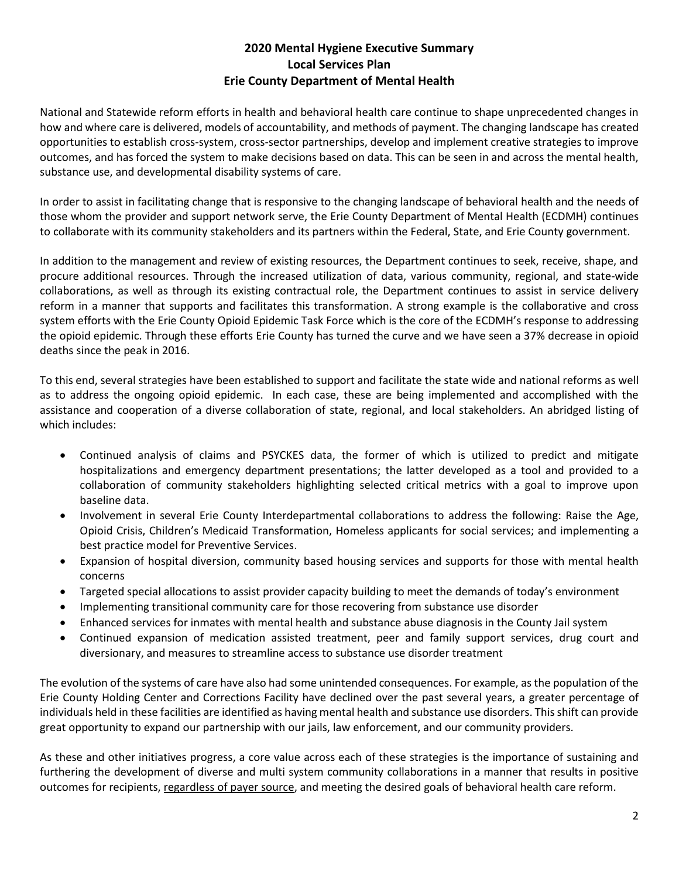## **2020 Mental Hygiene Executive Summary Local Services Plan Erie County Department of Mental Health**

National and Statewide reform efforts in health and behavioral health care continue to shape unprecedented changes in how and where care is delivered, models of accountability, and methods of payment. The changing landscape has created opportunities to establish cross-system, cross-sector partnerships, develop and implement creative strategies to improve outcomes, and has forced the system to make decisions based on data. This can be seen in and across the mental health, substance use, and developmental disability systems of care.

In order to assist in facilitating change that is responsive to the changing landscape of behavioral health and the needs of those whom the provider and support network serve, the Erie County Department of Mental Health (ECDMH) continues to collaborate with its community stakeholders and its partners within the Federal, State, and Erie County government.

In addition to the management and review of existing resources, the Department continues to seek, receive, shape, and procure additional resources. Through the increased utilization of data, various community, regional, and state-wide collaborations, as well as through its existing contractual role, the Department continues to assist in service delivery reform in a manner that supports and facilitates this transformation. A strong example is the collaborative and cross system efforts with the Erie County Opioid Epidemic Task Force which is the core of the ECDMH's response to addressing the opioid epidemic. Through these efforts Erie County has turned the curve and we have seen a 37% decrease in opioid deaths since the peak in 2016.

To this end, several strategies have been established to support and facilitate the state wide and national reforms as well as to address the ongoing opioid epidemic. In each case, these are being implemented and accomplished with the assistance and cooperation of a diverse collaboration of state, regional, and local stakeholders. An abridged listing of which includes:

- Continued analysis of claims and PSYCKES data, the former of which is utilized to predict and mitigate hospitalizations and emergency department presentations; the latter developed as a tool and provided to a collaboration of community stakeholders highlighting selected critical metrics with a goal to improve upon baseline data.
- Involvement in several Erie County Interdepartmental collaborations to address the following: Raise the Age, Opioid Crisis, Children's Medicaid Transformation, Homeless applicants for social services; and implementing a best practice model for Preventive Services.
- Expansion of hospital diversion, community based housing services and supports for those with mental health concerns
- Targeted special allocations to assist provider capacity building to meet the demands of today's environment
- Implementing transitional community care for those recovering from substance use disorder
- Enhanced services for inmates with mental health and substance abuse diagnosis in the County Jail system
- Continued expansion of medication assisted treatment, peer and family support services, drug court and diversionary, and measures to streamline access to substance use disorder treatment

The evolution of the systems of care have also had some unintended consequences. For example, as the population of the Erie County Holding Center and Corrections Facility have declined over the past several years, a greater percentage of individuals held in these facilities are identified as having mental health and substance use disorders. This shift can provide great opportunity to expand our partnership with our jails, law enforcement, and our community providers.

As these and other initiatives progress, a core value across each of these strategies is the importance of sustaining and furthering the development of diverse and multi system community collaborations in a manner that results in positive outcomes for recipients, regardless of payer source, and meeting the desired goals of behavioral health care reform.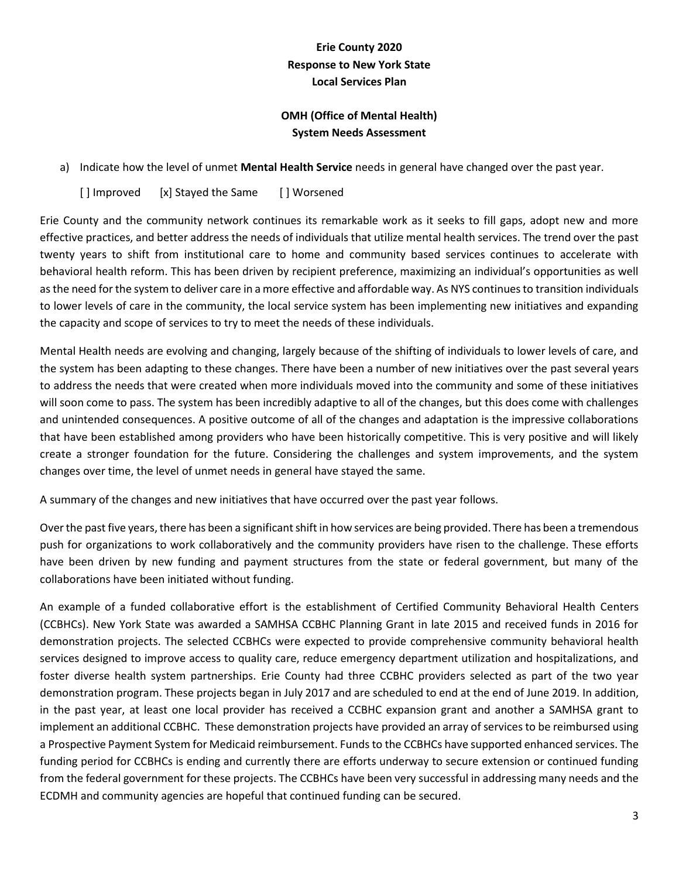# **Erie County 2020 Response to New York State Local Services Plan**

# **OMH (Office of Mental Health) System Needs Assessment**

a) Indicate how the level of unmet **Mental Health Service** needs in general have changed over the past year.

[ ] Improved [x] Stayed the Same [ ] Worsened

Erie County and the community network continues its remarkable work as it seeks to fill gaps, adopt new and more effective practices, and better address the needs of individuals that utilize mental health services. The trend over the past twenty years to shift from institutional care to home and community based services continues to accelerate with behavioral health reform. This has been driven by recipient preference, maximizing an individual's opportunities as well as the need for the system to deliver care in a more effective and affordable way. As NYS continues to transition individuals to lower levels of care in the community, the local service system has been implementing new initiatives and expanding the capacity and scope of services to try to meet the needs of these individuals.

Mental Health needs are evolving and changing, largely because of the shifting of individuals to lower levels of care, and the system has been adapting to these changes. There have been a number of new initiatives over the past several years to address the needs that were created when more individuals moved into the community and some of these initiatives will soon come to pass. The system has been incredibly adaptive to all of the changes, but this does come with challenges and unintended consequences. A positive outcome of all of the changes and adaptation is the impressive collaborations that have been established among providers who have been historically competitive. This is very positive and will likely create a stronger foundation for the future. Considering the challenges and system improvements, and the system changes over time, the level of unmet needs in general have stayed the same.

A summary of the changes and new initiatives that have occurred over the past year follows.

Over the past five years, there has been a significant shift in how services are being provided. There has been a tremendous push for organizations to work collaboratively and the community providers have risen to the challenge. These efforts have been driven by new funding and payment structures from the state or federal government, but many of the collaborations have been initiated without funding.

An example of a funded collaborative effort is the establishment of Certified Community Behavioral Health Centers (CCBHCs). New York State was awarded a SAMHSA CCBHC Planning Grant in late 2015 and received funds in 2016 for demonstration projects. The selected CCBHCs were expected to provide comprehensive community behavioral health services designed to improve access to quality care, reduce emergency department utilization and hospitalizations, and foster diverse health system partnerships. Erie County had three CCBHC providers selected as part of the two year demonstration program. These projects began in July 2017 and are scheduled to end at the end of June 2019. In addition, in the past year, at least one local provider has received a CCBHC expansion grant and another a SAMHSA grant to implement an additional CCBHC. These demonstration projects have provided an array of services to be reimbursed using a Prospective Payment System for Medicaid reimbursement. Funds to the CCBHCs have supported enhanced services. The funding period for CCBHCs is ending and currently there are efforts underway to secure extension or continued funding from the federal government for these projects. The CCBHCs have been very successful in addressing many needs and the ECDMH and community agencies are hopeful that continued funding can be secured.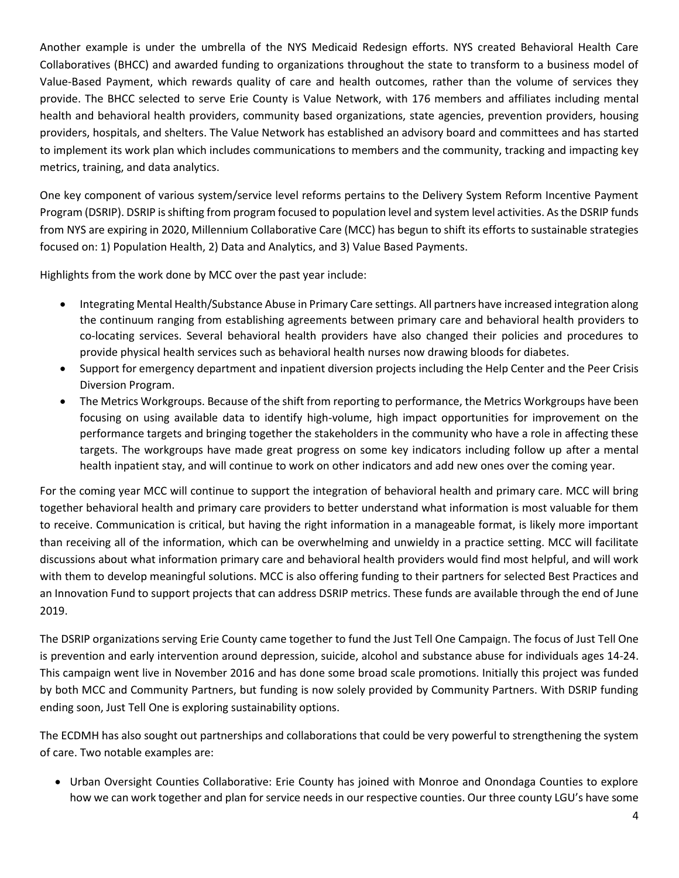Another example is under the umbrella of the NYS Medicaid Redesign efforts. NYS created Behavioral Health Care Collaboratives (BHCC) and awarded funding to organizations throughout the state to transform to a business model of Value-Based Payment, which rewards quality of care and health outcomes, rather than the volume of services they provide. The BHCC selected to serve Erie County is Value Network, with 176 members and affiliates including mental health and behavioral health providers, community based organizations, state agencies, prevention providers, housing providers, hospitals, and shelters. The Value Network has established an advisory board and committees and has started to implement its work plan which includes communications to members and the community, tracking and impacting key metrics, training, and data analytics.

One key component of various system/service level reforms pertains to the Delivery System Reform Incentive Payment Program (DSRIP). DSRIP is shifting from program focused to population level and system level activities. As the DSRIP funds from NYS are expiring in 2020, Millennium Collaborative Care (MCC) has begun to shift its efforts to sustainable strategies focused on: 1) Population Health, 2) Data and Analytics, and 3) Value Based Payments.

Highlights from the work done by MCC over the past year include:

- Integrating Mental Health/Substance Abuse in Primary Care settings. All partners have increased integration along the continuum ranging from establishing agreements between primary care and behavioral health providers to co-locating services. Several behavioral health providers have also changed their policies and procedures to provide physical health services such as behavioral health nurses now drawing bloods for diabetes.
- Support for emergency department and inpatient diversion projects including the Help Center and the Peer Crisis Diversion Program.
- The Metrics Workgroups. Because of the shift from reporting to performance, the Metrics Workgroups have been focusing on using available data to identify high-volume, high impact opportunities for improvement on the performance targets and bringing together the stakeholders in the community who have a role in affecting these targets. The workgroups have made great progress on some key indicators including follow up after a mental health inpatient stay, and will continue to work on other indicators and add new ones over the coming year.

For the coming year MCC will continue to support the integration of behavioral health and primary care. MCC will bring together behavioral health and primary care providers to better understand what information is most valuable for them to receive. Communication is critical, but having the right information in a manageable format, is likely more important than receiving all of the information, which can be overwhelming and unwieldy in a practice setting. MCC will facilitate discussions about what information primary care and behavioral health providers would find most helpful, and will work with them to develop meaningful solutions. MCC is also offering funding to their partners for selected Best Practices and an Innovation Fund to support projects that can address DSRIP metrics. These funds are available through the end of June 2019.

The DSRIP organizations serving Erie County came together to fund the Just Tell One Campaign. The focus of Just Tell One is prevention and early intervention around depression, suicide, alcohol and substance abuse for individuals ages 14-24. This campaign went live in November 2016 and has done some broad scale promotions. Initially this project was funded by both MCC and Community Partners, but funding is now solely provided by Community Partners. With DSRIP funding ending soon, Just Tell One is exploring sustainability options.

The ECDMH has also sought out partnerships and collaborations that could be very powerful to strengthening the system of care. Two notable examples are:

 Urban Oversight Counties Collaborative: Erie County has joined with Monroe and Onondaga Counties to explore how we can work together and plan for service needs in our respective counties. Our three county LGU's have some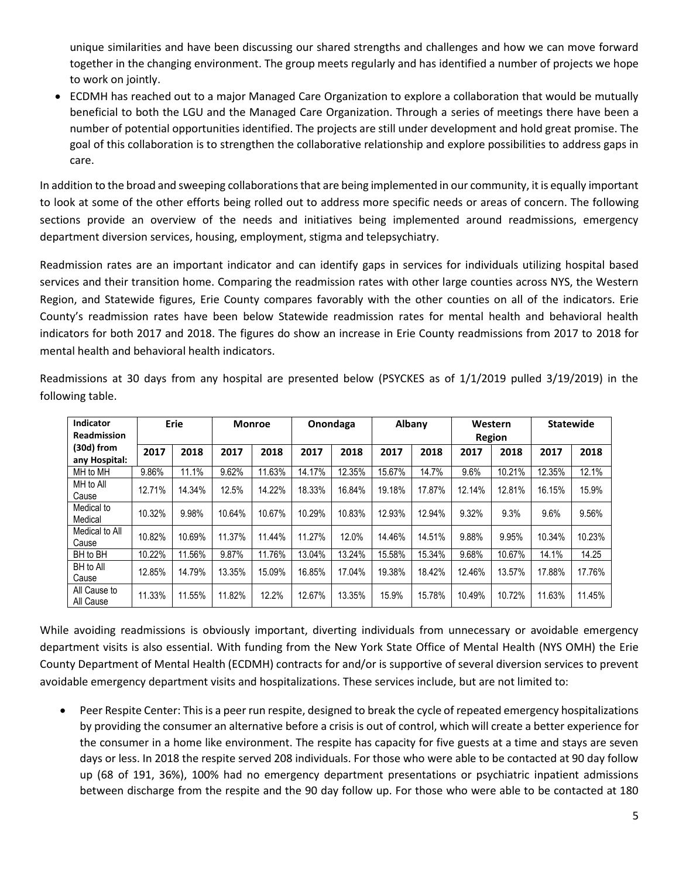unique similarities and have been discussing our shared strengths and challenges and how we can move forward together in the changing environment. The group meets regularly and has identified a number of projects we hope to work on jointly.

 ECDMH has reached out to a major Managed Care Organization to explore a collaboration that would be mutually beneficial to both the LGU and the Managed Care Organization. Through a series of meetings there have been a number of potential opportunities identified. The projects are still under development and hold great promise. The goal of this collaboration is to strengthen the collaborative relationship and explore possibilities to address gaps in care.

In addition to the broad and sweeping collaborations that are being implemented in our community, it is equally important to look at some of the other efforts being rolled out to address more specific needs or areas of concern. The following sections provide an overview of the needs and initiatives being implemented around readmissions, emergency department diversion services, housing, employment, stigma and telepsychiatry.

Readmission rates are an important indicator and can identify gaps in services for individuals utilizing hospital based services and their transition home. Comparing the readmission rates with other large counties across NYS, the Western Region, and Statewide figures, Erie County compares favorably with the other counties on all of the indicators. Erie County's readmission rates have been below Statewide readmission rates for mental health and behavioral health indicators for both 2017 and 2018. The figures do show an increase in Erie County readmissions from 2017 to 2018 for mental health and behavioral health indicators.

| <b>Indicator</b>              |        | Erie   | <b>Monroe</b> |        | Onondaga |        | Albany |        | Western |        | <b>Statewide</b> |        |
|-------------------------------|--------|--------|---------------|--------|----------|--------|--------|--------|---------|--------|------------------|--------|
| <b>Readmission</b>            |        |        |               |        |          |        |        |        |         | Region |                  |        |
| $(30d)$ from<br>any Hospital: | 2017   | 2018   | 2017          | 2018   | 2017     | 2018   | 2017   | 2018   | 2017    | 2018   | 2017             | 2018   |
| MH to MH                      | 9.86%  | 11.1%  | 9.62%         | 11.63% | 14.17%   | 12.35% | 15.67% | 14.7%  | 9.6%    | 10.21% | 12.35%           | 12.1%  |
| MH to All<br>Cause            | 12.71% | 14.34% | 12.5%         | 14.22% | 18.33%   | 16.84% | 19.18% | 17.87% | 12.14%  | 12.81% | 16.15%           | 15.9%  |
| Medical to<br>Medical         | 10.32% | 9.98%  | 10.64%        | 10.67% | 10.29%   | 10.83% | 12.93% | 12.94% | 9.32%   | 9.3%   | 9.6%             | 9.56%  |
| Medical to All<br>Cause       | 10.82% | 10.69% | 11.37%        | 11.44% | 11.27%   | 12.0%  | 14.46% | 14.51% | 9.88%   | 9.95%  | 10.34%           | 10.23% |
| BH to BH                      | 10.22% | 11.56% | 9.87%         | 11.76% | 13.04%   | 13.24% | 15.58% | 15.34% | 9.68%   | 10.67% | 14.1%            | 14.25  |
| BH to All<br>Cause            | 12.85% | 14.79% | 13.35%        | 15.09% | 16.85%   | 17.04% | 19.38% | 18.42% | 12.46%  | 13.57% | 17.88%           | 17.76% |
| All Cause to<br>All Cause     | 11.33% | 11.55% | 11.82%        | 12.2%  | 12.67%   | 13.35% | 15.9%  | 15.78% | 10.49%  | 10.72% | 11.63%           | 11.45% |

Readmissions at 30 days from any hospital are presented below (PSYCKES as of 1/1/2019 pulled 3/19/2019) in the following table.

While avoiding readmissions is obviously important, diverting individuals from unnecessary or avoidable emergency department visits is also essential. With funding from the New York State Office of Mental Health (NYS OMH) the Erie County Department of Mental Health (ECDMH) contracts for and/or is supportive of several diversion services to prevent avoidable emergency department visits and hospitalizations. These services include, but are not limited to:

 Peer Respite Center: This is a peer run respite, designed to break the cycle of repeated emergency hospitalizations by providing the consumer an alternative before a crisis is out of control, which will create a better experience for the consumer in a home like environment. The respite has capacity for five guests at a time and stays are seven days or less. In 2018 the respite served 208 individuals. For those who were able to be contacted at 90 day follow up (68 of 191, 36%), 100% had no emergency department presentations or psychiatric inpatient admissions between discharge from the respite and the 90 day follow up. For those who were able to be contacted at 180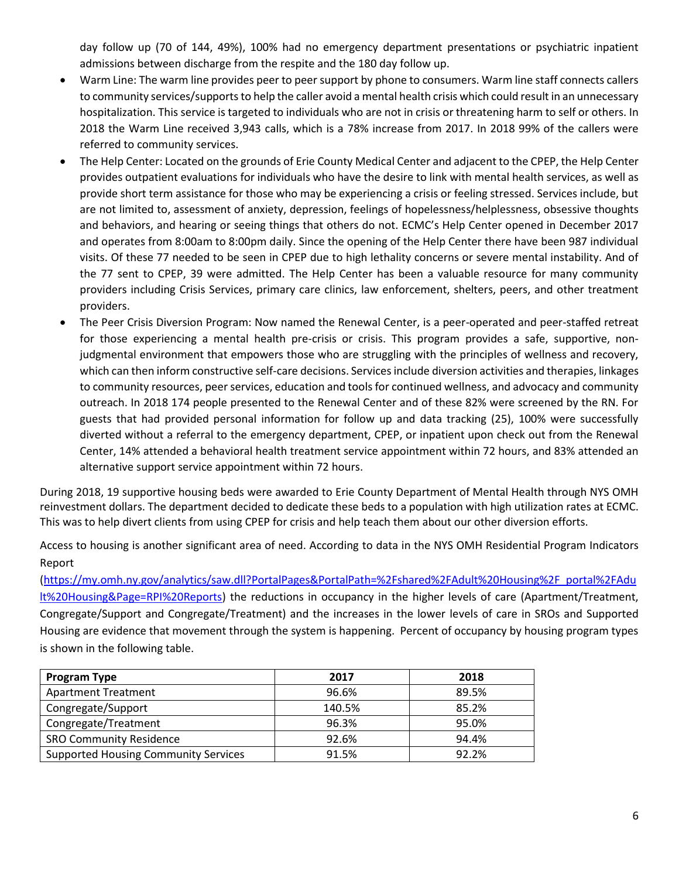day follow up (70 of 144, 49%), 100% had no emergency department presentations or psychiatric inpatient admissions between discharge from the respite and the 180 day follow up.

- Warm Line: The warm line provides peer to peer support by phone to consumers. Warm line staff connects callers to community services/supports to help the caller avoid a mental health crisis which could result in an unnecessary hospitalization. This service is targeted to individuals who are not in crisis or threatening harm to self or others. In 2018 the Warm Line received 3,943 calls, which is a 78% increase from 2017. In 2018 99% of the callers were referred to community services.
- The Help Center: Located on the grounds of Erie County Medical Center and adjacent to the CPEP, the Help Center provides outpatient evaluations for individuals who have the desire to link with mental health services, as well as provide short term assistance for those who may be experiencing a crisis or feeling stressed. Services include, but are not limited to, assessment of anxiety, depression, feelings of hopelessness/helplessness, obsessive thoughts and behaviors, and hearing or seeing things that others do not. ECMC's Help Center opened in December 2017 and operates from 8:00am to 8:00pm daily. Since the opening of the Help Center there have been 987 individual visits. Of these 77 needed to be seen in CPEP due to high lethality concerns or severe mental instability. And of the 77 sent to CPEP, 39 were admitted. The Help Center has been a valuable resource for many community providers including Crisis Services, primary care clinics, law enforcement, shelters, peers, and other treatment providers.
- The Peer Crisis Diversion Program: Now named the Renewal Center, is a peer-operated and peer-staffed retreat for those experiencing a mental health pre-crisis or crisis. This program provides a safe, supportive, nonjudgmental environment that empowers those who are struggling with the principles of wellness and recovery, which can then inform constructive self-care decisions. Services include diversion activities and therapies, linkages to community resources, peer services, education and tools for continued wellness, and advocacy and community outreach. In 2018 174 people presented to the Renewal Center and of these 82% were screened by the RN. For guests that had provided personal information for follow up and data tracking (25), 100% were successfully diverted without a referral to the emergency department, CPEP, or inpatient upon check out from the Renewal Center, 14% attended a behavioral health treatment service appointment within 72 hours, and 83% attended an alternative support service appointment within 72 hours.

During 2018, 19 supportive housing beds were awarded to Erie County Department of Mental Health through NYS OMH reinvestment dollars. The department decided to dedicate these beds to a population with high utilization rates at ECMC. This was to help divert clients from using CPEP for crisis and help teach them about our other diversion efforts.

Access to housing is another significant area of need. According to data in the NYS OMH Residential Program Indicators Report

[\(https://my.omh.ny.gov/analytics/saw.dll?PortalPages&PortalPath=%2Fshared%2FAdult%20Housing%2F\\_portal%2FAdu](https://my.omh.ny.gov/analytics/saw.dll?PortalPages&PortalPath=%2Fshared%2FAdult%20Housing%2F_portal%2FAdult%20Housing&Page=RPI%20Reports) [lt%20Housing&Page=RPI%20Reports\)](https://my.omh.ny.gov/analytics/saw.dll?PortalPages&PortalPath=%2Fshared%2FAdult%20Housing%2F_portal%2FAdult%20Housing&Page=RPI%20Reports) the reductions in occupancy in the higher levels of care (Apartment/Treatment, Congregate/Support and Congregate/Treatment) and the increases in the lower levels of care in SROs and Supported Housing are evidence that movement through the system is happening. Percent of occupancy by housing program types is shown in the following table.

| <b>Program Type</b>                         | 2017   | 2018  |
|---------------------------------------------|--------|-------|
| <b>Apartment Treatment</b>                  | 96.6%  | 89.5% |
| Congregate/Support                          | 140.5% | 85.2% |
| Congregate/Treatment                        | 96.3%  | 95.0% |
| <b>SRO Community Residence</b>              | 92.6%  | 94.4% |
| <b>Supported Housing Community Services</b> | 91.5%  | 92.2% |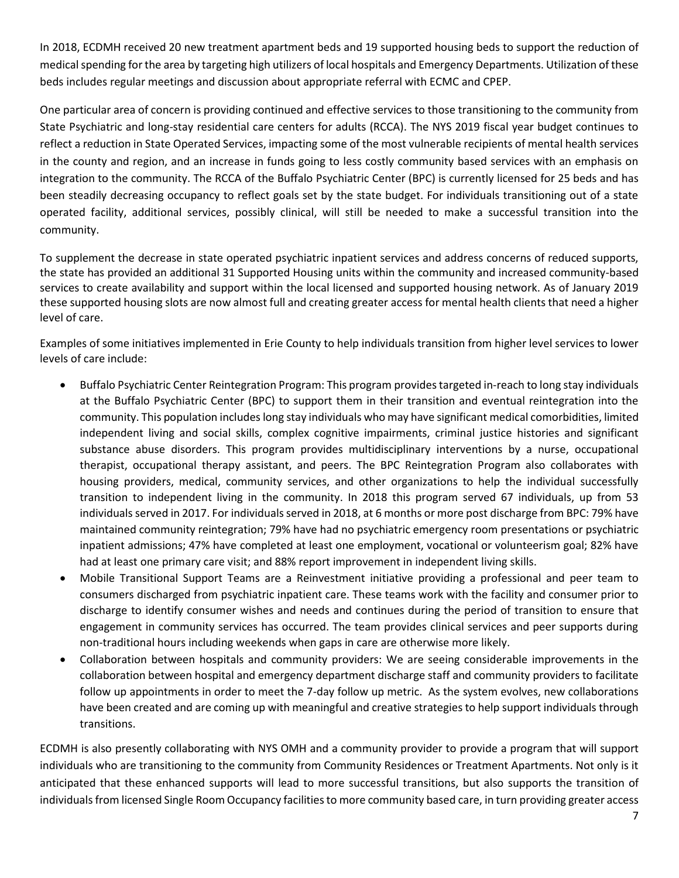In 2018, ECDMH received 20 new treatment apartment beds and 19 supported housing beds to support the reduction of medical spending for the area by targeting high utilizers of local hospitals and Emergency Departments. Utilization of these beds includes regular meetings and discussion about appropriate referral with ECMC and CPEP.

One particular area of concern is providing continued and effective services to those transitioning to the community from State Psychiatric and long-stay residential care centers for adults (RCCA). The NYS 2019 fiscal year budget continues to reflect a reduction in State Operated Services, impacting some of the most vulnerable recipients of mental health services in the county and region, and an increase in funds going to less costly community based services with an emphasis on integration to the community. The RCCA of the Buffalo Psychiatric Center (BPC) is currently licensed for 25 beds and has been steadily decreasing occupancy to reflect goals set by the state budget. For individuals transitioning out of a state operated facility, additional services, possibly clinical, will still be needed to make a successful transition into the community.

To supplement the decrease in state operated psychiatric inpatient services and address concerns of reduced supports, the state has provided an additional 31 Supported Housing units within the community and increased community-based services to create availability and support within the local licensed and supported housing network. As of January 2019 these supported housing slots are now almost full and creating greater access for mental health clients that need a higher level of care.

Examples of some initiatives implemented in Erie County to help individuals transition from higher level services to lower levels of care include:

- Buffalo Psychiatric Center Reintegration Program: This program provides targeted in-reach to long stay individuals at the Buffalo Psychiatric Center (BPC) to support them in their transition and eventual reintegration into the community. This population includes long stay individuals who may have significant medical comorbidities, limited independent living and social skills, complex cognitive impairments, criminal justice histories and significant substance abuse disorders. This program provides multidisciplinary interventions by a nurse, occupational therapist, occupational therapy assistant, and peers. The BPC Reintegration Program also collaborates with housing providers, medical, community services, and other organizations to help the individual successfully transition to independent living in the community. In 2018 this program served 67 individuals, up from 53 individuals served in 2017. For individuals served in 2018, at 6 months or more post discharge from BPC: 79% have maintained community reintegration; 79% have had no psychiatric emergency room presentations or psychiatric inpatient admissions; 47% have completed at least one employment, vocational or volunteerism goal; 82% have had at least one primary care visit; and 88% report improvement in independent living skills.
- Mobile Transitional Support Teams are a Reinvestment initiative providing a professional and peer team to consumers discharged from psychiatric inpatient care. These teams work with the facility and consumer prior to discharge to identify consumer wishes and needs and continues during the period of transition to ensure that engagement in community services has occurred. The team provides clinical services and peer supports during non-traditional hours including weekends when gaps in care are otherwise more likely.
- Collaboration between hospitals and community providers: We are seeing considerable improvements in the collaboration between hospital and emergency department discharge staff and community providers to facilitate follow up appointments in order to meet the 7-day follow up metric. As the system evolves, new collaborations have been created and are coming up with meaningful and creative strategies to help support individuals through transitions.

ECDMH is also presently collaborating with NYS OMH and a community provider to provide a program that will support individuals who are transitioning to the community from Community Residences or Treatment Apartments. Not only is it anticipated that these enhanced supports will lead to more successful transitions, but also supports the transition of individuals from licensed Single Room Occupancy facilities to more community based care, in turn providing greater access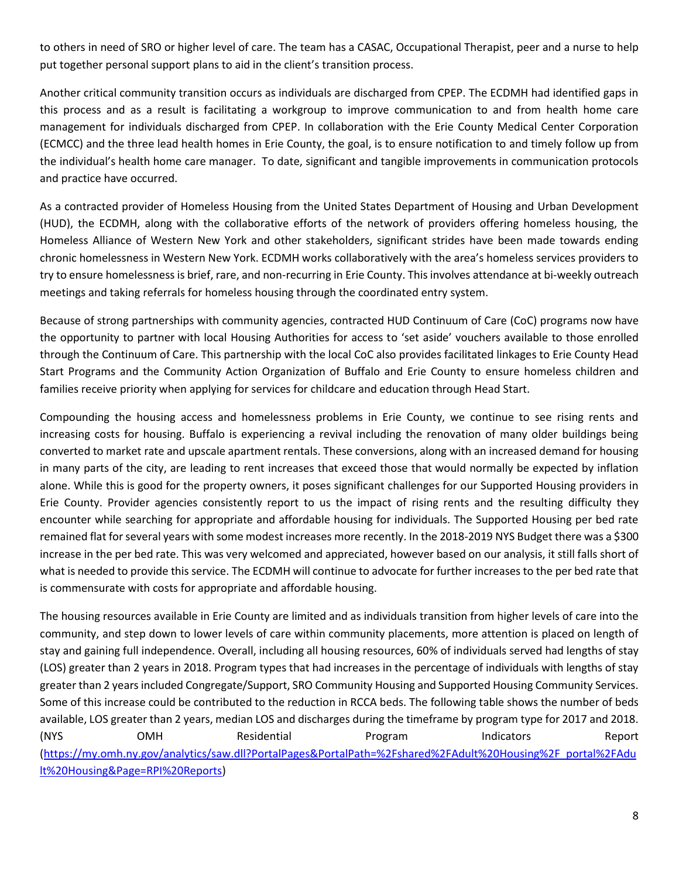to others in need of SRO or higher level of care. The team has a CASAC, Occupational Therapist, peer and a nurse to help put together personal support plans to aid in the client's transition process.

Another critical community transition occurs as individuals are discharged from CPEP. The ECDMH had identified gaps in this process and as a result is facilitating a workgroup to improve communication to and from health home care management for individuals discharged from CPEP. In collaboration with the Erie County Medical Center Corporation (ECMCC) and the three lead health homes in Erie County, the goal, is to ensure notification to and timely follow up from the individual's health home care manager. To date, significant and tangible improvements in communication protocols and practice have occurred.

As a contracted provider of Homeless Housing from the United States Department of Housing and Urban Development (HUD), the ECDMH, along with the collaborative efforts of the network of providers offering homeless housing, the Homeless Alliance of Western New York and other stakeholders, significant strides have been made towards ending chronic homelessness in Western New York. ECDMH works collaboratively with the area's homeless services providers to try to ensure homelessness is brief, rare, and non-recurring in Erie County. This involves attendance at bi-weekly outreach meetings and taking referrals for homeless housing through the coordinated entry system.

Because of strong partnerships with community agencies, contracted HUD Continuum of Care (CoC) programs now have the opportunity to partner with local Housing Authorities for access to 'set aside' vouchers available to those enrolled through the Continuum of Care. This partnership with the local CoC also provides facilitated linkages to Erie County Head Start Programs and the Community Action Organization of Buffalo and Erie County to ensure homeless children and families receive priority when applying for services for childcare and education through Head Start.

Compounding the housing access and homelessness problems in Erie County, we continue to see rising rents and increasing costs for housing. Buffalo is experiencing a revival including the renovation of many older buildings being converted to market rate and upscale apartment rentals. These conversions, along with an increased demand for housing in many parts of the city, are leading to rent increases that exceed those that would normally be expected by inflation alone. While this is good for the property owners, it poses significant challenges for our Supported Housing providers in Erie County. Provider agencies consistently report to us the impact of rising rents and the resulting difficulty they encounter while searching for appropriate and affordable housing for individuals. The Supported Housing per bed rate remained flat for several years with some modest increases more recently. In the 2018-2019 NYS Budget there was a \$300 increase in the per bed rate. This was very welcomed and appreciated, however based on our analysis, it still falls short of what is needed to provide this service. The ECDMH will continue to advocate for further increases to the per bed rate that is commensurate with costs for appropriate and affordable housing.

The housing resources available in Erie County are limited and as individuals transition from higher levels of care into the community, and step down to lower levels of care within community placements, more attention is placed on length of stay and gaining full independence. Overall, including all housing resources, 60% of individuals served had lengths of stay (LOS) greater than 2 years in 2018. Program types that had increases in the percentage of individuals with lengths of stay greater than 2 years included Congregate/Support, SRO Community Housing and Supported Housing Community Services. Some of this increase could be contributed to the reduction in RCCA beds. The following table shows the number of beds available, LOS greater than 2 years, median LOS and discharges during the timeframe by program type for 2017 and 2018. (NYS OMH Residential Program Indicators Report [\(https://my.omh.ny.gov/analytics/saw.dll?PortalPages&PortalPath=%2Fshared%2FAdult%20Housing%2F\\_portal%2FAdu](https://my.omh.ny.gov/analytics/saw.dll?PortalPages&PortalPath=%2Fshared%2FAdult%20Housing%2F_portal%2FAdult%20Housing&Page=RPI%20Reports) [lt%20Housing&Page=RPI%20Reports\)](https://my.omh.ny.gov/analytics/saw.dll?PortalPages&PortalPath=%2Fshared%2FAdult%20Housing%2F_portal%2FAdult%20Housing&Page=RPI%20Reports)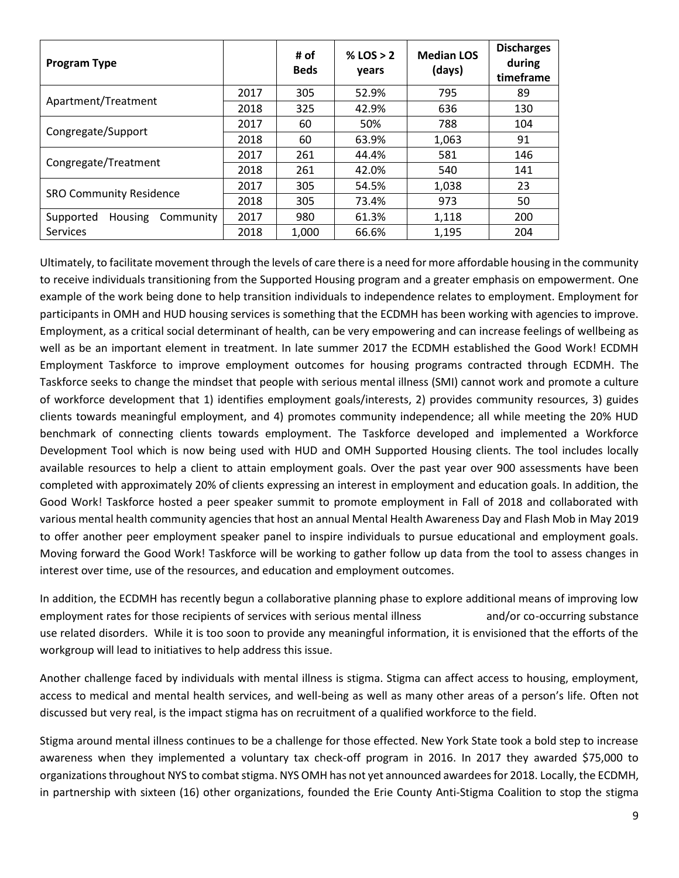| <b>Program Type</b>                      |      | # of<br><b>Beds</b> | % LOS $> 2$<br>years | <b>Median LOS</b><br>(days) | <b>Discharges</b><br>during<br>timeframe |
|------------------------------------------|------|---------------------|----------------------|-----------------------------|------------------------------------------|
| Apartment/Treatment                      | 2017 | 305                 | 52.9%                | 795                         | 89                                       |
|                                          | 2018 | 325                 | 42.9%                | 636                         | 130                                      |
|                                          | 2017 | 60                  | 50%                  | 788                         | 104                                      |
| Congregate/Support                       | 2018 | 60                  | 63.9%                | 1,063                       | 91                                       |
|                                          | 2017 | 261                 | 44.4%                | 581                         | 146                                      |
| Congregate/Treatment                     | 2018 | 261                 | 42.0%                | 540                         | 141                                      |
|                                          | 2017 | 305                 | 54.5%                | 1,038                       | 23                                       |
| <b>SRO Community Residence</b>           | 2018 | 305                 | 73.4%                | 973                         | 50                                       |
| Supported<br><b>Housing</b><br>Community | 2017 | 980                 | 61.3%                | 1,118                       | 200                                      |
| <b>Services</b>                          | 2018 | 1,000               | 66.6%                | 1,195                       | 204                                      |

Ultimately, to facilitate movement through the levels of care there is a need for more affordable housing in the community to receive individuals transitioning from the Supported Housing program and a greater emphasis on empowerment. One example of the work being done to help transition individuals to independence relates to employment. Employment for participants in OMH and HUD housing services is something that the ECDMH has been working with agencies to improve. Employment, as a critical social determinant of health, can be very empowering and can increase feelings of wellbeing as well as be an important element in treatment. In late summer 2017 the ECDMH established the Good Work! ECDMH Employment Taskforce to improve employment outcomes for housing programs contracted through ECDMH. The Taskforce seeks to change the mindset that people with serious mental illness (SMI) cannot work and promote a culture of workforce development that 1) identifies employment goals/interests, 2) provides community resources, 3) guides clients towards meaningful employment, and 4) promotes community independence; all while meeting the 20% HUD benchmark of connecting clients towards employment. The Taskforce developed and implemented a Workforce Development Tool which is now being used with HUD and OMH Supported Housing clients. The tool includes locally available resources to help a client to attain employment goals. Over the past year over 900 assessments have been completed with approximately 20% of clients expressing an interest in employment and education goals. In addition, the Good Work! Taskforce hosted a peer speaker summit to promote employment in Fall of 2018 and collaborated with various mental health community agencies that host an annual Mental Health Awareness Day and Flash Mob in May 2019 to offer another peer employment speaker panel to inspire individuals to pursue educational and employment goals. Moving forward the Good Work! Taskforce will be working to gather follow up data from the tool to assess changes in interest over time, use of the resources, and education and employment outcomes.

In addition, the ECDMH has recently begun a collaborative planning phase to explore additional means of improving low employment rates for those recipients of services with serious mental illness and/or co-occurring substance use related disorders. While it is too soon to provide any meaningful information, it is envisioned that the efforts of the workgroup will lead to initiatives to help address this issue.

Another challenge faced by individuals with mental illness is stigma. Stigma can affect access to housing, employment, access to medical and mental health services, and well-being as well as many other areas of a person's life. Often not discussed but very real, is the impact stigma has on recruitment of a qualified workforce to the field.

Stigma around mental illness continues to be a challenge for those effected. New York State took a bold step to increase awareness when they implemented a voluntary tax check-off program in 2016. In 2017 they awarded \$75,000 to organizations throughout NYS to combat stigma. NYS OMH has not yet announced awardees for 2018. Locally, the ECDMH, in partnership with sixteen (16) other organizations, founded the Erie County Anti-Stigma Coalition to stop the stigma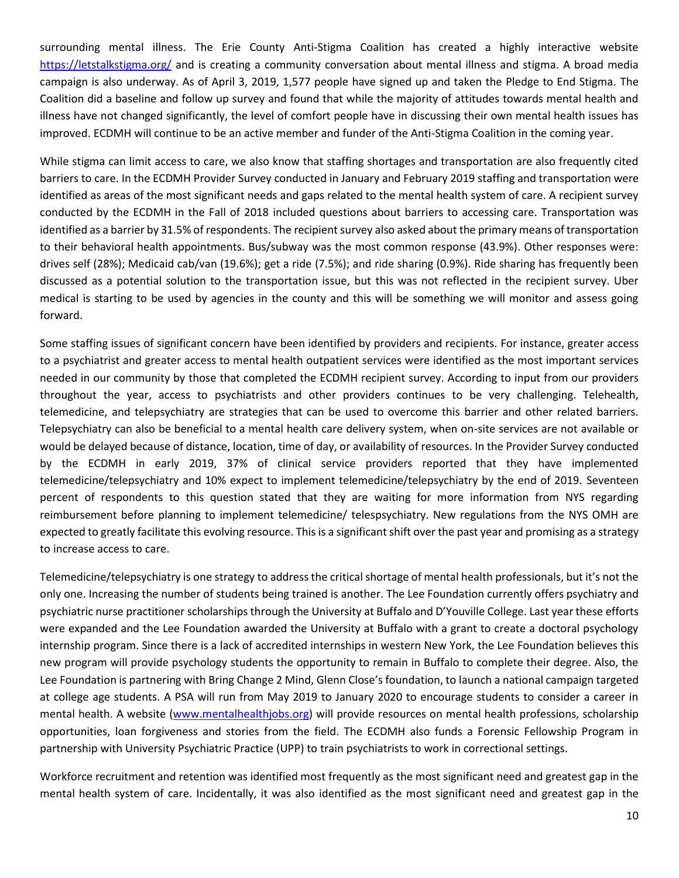surrounding mental illness. The Erie County Anti-Stigma Coalition has created a highly interactive website <https://letstalkstigma.org/> and is creating a community conversation about mental illness and stigma. A broad media campaign is also underway. As of April 3, 2019, 1,577 people have signed up and taken the Pledge to End Stigma. The Coalition did a baseline and follow up survey and found that while the majority of attitudes towards mental health and illness have not changed significantly, the level of comfort people have in discussing their own mental health issues has improved. ECDMH will continue to be an active member and funder of the Anti-Stigma Coalition in the coming year.

While stigma can limit access to care, we also know that staffing shortages and transportation are also frequently cited barriers to care. In the ECDMH Provider Survey conducted in January and February 2019 staffing and transportation were identified as areas of the most significant needs and gaps related to the mental health system of care. A recipient survey conducted by the ECDMH in the Fall of 2018 included questions about barriers to accessing care. Transportation was identified as a barrier by 31.5% of respondents. The recipient survey also asked about the primary means of transportation to their behavioral health appointments. Bus/subway was the most common response (43.9%). Other responses were: drives self (28%); Medicaid cab/van (19.6%); get a ride (7.5%); and ride sharing (0.9%). Ride sharing has frequently been discussed as a potential solution to the transportation issue, but this was not reflected in the recipient survey. Uber medical is starting to be used by agencies in the county and this will be something we will monitor and assess going forward.

Some staffing issues of significant concern have been identified by providers and recipients. For instance, greater access to a psychiatrist and greater access to mental health outpatient services were identified as the most important services needed in our community by those that completed the ECDMH recipient survey. According to input from our providers throughout the year, access to psychiatrists and other providers continues to be very challenging. Telehealth, telemedicine, and telepsychiatry are strategies that can be used to overcome this barrier and other related barriers. Telepsychiatry can also be beneficial to a mental health care delivery system, when on-site services are not available or would be delayed because of distance, location, time of day, or availability of resources. In the Provider Survey conducted by the ECDMH in early 2019, 37% of clinical service providers reported that they have implemented telemedicine/telepsychiatry and 10% expect to implement telemedicine/telepsychiatry by the end of 2019. Seventeen percent of respondents to this question stated that they are waiting for more information from NYS regarding reimbursement before planning to implement telemedicine/ telespsychiatry. New regulations from the NYS OMH are expected to greatly facilitate this evolving resource. This is a significant shift over the past year and promising as a strategy to increase access to care.

Telemedicine/telepsychiatry is one strategy to address the critical shortage of mental health professionals, but it's not the only one. Increasing the number of students being trained is another. The Lee Foundation currently offers psychiatry and psychiatric nurse practitioner scholarships through the University at Buffalo and D'Youville College. Last year these efforts were expanded and the Lee Foundation awarded the University at Buffalo with a grant to create a doctoral psychology internship program. Since there is a lack of accredited internships in western New York, the Lee Foundation believes this new program will provide psychology students the opportunity to remain in Buffalo to complete their degree. Also, the Lee Foundation is partnering with Bring Change 2 Mind, Glenn Close's foundation, to launch a national campaign targeted at college age students. A PSA will run from May 2019 to January 2020 to encourage students to consider a career in mental health. A website [\(www.mentalhealthjobs.org\)](http://www.mentalhealthjobs.org/) will provide resources on mental health professions, scholarship opportunities, loan forgiveness and stories from the field. The ECDMH also funds a Forensic Fellowship Program in partnership with University Psychiatric Practice (UPP) to train psychiatrists to work in correctional settings.

Workforce recruitment and retention was identified most frequently as the most significant need and greatest gap in the mental health system of care. Incidentally, it was also identified as the most significant need and greatest gap in the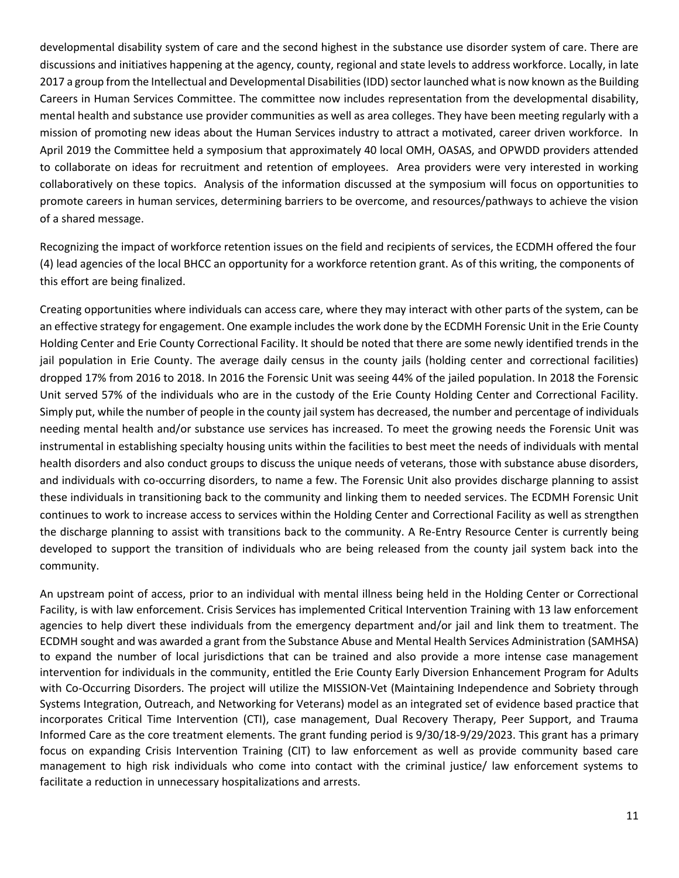developmental disability system of care and the second highest in the substance use disorder system of care. There are discussions and initiatives happening at the agency, county, regional and state levels to address workforce. Locally, in late 2017 a group from the Intellectual and Developmental Disabilities (IDD) sector launched what is now known as the Building Careers in Human Services Committee. The committee now includes representation from the developmental disability, mental health and substance use provider communities as well as area colleges. They have been meeting regularly with a mission of promoting new ideas about the Human Services industry to attract a motivated, career driven workforce. In April 2019 the Committee held a symposium that approximately 40 local OMH, OASAS, and OPWDD providers attended to collaborate on ideas for recruitment and retention of employees. Area providers were very interested in working collaboratively on these topics. Analysis of the information discussed at the symposium will focus on opportunities to promote careers in human services, determining barriers to be overcome, and resources/pathways to achieve the vision of a shared message.

Recognizing the impact of workforce retention issues on the field and recipients of services, the ECDMH offered the four (4) lead agencies of the local BHCC an opportunity for a workforce retention grant. As of this writing, the components of this effort are being finalized.

Creating opportunities where individuals can access care, where they may interact with other parts of the system, can be an effective strategy for engagement. One example includes the work done by the ECDMH Forensic Unit in the Erie County Holding Center and Erie County Correctional Facility. It should be noted that there are some newly identified trends in the jail population in Erie County. The average daily census in the county jails (holding center and correctional facilities) dropped 17% from 2016 to 2018. In 2016 the Forensic Unit was seeing 44% of the jailed population. In 2018 the Forensic Unit served 57% of the individuals who are in the custody of the Erie County Holding Center and Correctional Facility. Simply put, while the number of people in the county jail system has decreased, the number and percentage of individuals needing mental health and/or substance use services has increased. To meet the growing needs the Forensic Unit was instrumental in establishing specialty housing units within the facilities to best meet the needs of individuals with mental health disorders and also conduct groups to discuss the unique needs of veterans, those with substance abuse disorders, and individuals with co-occurring disorders, to name a few. The Forensic Unit also provides discharge planning to assist these individuals in transitioning back to the community and linking them to needed services. The ECDMH Forensic Unit continues to work to increase access to services within the Holding Center and Correctional Facility as well as strengthen the discharge planning to assist with transitions back to the community. A Re-Entry Resource Center is currently being developed to support the transition of individuals who are being released from the county jail system back into the community.

An upstream point of access, prior to an individual with mental illness being held in the Holding Center or Correctional Facility, is with law enforcement. Crisis Services has implemented Critical Intervention Training with 13 law enforcement agencies to help divert these individuals from the emergency department and/or jail and link them to treatment. The ECDMH sought and was awarded a grant from the Substance Abuse and Mental Health Services Administration (SAMHSA) to expand the number of local jurisdictions that can be trained and also provide a more intense case management intervention for individuals in the community, entitled the Erie County Early Diversion Enhancement Program for Adults with Co-Occurring Disorders. The project will utilize the MISSION-Vet (Maintaining Independence and Sobriety through Systems Integration, Outreach, and Networking for Veterans) model as an integrated set of evidence based practice that incorporates Critical Time Intervention (CTI), case management, Dual Recovery Therapy, Peer Support, and Trauma Informed Care as the core treatment elements. The grant funding period is 9/30/18-9/29/2023. This grant has a primary focus on expanding Crisis Intervention Training (CIT) to law enforcement as well as provide community based care management to high risk individuals who come into contact with the criminal justice/ law enforcement systems to facilitate a reduction in unnecessary hospitalizations and arrests.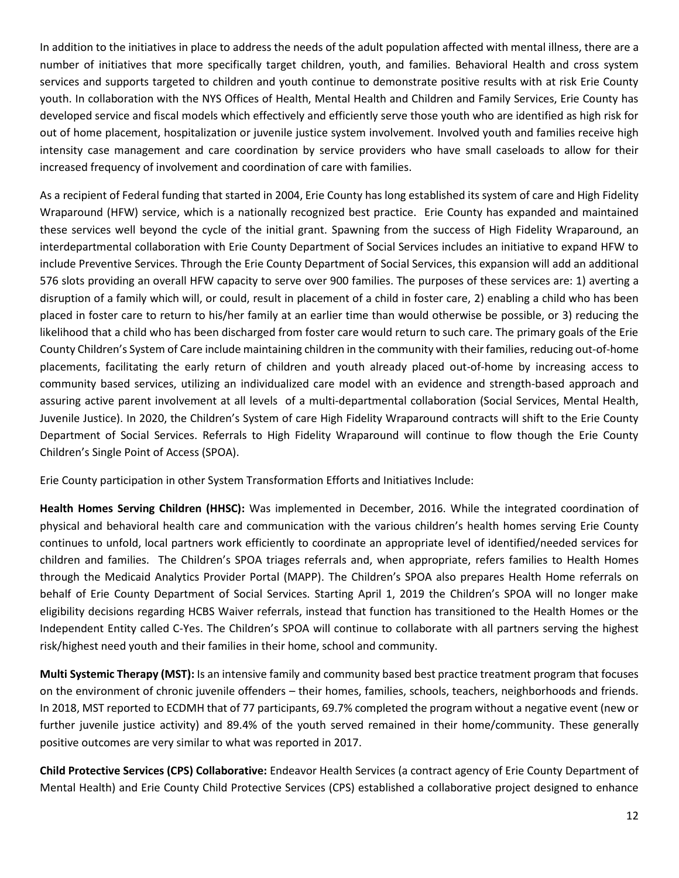In addition to the initiatives in place to address the needs of the adult population affected with mental illness, there are a number of initiatives that more specifically target children, youth, and families. Behavioral Health and cross system services and supports targeted to children and youth continue to demonstrate positive results with at risk Erie County youth. In collaboration with the NYS Offices of Health, Mental Health and Children and Family Services, Erie County has developed service and fiscal models which effectively and efficiently serve those youth who are identified as high risk for out of home placement, hospitalization or juvenile justice system involvement. Involved youth and families receive high intensity case management and care coordination by service providers who have small caseloads to allow for their increased frequency of involvement and coordination of care with families.

As a recipient of Federal funding that started in 2004, Erie County has long established its system of care and High Fidelity Wraparound (HFW) service, which is a nationally recognized best practice. Erie County has expanded and maintained these services well beyond the cycle of the initial grant. Spawning from the success of High Fidelity Wraparound, an interdepartmental collaboration with Erie County Department of Social Services includes an initiative to expand HFW to include Preventive Services. Through the Erie County Department of Social Services, this expansion will add an additional 576 slots providing an overall HFW capacity to serve over 900 families. The purposes of these services are: 1) averting a disruption of a family which will, or could, result in placement of a child in foster care, 2) enabling a child who has been placed in foster care to return to his/her family at an earlier time than would otherwise be possible, or 3) reducing the likelihood that a child who has been discharged from foster care would return to such care. The primary goals of the Erie County Children's System of Care include maintaining children in the community with their families, reducing out-of-home placements, facilitating the early return of children and youth already placed out-of-home by increasing access to community based services, utilizing an individualized care model with an evidence and strength-based approach and assuring active parent involvement at all levels of a multi-departmental collaboration (Social Services, Mental Health, Juvenile Justice). In 2020, the Children's System of care High Fidelity Wraparound contracts will shift to the Erie County Department of Social Services. Referrals to High Fidelity Wraparound will continue to flow though the Erie County Children's Single Point of Access (SPOA).

Erie County participation in other System Transformation Efforts and Initiatives Include:

**Health Homes Serving Children (HHSC):** Was implemented in December, 2016. While the integrated coordination of physical and behavioral health care and communication with the various children's health homes serving Erie County continues to unfold, local partners work efficiently to coordinate an appropriate level of identified/needed services for children and families. The Children's SPOA triages referrals and, when appropriate, refers families to Health Homes through the Medicaid Analytics Provider Portal (MAPP). The Children's SPOA also prepares Health Home referrals on behalf of Erie County Department of Social Services. Starting April 1, 2019 the Children's SPOA will no longer make eligibility decisions regarding HCBS Waiver referrals, instead that function has transitioned to the Health Homes or the Independent Entity called C-Yes. The Children's SPOA will continue to collaborate with all partners serving the highest risk/highest need youth and their families in their home, school and community.

**Multi Systemic Therapy (MST):** Is an intensive family and community based best practice treatment program that focuses on the environment of chronic juvenile offenders – their homes, families, schools, teachers, neighborhoods and friends. In 2018, MST reported to ECDMH that of 77 participants, 69.7% completed the program without a negative event (new or further juvenile justice activity) and 89.4% of the youth served remained in their home/community. These generally positive outcomes are very similar to what was reported in 2017.

**Child Protective Services (CPS) Collaborative:** Endeavor Health Services (a contract agency of Erie County Department of Mental Health) and Erie County Child Protective Services (CPS) established a collaborative project designed to enhance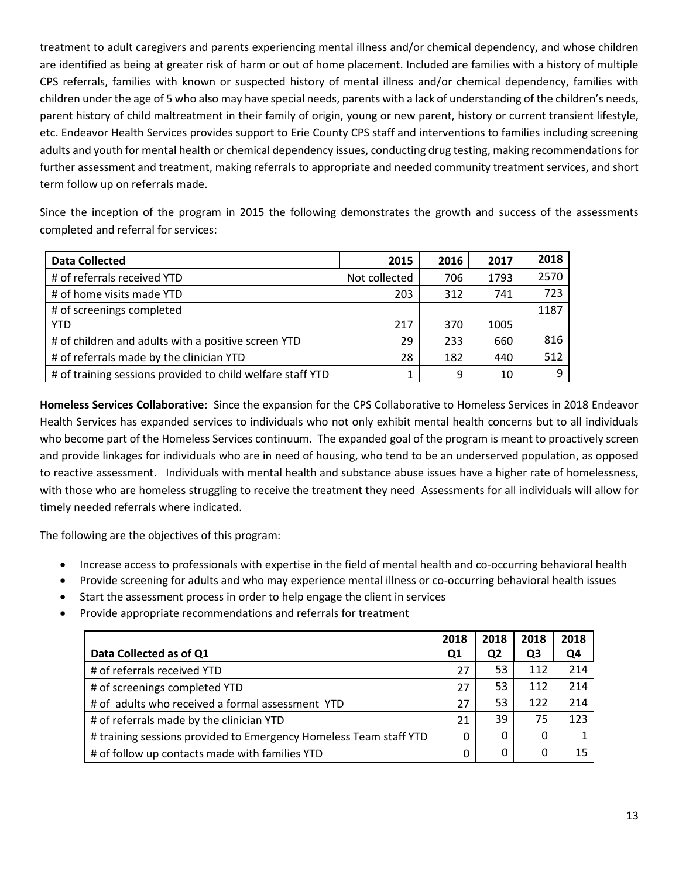treatment to adult caregivers and parents experiencing mental illness and/or chemical dependency, and whose children are identified as being at greater risk of harm or out of home placement. Included are families with a history of multiple CPS referrals, families with known or suspected history of mental illness and/or chemical dependency, families with children under the age of 5 who also may have special needs, parents with a lack of understanding of the children's needs, parent history of child maltreatment in their family of origin, young or new parent, history or current transient lifestyle, etc. Endeavor Health Services provides support to Erie County CPS staff and interventions to families including screening adults and youth for mental health or chemical dependency issues, conducting drug testing, making recommendations for further assessment and treatment, making referrals to appropriate and needed community treatment services, and short term follow up on referrals made.

Since the inception of the program in 2015 the following demonstrates the growth and success of the assessments completed and referral for services:

| <b>Data Collected</b>                                      | 2015          | 2016 | 2017 | 2018 |
|------------------------------------------------------------|---------------|------|------|------|
| # of referrals received YTD                                | Not collected | 706  | 1793 | 2570 |
| # of home visits made YTD                                  | 203           | 312  | 741  | 723  |
| # of screenings completed                                  |               |      |      | 1187 |
| <b>YTD</b>                                                 | 217           | 370  | 1005 |      |
| # of children and adults with a positive screen YTD        | 29            | 233  | 660  | 816  |
| # of referrals made by the clinician YTD                   | 28            | 182  | 440  | 512  |
| # of training sessions provided to child welfare staff YTD | 1             | 9    | 10   | a    |

**Homeless Services Collaborative:** Since the expansion for the CPS Collaborative to Homeless Services in 2018 Endeavor Health Services has expanded services to individuals who not only exhibit mental health concerns but to all individuals who become part of the Homeless Services continuum. The expanded goal of the program is meant to proactively screen and provide linkages for individuals who are in need of housing, who tend to be an underserved population, as opposed to reactive assessment. Individuals with mental health and substance abuse issues have a higher rate of homelessness, with those who are homeless struggling to receive the treatment they need Assessments for all individuals will allow for timely needed referrals where indicated.

The following are the objectives of this program:

- Increase access to professionals with expertise in the field of mental health and co-occurring behavioral health
- Provide screening for adults and who may experience mental illness or co-occurring behavioral health issues
- Start the assessment process in order to help engage the client in services
- Provide appropriate recommendations and referrals for treatment

|                                                                   | 2018 | 2018           | 2018 | 2018 |
|-------------------------------------------------------------------|------|----------------|------|------|
| Data Collected as of Q1                                           | Q1   | Q <sub>2</sub> | Q3   | Q4   |
| # of referrals received YTD                                       | 27   | 53             | 112  | 214  |
| # of screenings completed YTD                                     | 27   | 53             | 112  | 214  |
| # of adults who received a formal assessment YTD                  | 27   | 53             | 122  | 214  |
| # of referrals made by the clinician YTD                          | 21   | 39             | 75   | 123  |
| # training sessions provided to Emergency Homeless Team staff YTD | 0    | $\Omega$       | 0    |      |
| # of follow up contacts made with families YTD                    | 0    | 0              | 0    |      |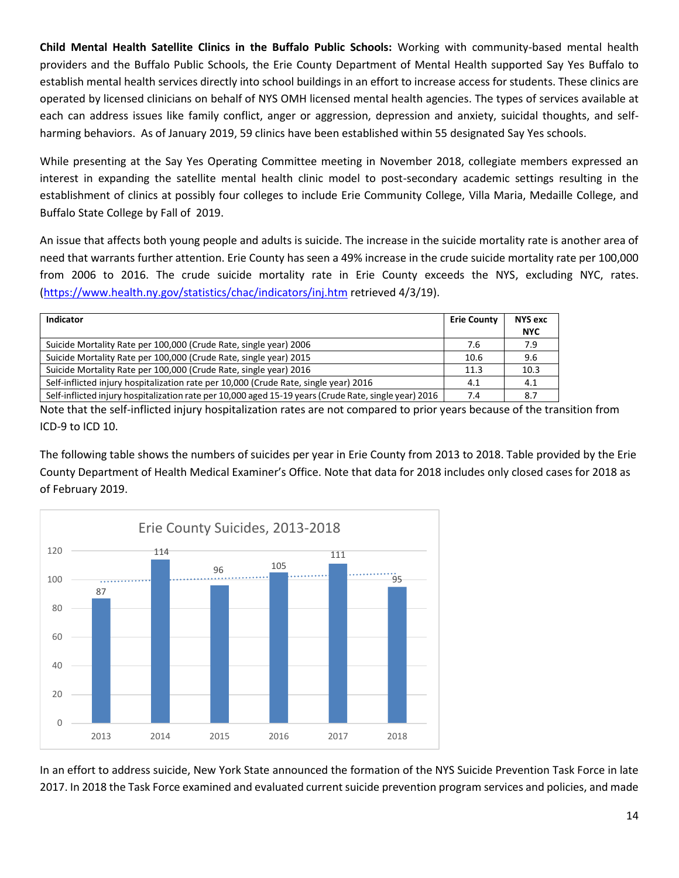**Child Mental Health Satellite Clinics in the Buffalo Public Schools:** Working with community-based mental health providers and the Buffalo Public Schools, the Erie County Department of Mental Health supported Say Yes Buffalo to establish mental health services directly into school buildings in an effort to increase access for students. These clinics are operated by licensed clinicians on behalf of NYS OMH licensed mental health agencies. The types of services available at each can address issues like family conflict, anger or aggression, depression and anxiety, suicidal thoughts, and selfharming behaviors. As of January 2019, 59 clinics have been established within 55 designated Say Yes schools.

While presenting at the Say Yes Operating Committee meeting in November 2018, collegiate members expressed an interest in expanding the satellite mental health clinic model to post-secondary academic settings resulting in the establishment of clinics at possibly four colleges to include Erie Community College, Villa Maria, Medaille College, and Buffalo State College by Fall of 2019.

An issue that affects both young people and adults is suicide. The increase in the suicide mortality rate is another area of need that warrants further attention. Erie County has seen a 49% increase in the crude suicide mortality rate per 100,000 from 2006 to 2016. The crude suicide mortality rate in Erie County exceeds the NYS, excluding NYC, rates. [\(https://www.health.ny.gov/statistics/chac/indicators/inj.htm](https://www.health.ny.gov/statistics/chac/indicators/inj.htm) retrieved 4/3/19).

| Indicator                                                                                             | <b>Erie County</b> | <b>NYS exc</b> |
|-------------------------------------------------------------------------------------------------------|--------------------|----------------|
|                                                                                                       |                    | <b>NYC</b>     |
| Suicide Mortality Rate per 100,000 (Crude Rate, single year) 2006                                     | 7.6                | 7.9            |
| Suicide Mortality Rate per 100,000 (Crude Rate, single year) 2015                                     | 10.6               | 9.6            |
| Suicide Mortality Rate per 100,000 (Crude Rate, single year) 2016                                     | 11.3               | 10.3           |
| Self-inflicted injury hospitalization rate per 10,000 (Crude Rate, single year) 2016                  | 4.1                | 4.1            |
| Self-inflicted injury hospitalization rate per 10,000 aged 15-19 years (Crude Rate, single year) 2016 | 7.4                | 8.7            |

Note that the self-inflicted injury hospitalization rates are not compared to prior years because of the transition from ICD-9 to ICD 10.

The following table shows the numbers of suicides per year in Erie County from 2013 to 2018. Table provided by the Erie County Department of Health Medical Examiner's Office. Note that data for 2018 includes only closed cases for 2018 as of February 2019.



In an effort to address suicide, New York State announced the formation of the NYS Suicide Prevention Task Force in late 2017. In 2018 the Task Force examined and evaluated current suicide prevention program services and policies, and made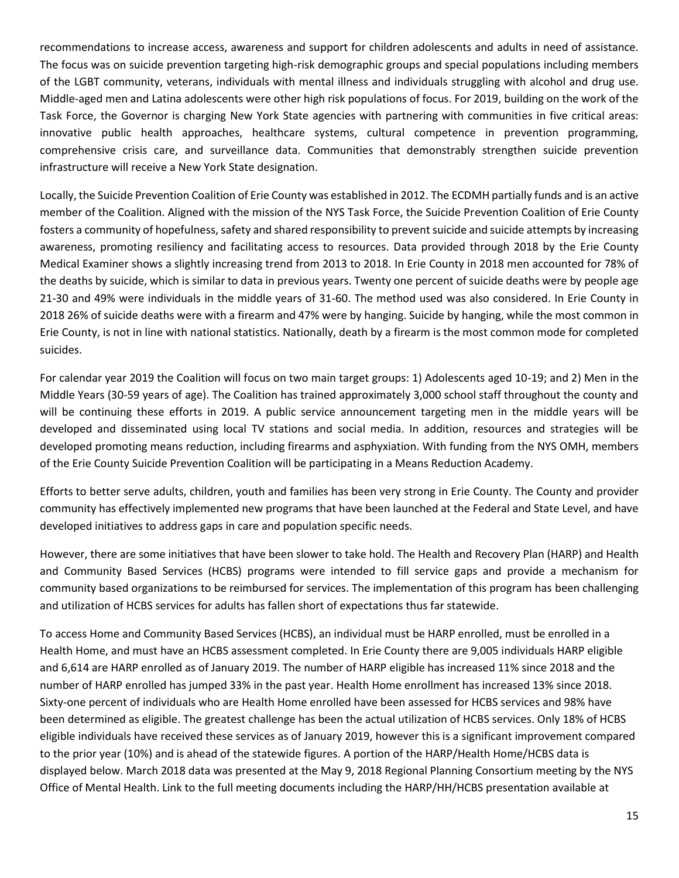recommendations to increase access, awareness and support for children adolescents and adults in need of assistance. The focus was on suicide prevention targeting high-risk demographic groups and special populations including members of the LGBT community, veterans, individuals with mental illness and individuals struggling with alcohol and drug use. Middle-aged men and Latina adolescents were other high risk populations of focus. For 2019, building on the work of the Task Force, the Governor is charging New York State agencies with partnering with communities in five critical areas: innovative public health approaches, healthcare systems, cultural competence in prevention programming, comprehensive crisis care, and surveillance data. Communities that demonstrably strengthen suicide prevention infrastructure will receive a New York State designation.

Locally, the Suicide Prevention Coalition of Erie County was established in 2012. The ECDMH partially funds and is an active member of the Coalition. Aligned with the mission of the NYS Task Force, the Suicide Prevention Coalition of Erie County fosters a community of hopefulness, safety and shared responsibility to prevent suicide and suicide attempts by increasing awareness, promoting resiliency and facilitating access to resources. Data provided through 2018 by the Erie County Medical Examiner shows a slightly increasing trend from 2013 to 2018. In Erie County in 2018 men accounted for 78% of the deaths by suicide, which is similar to data in previous years. Twenty one percent of suicide deaths were by people age 21-30 and 49% were individuals in the middle years of 31-60. The method used was also considered. In Erie County in 2018 26% of suicide deaths were with a firearm and 47% were by hanging. Suicide by hanging, while the most common in Erie County, is not in line with national statistics. Nationally, death by a firearm is the most common mode for completed suicides.

For calendar year 2019 the Coalition will focus on two main target groups: 1) Adolescents aged 10-19; and 2) Men in the Middle Years (30-59 years of age). The Coalition has trained approximately 3,000 school staff throughout the county and will be continuing these efforts in 2019. A public service announcement targeting men in the middle years will be developed and disseminated using local TV stations and social media. In addition, resources and strategies will be developed promoting means reduction, including firearms and asphyxiation. With funding from the NYS OMH, members of the Erie County Suicide Prevention Coalition will be participating in a Means Reduction Academy.

Efforts to better serve adults, children, youth and families has been very strong in Erie County. The County and provider community has effectively implemented new programs that have been launched at the Federal and State Level, and have developed initiatives to address gaps in care and population specific needs.

However, there are some initiatives that have been slower to take hold. The Health and Recovery Plan (HARP) and Health and Community Based Services (HCBS) programs were intended to fill service gaps and provide a mechanism for community based organizations to be reimbursed for services. The implementation of this program has been challenging and utilization of HCBS services for adults has fallen short of expectations thus far statewide.

To access Home and Community Based Services (HCBS), an individual must be HARP enrolled, must be enrolled in a Health Home, and must have an HCBS assessment completed. In Erie County there are 9,005 individuals HARP eligible and 6,614 are HARP enrolled as of January 2019. The number of HARP eligible has increased 11% since 2018 and the number of HARP enrolled has jumped 33% in the past year. Health Home enrollment has increased 13% since 2018. Sixty-one percent of individuals who are Health Home enrolled have been assessed for HCBS services and 98% have been determined as eligible. The greatest challenge has been the actual utilization of HCBS services. Only 18% of HCBS eligible individuals have received these services as of January 2019, however this is a significant improvement compared to the prior year (10%) and is ahead of the statewide figures. A portion of the HARP/Health Home/HCBS data is displayed below. March 2018 data was presented at the May 9, 2018 Regional Planning Consortium meeting by the NYS Office of Mental Health. Link to the full meeting documents including the HARP/HH/HCBS presentation available at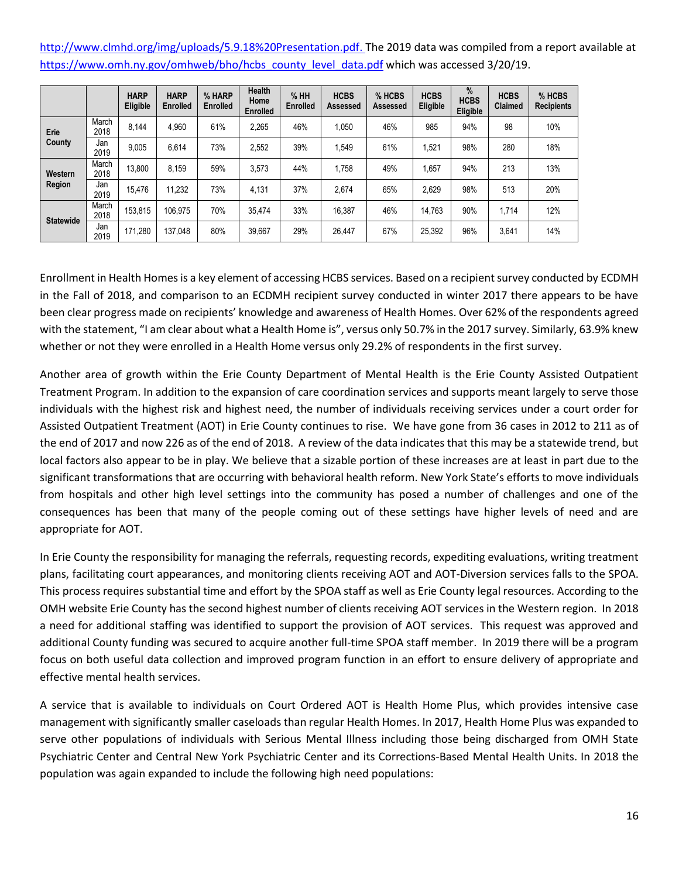[http://www.clmhd.org/img/uploads/5.9.18%20Presentation.pdf.](http://www.clmhd.org/img/uploads/5.9.18%20Presentation.pdf) The 2019 data was compiled from a report available at [https://www.omh.ny.gov/omhweb/bho/hcbs\\_county\\_level\\_data.pdf](https://www.omh.ny.gov/omhweb/bho/hcbs_county_level_data.pdf) which was accessed 3/20/19.

|                  |               | <b>HARP</b><br>Eligible | <b>HARP</b><br><b>Enrolled</b> | % HARP<br><b>Enrolled</b> | <b>Health</b><br>Home<br><b>Enrolled</b> | %HH<br>Enrolled | <b>HCBS</b><br>Assessed | % HCBS<br>Assessed | <b>HCBS</b><br>Eligible | $\frac{9}{6}$<br><b>HCBS</b><br>Eligible | <b>HCBS</b><br>Claimed | % HCBS<br><b>Recipients</b> |
|------------------|---------------|-------------------------|--------------------------------|---------------------------|------------------------------------------|-----------------|-------------------------|--------------------|-------------------------|------------------------------------------|------------------------|-----------------------------|
| Erie             | March<br>2018 | 8.144                   | 4.960                          | 61%                       | 2,265                                    | 46%             | 1,050                   | 46%                | 985                     | 94%                                      | 98                     | 10%                         |
| County           | Jan<br>2019   | 9.005                   | 6.614                          | 73%                       | 2.552                                    | 39%             | 1.549                   | 61%                | 1.521                   | 98%                                      | 280                    | 18%                         |
| Western          | March<br>2018 | 13.800                  | 8.159                          | 59%                       | 3.573                                    | 44%             | 1,758                   | 49%                | 1.657                   | 94%                                      | 213                    | 13%                         |
| Region           | Jan<br>2019   | 15.476                  | 11,232                         | 73%                       | 4.131                                    | 37%             | 2.674                   | 65%                | 2.629                   | 98%                                      | 513                    | 20%                         |
| <b>Statewide</b> | March<br>2018 | 153,815                 | 106,975                        | 70%                       | 35.474                                   | 33%             | 16,387                  | 46%                | 14.763                  | 90%                                      | 1,714                  | 12%                         |
|                  | Jan<br>2019   | 171,280                 | 137.048                        | 80%                       | 39.667                                   | 29%             | 26,447                  | 67%                | 25.392                  | 96%                                      | 3,641                  | 14%                         |

Enrollment in Health Homes is a key element of accessing HCBS services. Based on a recipient survey conducted by ECDMH in the Fall of 2018, and comparison to an ECDMH recipient survey conducted in winter 2017 there appears to be have been clear progress made on recipients' knowledge and awareness of Health Homes. Over 62% of the respondents agreed with the statement, "I am clear about what a Health Home is", versus only 50.7% in the 2017 survey. Similarly, 63.9% knew whether or not they were enrolled in a Health Home versus only 29.2% of respondents in the first survey.

Another area of growth within the Erie County Department of Mental Health is the Erie County Assisted Outpatient Treatment Program. In addition to the expansion of care coordination services and supports meant largely to serve those individuals with the highest risk and highest need, the number of individuals receiving services under a court order for Assisted Outpatient Treatment (AOT) in Erie County continues to rise. We have gone from 36 cases in 2012 to 211 as of the end of 2017 and now 226 as of the end of 2018. A review of the data indicates that this may be a statewide trend, but local factors also appear to be in play. We believe that a sizable portion of these increases are at least in part due to the significant transformations that are occurring with behavioral health reform. New York State's efforts to move individuals from hospitals and other high level settings into the community has posed a number of challenges and one of the consequences has been that many of the people coming out of these settings have higher levels of need and are appropriate for AOT.

In Erie County the responsibility for managing the referrals, requesting records, expediting evaluations, writing treatment plans, facilitating court appearances, and monitoring clients receiving AOT and AOT-Diversion services falls to the SPOA. This process requires substantial time and effort by the SPOA staff as well as Erie County legal resources. According to the OMH website Erie County has the second highest number of clients receiving AOT services in the Western region. In 2018 a need for additional staffing was identified to support the provision of AOT services. This request was approved and additional County funding was secured to acquire another full-time SPOA staff member. In 2019 there will be a program focus on both useful data collection and improved program function in an effort to ensure delivery of appropriate and effective mental health services.

A service that is available to individuals on Court Ordered AOT is Health Home Plus, which provides intensive case management with significantly smaller caseloads than regular Health Homes. In 2017, Health Home Plus was expanded to serve other populations of individuals with Serious Mental Illness including those being discharged from OMH State Psychiatric Center and Central New York Psychiatric Center and its Corrections-Based Mental Health Units. In 2018 the population was again expanded to include the following high need populations: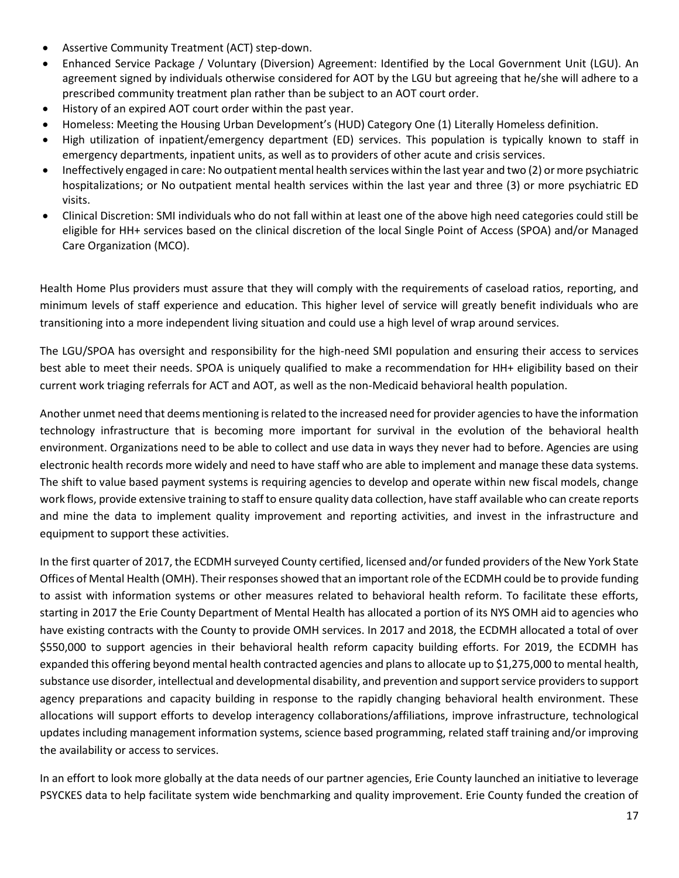- Assertive Community Treatment (ACT) step-down.
- Enhanced Service Package / Voluntary (Diversion) Agreement: Identified by the Local Government Unit (LGU). An agreement signed by individuals otherwise considered for AOT by the LGU but agreeing that he/she will adhere to a prescribed community treatment plan rather than be subject to an AOT court order.
- History of an expired AOT court order within the past year.
- Homeless: Meeting the Housing Urban Development's (HUD) Category One (1) Literally Homeless definition.
- High utilization of inpatient/emergency department (ED) services. This population is typically known to staff in emergency departments, inpatient units, as well as to providers of other acute and crisis services.
- Ineffectively engaged in care: No outpatient mental health services within the last year and two (2) or more psychiatric hospitalizations; or No outpatient mental health services within the last year and three (3) or more psychiatric ED visits.
- Clinical Discretion: SMI individuals who do not fall within at least one of the above high need categories could still be eligible for HH+ services based on the clinical discretion of the local Single Point of Access (SPOA) and/or Managed Care Organization (MCO).

Health Home Plus providers must assure that they will comply with the requirements of caseload ratios, reporting, and minimum levels of staff experience and education. This higher level of service will greatly benefit individuals who are transitioning into a more independent living situation and could use a high level of wrap around services.

The LGU/SPOA has oversight and responsibility for the high-need SMI population and ensuring their access to services best able to meet their needs. SPOA is uniquely qualified to make a recommendation for HH+ eligibility based on their current work triaging referrals for ACT and AOT, as well as the non-Medicaid behavioral health population.

Another unmet need that deems mentioning is related to the increased need for provider agencies to have the information technology infrastructure that is becoming more important for survival in the evolution of the behavioral health environment. Organizations need to be able to collect and use data in ways they never had to before. Agencies are using electronic health records more widely and need to have staff who are able to implement and manage these data systems. The shift to value based payment systems is requiring agencies to develop and operate within new fiscal models, change work flows, provide extensive training to staff to ensure quality data collection, have staff available who can create reports and mine the data to implement quality improvement and reporting activities, and invest in the infrastructure and equipment to support these activities.

In the first quarter of 2017, the ECDMH surveyed County certified, licensed and/or funded providers of the New York State Offices of Mental Health (OMH). Their responses showed that an important role of the ECDMH could be to provide funding to assist with information systems or other measures related to behavioral health reform. To facilitate these efforts, starting in 2017 the Erie County Department of Mental Health has allocated a portion of its NYS OMH aid to agencies who have existing contracts with the County to provide OMH services. In 2017 and 2018, the ECDMH allocated a total of over \$550,000 to support agencies in their behavioral health reform capacity building efforts. For 2019, the ECDMH has expanded this offering beyond mental health contracted agencies and plans to allocate up to \$1,275,000 to mental health, substance use disorder, intellectual and developmental disability, and prevention and support service providers to support agency preparations and capacity building in response to the rapidly changing behavioral health environment. These allocations will support efforts to develop interagency collaborations/affiliations, improve infrastructure, technological updates including management information systems, science based programming, related staff training and/or improving the availability or access to services.

In an effort to look more globally at the data needs of our partner agencies, Erie County launched an initiative to leverage PSYCKES data to help facilitate system wide benchmarking and quality improvement. Erie County funded the creation of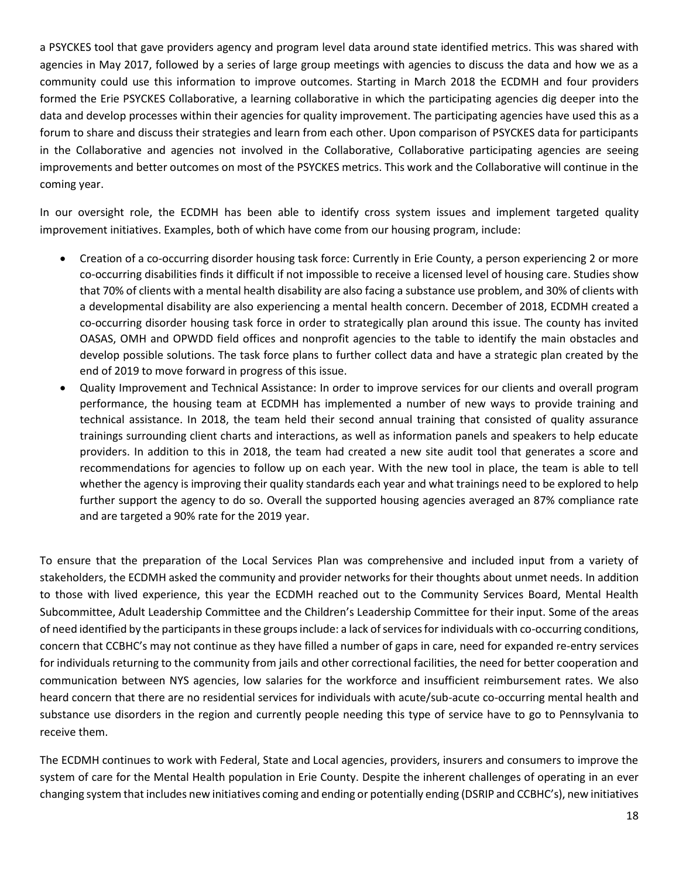a PSYCKES tool that gave providers agency and program level data around state identified metrics. This was shared with agencies in May 2017, followed by a series of large group meetings with agencies to discuss the data and how we as a community could use this information to improve outcomes. Starting in March 2018 the ECDMH and four providers formed the Erie PSYCKES Collaborative, a learning collaborative in which the participating agencies dig deeper into the data and develop processes within their agencies for quality improvement. The participating agencies have used this as a forum to share and discuss their strategies and learn from each other. Upon comparison of PSYCKES data for participants in the Collaborative and agencies not involved in the Collaborative, Collaborative participating agencies are seeing improvements and better outcomes on most of the PSYCKES metrics. This work and the Collaborative will continue in the coming year.

In our oversight role, the ECDMH has been able to identify cross system issues and implement targeted quality improvement initiatives. Examples, both of which have come from our housing program, include:

- Creation of a co-occurring disorder housing task force: Currently in Erie County, a person experiencing 2 or more co-occurring disabilities finds it difficult if not impossible to receive a licensed level of housing care. Studies show that 70% of clients with a mental health disability are also facing a substance use problem, and 30% of clients with a developmental disability are also experiencing a mental health concern. December of 2018, ECDMH created a co-occurring disorder housing task force in order to strategically plan around this issue. The county has invited OASAS, OMH and OPWDD field offices and nonprofit agencies to the table to identify the main obstacles and develop possible solutions. The task force plans to further collect data and have a strategic plan created by the end of 2019 to move forward in progress of this issue.
- Quality Improvement and Technical Assistance: In order to improve services for our clients and overall program performance, the housing team at ECDMH has implemented a number of new ways to provide training and technical assistance. In 2018, the team held their second annual training that consisted of quality assurance trainings surrounding client charts and interactions, as well as information panels and speakers to help educate providers. In addition to this in 2018, the team had created a new site audit tool that generates a score and recommendations for agencies to follow up on each year. With the new tool in place, the team is able to tell whether the agency is improving their quality standards each year and what trainings need to be explored to help further support the agency to do so. Overall the supported housing agencies averaged an 87% compliance rate and are targeted a 90% rate for the 2019 year.

To ensure that the preparation of the Local Services Plan was comprehensive and included input from a variety of stakeholders, the ECDMH asked the community and provider networks for their thoughts about unmet needs. In addition to those with lived experience, this year the ECDMH reached out to the Community Services Board, Mental Health Subcommittee, Adult Leadership Committee and the Children's Leadership Committee for their input. Some of the areas of need identified by the participants in these groups include: a lack of services for individuals with co-occurring conditions, concern that CCBHC's may not continue as they have filled a number of gaps in care, need for expanded re-entry services for individuals returning to the community from jails and other correctional facilities, the need for better cooperation and communication between NYS agencies, low salaries for the workforce and insufficient reimbursement rates. We also heard concern that there are no residential services for individuals with acute/sub-acute co-occurring mental health and substance use disorders in the region and currently people needing this type of service have to go to Pennsylvania to receive them.

The ECDMH continues to work with Federal, State and Local agencies, providers, insurers and consumers to improve the system of care for the Mental Health population in Erie County. Despite the inherent challenges of operating in an ever changing system that includes new initiatives coming and ending or potentially ending (DSRIP and CCBHC's), new initiatives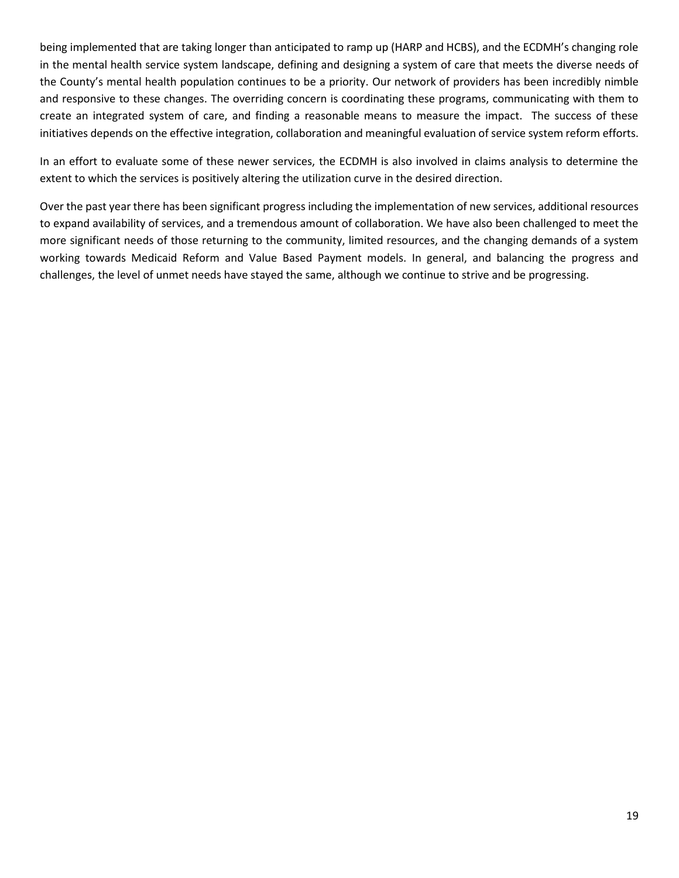being implemented that are taking longer than anticipated to ramp up (HARP and HCBS), and the ECDMH's changing role in the mental health service system landscape, defining and designing a system of care that meets the diverse needs of the County's mental health population continues to be a priority. Our network of providers has been incredibly nimble and responsive to these changes. The overriding concern is coordinating these programs, communicating with them to create an integrated system of care, and finding a reasonable means to measure the impact. The success of these initiatives depends on the effective integration, collaboration and meaningful evaluation of service system reform efforts.

In an effort to evaluate some of these newer services, the ECDMH is also involved in claims analysis to determine the extent to which the services is positively altering the utilization curve in the desired direction.

Over the past year there has been significant progress including the implementation of new services, additional resources to expand availability of services, and a tremendous amount of collaboration. We have also been challenged to meet the more significant needs of those returning to the community, limited resources, and the changing demands of a system working towards Medicaid Reform and Value Based Payment models. In general, and balancing the progress and challenges, the level of unmet needs have stayed the same, although we continue to strive and be progressing.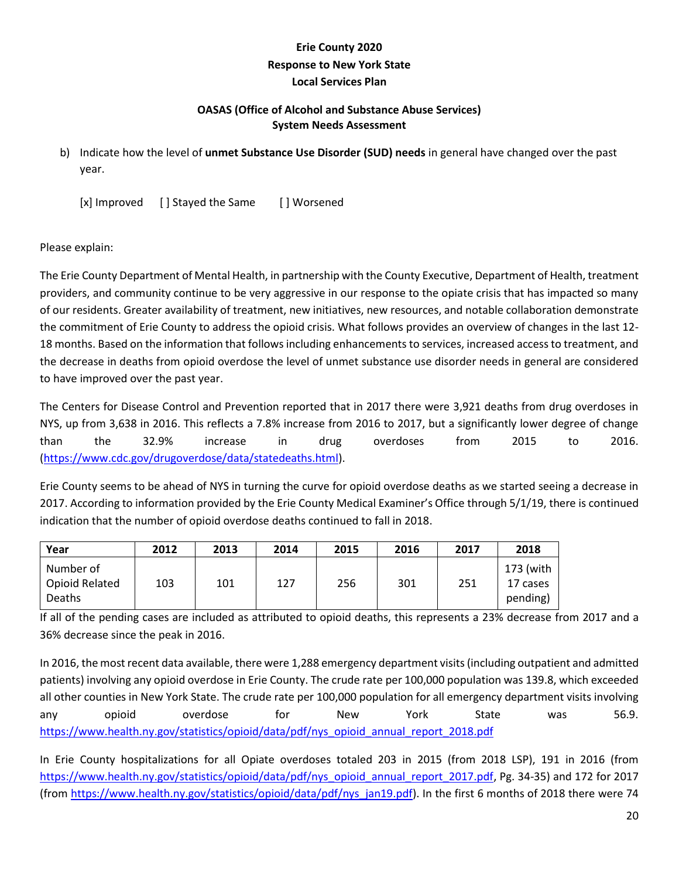# **Erie County 2020 Response to New York State Local Services Plan**

## **OASAS (Office of Alcohol and Substance Abuse Services) System Needs Assessment**

b) Indicate how the level of **unmet Substance Use Disorder (SUD) needs** in general have changed over the past year.

[x] Improved [ ] Stayed the Same [ ] Worsened

#### Please explain:

The Erie County Department of Mental Health, in partnership with the County Executive, Department of Health, treatment providers, and community continue to be very aggressive in our response to the opiate crisis that has impacted so many of our residents. Greater availability of treatment, new initiatives, new resources, and notable collaboration demonstrate the commitment of Erie County to address the opioid crisis. What follows provides an overview of changes in the last 12- 18 months. Based on the information that follows including enhancements to services, increased access to treatment, and the decrease in deaths from opioid overdose the level of unmet substance use disorder needs in general are considered to have improved over the past year.

The Centers for Disease Control and Prevention reported that in 2017 there were 3,921 deaths from drug overdoses in NYS, up from 3,638 in 2016. This reflects a 7.8% increase from 2016 to 2017, but a significantly lower degree of change than the 32.9% increase in drug overdoses from 2015 to 2016. [\(https://www.cdc.gov/drugoverdose/data/statedeaths.html\)](https://www.cdc.gov/drugoverdose/data/statedeaths.html).

Erie County seems to be ahead of NYS in turning the curve for opioid overdose deaths as we started seeing a decrease in 2017. According to information provided by the Erie County Medical Examiner's Office through 5/1/19, there is continued indication that the number of opioid overdose deaths continued to fall in 2018.

| Year                                         | 2012 | 2013 | 2014 | 2015 | 2016 | 2017 | 2018                              |
|----------------------------------------------|------|------|------|------|------|------|-----------------------------------|
| Number of<br>Opioid Related<br><b>Deaths</b> | 103  | 101  | 127  | 256  | 301  | 251  | 173 (with<br>17 cases<br>pending) |

If all of the pending cases are included as attributed to opioid deaths, this represents a 23% decrease from 2017 and a 36% decrease since the peak in 2016.

In 2016, the most recent data available, there were 1,288 emergency department visits (including outpatient and admitted patients) involving any opioid overdose in Erie County. The crude rate per 100,000 population was 139.8, which exceeded all other counties in New York State. The crude rate per 100,000 population for all emergency department visits involving any opioid overdose for New York State was 56.9. [https://www.health.ny.gov/statistics/opioid/data/pdf/nys\\_opioid\\_annual\\_report\\_2018.pdf](https://www.health.ny.gov/statistics/opioid/data/pdf/nys_opioid_annual_report_2018.pdf)

In Erie County hospitalizations for all Opiate overdoses totaled 203 in 2015 (from 2018 LSP), 191 in 2016 (from [https://www.health.ny.gov/statistics/opioid/data/pdf/nys\\_opioid\\_annual\\_report\\_2017.pdf,](https://www.health.ny.gov/statistics/opioid/data/pdf/nys_opioid_annual_report_2017.pdf) Pg. 34-35) and 172 for 2017 (from [https://www.health.ny.gov/statistics/opioid/data/pdf/nys\\_jan19.pdf\)](https://www.health.ny.gov/statistics/opioid/data/pdf/nys_jan19.pdf). In the first 6 months of 2018 there were 74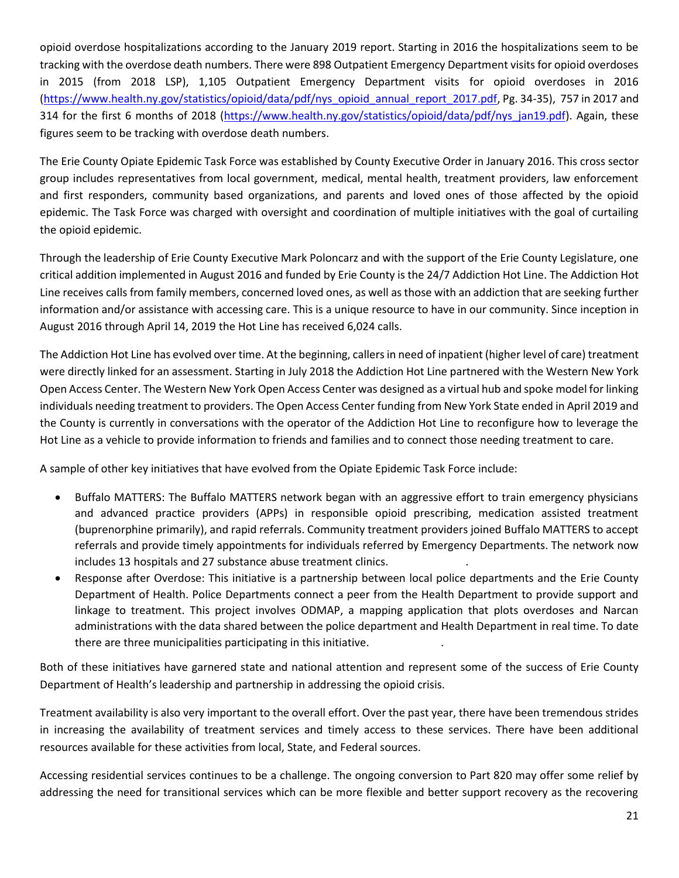opioid overdose hospitalizations according to the January 2019 report. Starting in 2016 the hospitalizations seem to be tracking with the overdose death numbers. There were 898 Outpatient Emergency Department visits for opioid overdoses in 2015 (from 2018 LSP), 1,105 Outpatient Emergency Department visits for opioid overdoses in 2016 [\(https://www.health.ny.gov/statistics/opioid/data/pdf/nys\\_opioid\\_annual\\_report\\_2017.pdf,](https://www.health.ny.gov/statistics/opioid/data/pdf/nys_opioid_annual_report_2017.pdf) Pg. 34-35), 757 in 2017 and 314 for the first 6 months of 2018 [\(https://www.health.ny.gov/statistics/opioid/data/pdf/nys\\_jan19.pdf\)](https://www.health.ny.gov/statistics/opioid/data/pdf/nys_jan19.pdf). Again, these figures seem to be tracking with overdose death numbers.

The Erie County Opiate Epidemic Task Force was established by County Executive Order in January 2016. This cross sector group includes representatives from local government, medical, mental health, treatment providers, law enforcement and first responders, community based organizations, and parents and loved ones of those affected by the opioid epidemic. The Task Force was charged with oversight and coordination of multiple initiatives with the goal of curtailing the opioid epidemic.

Through the leadership of Erie County Executive Mark Poloncarz and with the support of the Erie County Legislature, one critical addition implemented in August 2016 and funded by Erie County is the 24/7 Addiction Hot Line. The Addiction Hot Line receives calls from family members, concerned loved ones, as well as those with an addiction that are seeking further information and/or assistance with accessing care. This is a unique resource to have in our community. Since inception in August 2016 through April 14, 2019 the Hot Line has received 6,024 calls.

The Addiction Hot Line has evolved over time. At the beginning, callers in need of inpatient (higher level of care) treatment were directly linked for an assessment. Starting in July 2018 the Addiction Hot Line partnered with the Western New York Open Access Center. The Western New York Open Access Center was designed as a virtual hub and spoke model for linking individuals needing treatment to providers. The Open Access Center funding from New York State ended in April 2019 and the County is currently in conversations with the operator of the Addiction Hot Line to reconfigure how to leverage the Hot Line as a vehicle to provide information to friends and families and to connect those needing treatment to care.

A sample of other key initiatives that have evolved from the Opiate Epidemic Task Force include:

- Buffalo MATTERS: The Buffalo MATTERS network began with an aggressive effort to train emergency physicians and advanced practice providers (APPs) in responsible opioid prescribing, medication assisted treatment (buprenorphine primarily), and rapid referrals. Community treatment providers joined Buffalo MATTERS to accept referrals and provide timely appointments for individuals referred by Emergency Departments. The network now includes 13 hospitals and 27 substance abuse treatment clinics. .
- Response after Overdose: This initiative is a partnership between local police departments and the Erie County Department of Health. Police Departments connect a peer from the Health Department to provide support and linkage to treatment. This project involves ODMAP, a mapping application that plots overdoses and Narcan administrations with the data shared between the police department and Health Department in real time. To date there are three municipalities participating in this initiative. .

Both of these initiatives have garnered state and national attention and represent some of the success of Erie County Department of Health's leadership and partnership in addressing the opioid crisis.

Treatment availability is also very important to the overall effort. Over the past year, there have been tremendous strides in increasing the availability of treatment services and timely access to these services. There have been additional resources available for these activities from local, State, and Federal sources.

Accessing residential services continues to be a challenge. The ongoing conversion to Part 820 may offer some relief by addressing the need for transitional services which can be more flexible and better support recovery as the recovering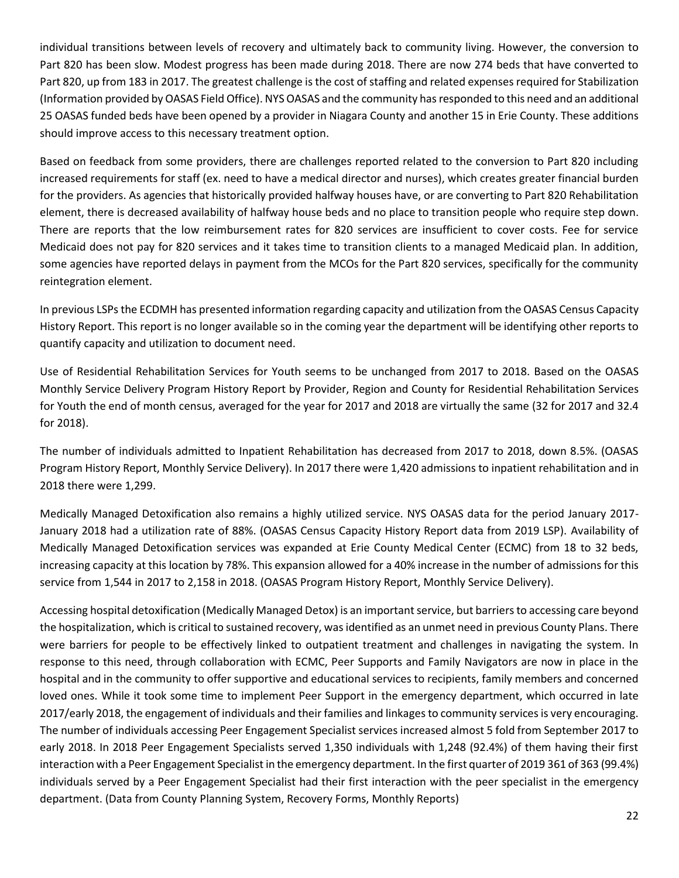individual transitions between levels of recovery and ultimately back to community living. However, the conversion to Part 820 has been slow. Modest progress has been made during 2018. There are now 274 beds that have converted to Part 820, up from 183 in 2017. The greatest challenge is the cost of staffing and related expenses required for Stabilization (Information provided by OASAS Field Office). NYS OASAS and the community has responded to this need and an additional 25 OASAS funded beds have been opened by a provider in Niagara County and another 15 in Erie County. These additions should improve access to this necessary treatment option.

Based on feedback from some providers, there are challenges reported related to the conversion to Part 820 including increased requirements for staff (ex. need to have a medical director and nurses), which creates greater financial burden for the providers. As agencies that historically provided halfway houses have, or are converting to Part 820 Rehabilitation element, there is decreased availability of halfway house beds and no place to transition people who require step down. There are reports that the low reimbursement rates for 820 services are insufficient to cover costs. Fee for service Medicaid does not pay for 820 services and it takes time to transition clients to a managed Medicaid plan. In addition, some agencies have reported delays in payment from the MCOs for the Part 820 services, specifically for the community reintegration element.

In previous LSPs the ECDMH has presented information regarding capacity and utilization from the OASAS Census Capacity History Report. This report is no longer available so in the coming year the department will be identifying other reports to quantify capacity and utilization to document need.

Use of Residential Rehabilitation Services for Youth seems to be unchanged from 2017 to 2018. Based on the OASAS Monthly Service Delivery Program History Report by Provider, Region and County for Residential Rehabilitation Services for Youth the end of month census, averaged for the year for 2017 and 2018 are virtually the same (32 for 2017 and 32.4 for 2018).

The number of individuals admitted to Inpatient Rehabilitation has decreased from 2017 to 2018, down 8.5%. (OASAS Program History Report, Monthly Service Delivery). In 2017 there were 1,420 admissions to inpatient rehabilitation and in 2018 there were 1,299.

Medically Managed Detoxification also remains a highly utilized service. NYS OASAS data for the period January 2017- January 2018 had a utilization rate of 88%. (OASAS Census Capacity History Report data from 2019 LSP). Availability of Medically Managed Detoxification services was expanded at Erie County Medical Center (ECMC) from 18 to 32 beds, increasing capacity at this location by 78%. This expansion allowed for a 40% increase in the number of admissions for this service from 1,544 in 2017 to 2,158 in 2018. (OASAS Program History Report, Monthly Service Delivery).

Accessing hospital detoxification (Medically Managed Detox) is an important service, but barriers to accessing care beyond the hospitalization, which is critical to sustained recovery, was identified as an unmet need in previous County Plans. There were barriers for people to be effectively linked to outpatient treatment and challenges in navigating the system. In response to this need, through collaboration with ECMC, Peer Supports and Family Navigators are now in place in the hospital and in the community to offer supportive and educational services to recipients, family members and concerned loved ones. While it took some time to implement Peer Support in the emergency department, which occurred in late 2017/early 2018, the engagement of individuals and their families and linkages to community services is very encouraging. The number of individuals accessing Peer Engagement Specialist services increased almost 5 fold from September 2017 to early 2018. In 2018 Peer Engagement Specialists served 1,350 individuals with 1,248 (92.4%) of them having their first interaction with a Peer Engagement Specialist in the emergency department. In the first quarter of 2019 361 of 363 (99.4%) individuals served by a Peer Engagement Specialist had their first interaction with the peer specialist in the emergency department. (Data from County Planning System, Recovery Forms, Monthly Reports)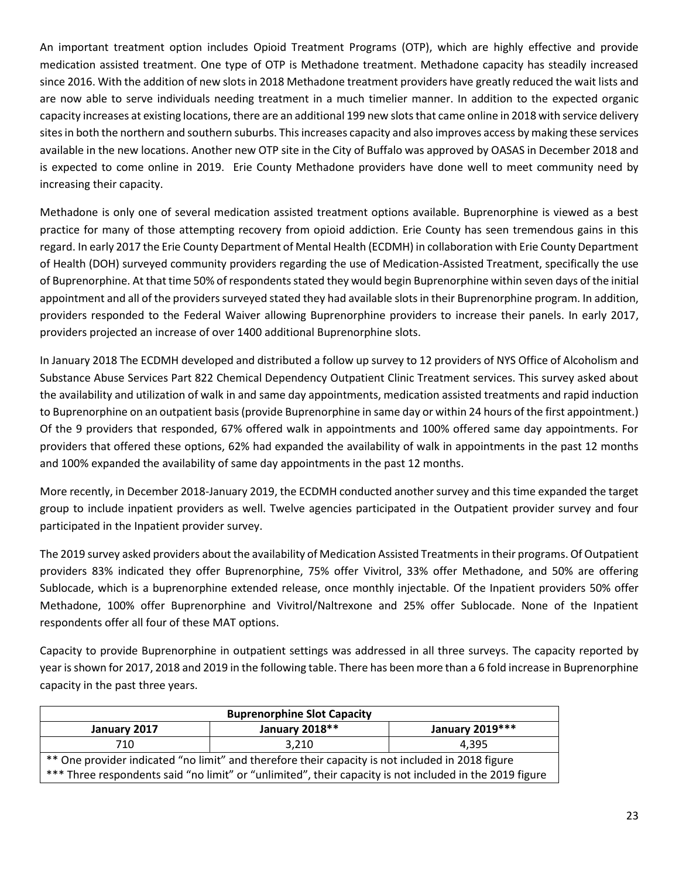An important treatment option includes Opioid Treatment Programs (OTP), which are highly effective and provide medication assisted treatment. One type of OTP is Methadone treatment. Methadone capacity has steadily increased since 2016. With the addition of new slots in 2018 Methadone treatment providers have greatly reduced the wait lists and are now able to serve individuals needing treatment in a much timelier manner. In addition to the expected organic capacity increases at existing locations, there are an additional 199 new slots that came online in 2018 with service delivery sites in both the northern and southern suburbs. This increases capacity and also improves access by making these services available in the new locations. Another new OTP site in the City of Buffalo was approved by OASAS in December 2018 and is expected to come online in 2019. Erie County Methadone providers have done well to meet community need by increasing their capacity.

Methadone is only one of several medication assisted treatment options available. Buprenorphine is viewed as a best practice for many of those attempting recovery from opioid addiction. Erie County has seen tremendous gains in this regard. In early 2017 the Erie County Department of Mental Health (ECDMH) in collaboration with Erie County Department of Health (DOH) surveyed community providers regarding the use of Medication-Assisted Treatment, specifically the use of Buprenorphine. At that time 50% of respondents stated they would begin Buprenorphine within seven days of the initial appointment and all of the providers surveyed stated they had available slots in their Buprenorphine program. In addition, providers responded to the Federal Waiver allowing Buprenorphine providers to increase their panels. In early 2017, providers projected an increase of over 1400 additional Buprenorphine slots.

In January 2018 The ECDMH developed and distributed a follow up survey to 12 providers of NYS Office of Alcoholism and Substance Abuse Services Part 822 Chemical Dependency Outpatient Clinic Treatment services. This survey asked about the availability and utilization of walk in and same day appointments, medication assisted treatments and rapid induction to Buprenorphine on an outpatient basis (provide Buprenorphine in same day or within 24 hours of the first appointment.) Of the 9 providers that responded, 67% offered walk in appointments and 100% offered same day appointments. For providers that offered these options, 62% had expanded the availability of walk in appointments in the past 12 months and 100% expanded the availability of same day appointments in the past 12 months.

More recently, in December 2018-January 2019, the ECDMH conducted another survey and this time expanded the target group to include inpatient providers as well. Twelve agencies participated in the Outpatient provider survey and four participated in the Inpatient provider survey.

The 2019 survey asked providers about the availability of Medication Assisted Treatmentsin their programs. Of Outpatient providers 83% indicated they offer Buprenorphine, 75% offer Vivitrol, 33% offer Methadone, and 50% are offering Sublocade, which is a buprenorphine extended release, once monthly injectable. Of the Inpatient providers 50% offer Methadone, 100% offer Buprenorphine and Vivitrol/Naltrexone and 25% offer Sublocade. None of the Inpatient respondents offer all four of these MAT options.

Capacity to provide Buprenorphine in outpatient settings was addressed in all three surveys. The capacity reported by year is shown for 2017, 2018 and 2019 in the following table. There has been more than a 6 fold increase in Buprenorphine capacity in the past three years.

| <b>Buprenorphine Slot Capacity</b>                                                               |                                                                                                         |       |  |  |  |  |  |  |  |
|--------------------------------------------------------------------------------------------------|---------------------------------------------------------------------------------------------------------|-------|--|--|--|--|--|--|--|
| January 2019***<br>January 2018**<br>January 2017                                                |                                                                                                         |       |  |  |  |  |  |  |  |
| 710                                                                                              | 3.210                                                                                                   | 4.395 |  |  |  |  |  |  |  |
| ** One provider indicated "no limit" and therefore their capacity is not included in 2018 figure |                                                                                                         |       |  |  |  |  |  |  |  |
|                                                                                                  | *** Three respondents said "no limit" or "unlimited", their capacity is not included in the 2019 figure |       |  |  |  |  |  |  |  |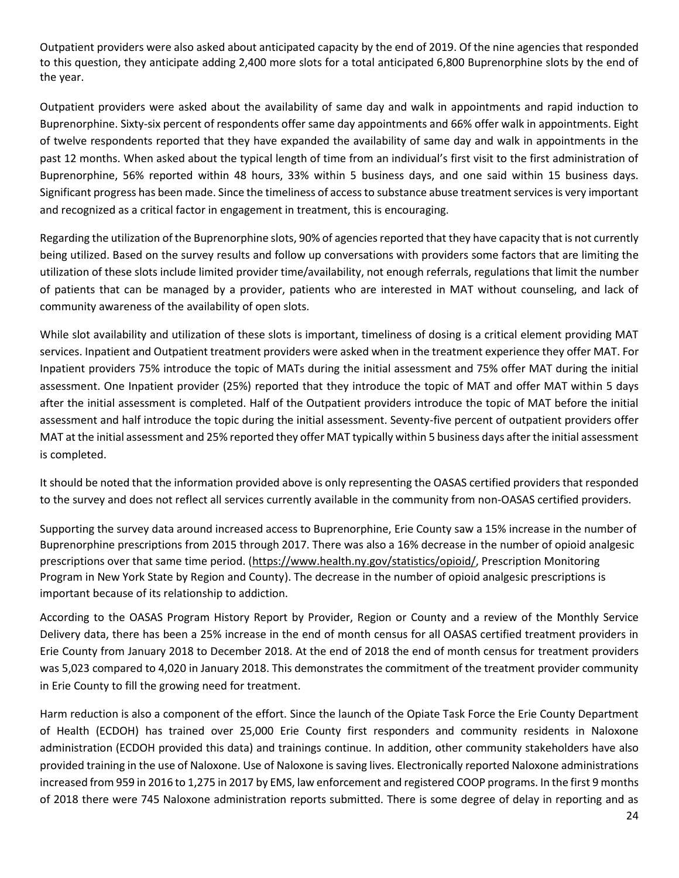Outpatient providers were also asked about anticipated capacity by the end of 2019. Of the nine agencies that responded to this question, they anticipate adding 2,400 more slots for a total anticipated 6,800 Buprenorphine slots by the end of the year.

Outpatient providers were asked about the availability of same day and walk in appointments and rapid induction to Buprenorphine. Sixty-six percent of respondents offer same day appointments and 66% offer walk in appointments. Eight of twelve respondents reported that they have expanded the availability of same day and walk in appointments in the past 12 months. When asked about the typical length of time from an individual's first visit to the first administration of Buprenorphine, 56% reported within 48 hours, 33% within 5 business days, and one said within 15 business days. Significant progress has been made. Since the timeliness of access to substance abuse treatment services is very important and recognized as a critical factor in engagement in treatment, this is encouraging.

Regarding the utilization of the Buprenorphine slots, 90% of agencies reported that they have capacity that is not currently being utilized. Based on the survey results and follow up conversations with providers some factors that are limiting the utilization of these slots include limited provider time/availability, not enough referrals, regulations that limit the number of patients that can be managed by a provider, patients who are interested in MAT without counseling, and lack of community awareness of the availability of open slots.

While slot availability and utilization of these slots is important, timeliness of dosing is a critical element providing MAT services. Inpatient and Outpatient treatment providers were asked when in the treatment experience they offer MAT. For Inpatient providers 75% introduce the topic of MATs during the initial assessment and 75% offer MAT during the initial assessment. One Inpatient provider (25%) reported that they introduce the topic of MAT and offer MAT within 5 days after the initial assessment is completed. Half of the Outpatient providers introduce the topic of MAT before the initial assessment and half introduce the topic during the initial assessment. Seventy-five percent of outpatient providers offer MAT at the initial assessment and 25% reported they offer MAT typically within 5 business days after the initial assessment is completed.

It should be noted that the information provided above is only representing the OASAS certified providers that responded to the survey and does not reflect all services currently available in the community from non-OASAS certified providers.

Supporting the survey data around increased access to Buprenorphine, Erie County saw a 15% increase in the number of Buprenorphine prescriptions from 2015 through 2017. There was also a 16% decrease in the number of opioid analgesic prescriptions over that same time period. [\(https://www.health.ny.gov/statistics/opioid/,](https://www.health.ny.gov/statistics/opioid/) Prescription Monitoring Program in New York State by Region and County). The decrease in the number of opioid analgesic prescriptions is important because of its relationship to addiction.

According to the OASAS Program History Report by Provider, Region or County and a review of the Monthly Service Delivery data, there has been a 25% increase in the end of month census for all OASAS certified treatment providers in Erie County from January 2018 to December 2018. At the end of 2018 the end of month census for treatment providers was 5,023 compared to 4,020 in January 2018. This demonstrates the commitment of the treatment provider community in Erie County to fill the growing need for treatment.

Harm reduction is also a component of the effort. Since the launch of the Opiate Task Force the Erie County Department of Health (ECDOH) has trained over 25,000 Erie County first responders and community residents in Naloxone administration (ECDOH provided this data) and trainings continue. In addition, other community stakeholders have also provided training in the use of Naloxone. Use of Naloxone is saving lives. Electronically reported Naloxone administrations increased from 959 in 2016 to 1,275 in 2017 by EMS, law enforcement and registered COOP programs. In the first 9 months of 2018 there were 745 Naloxone administration reports submitted. There is some degree of delay in reporting and as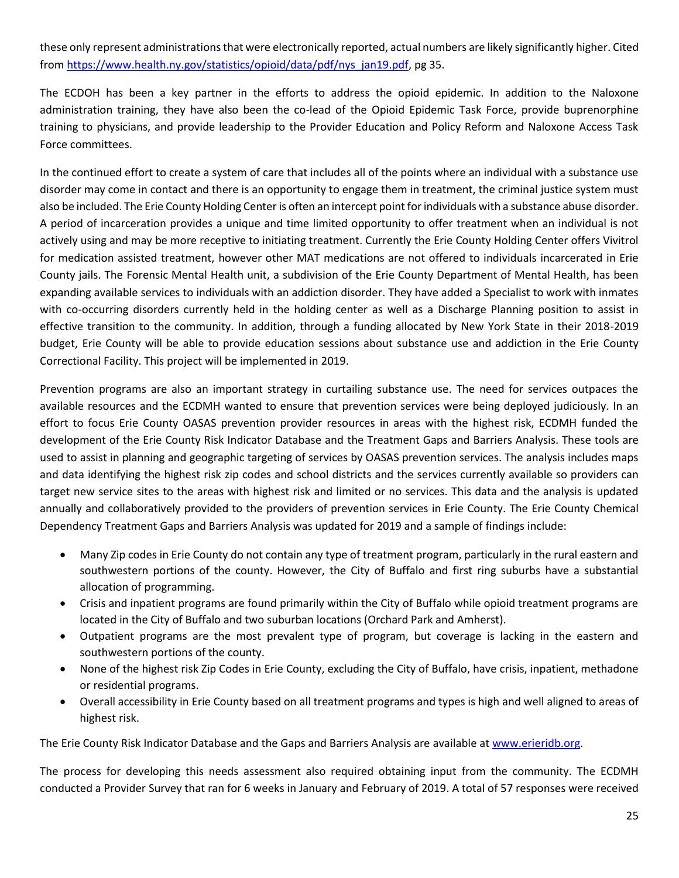these only represent administrations that were electronically reported, actual numbers are likely significantly higher. Cited from [https://www.health.ny.gov/statistics/opioid/data/pdf/nys\\_jan19.pdf,](https://www.health.ny.gov/statistics/opioid/data/pdf/nys_jan19.pdf) pg 35.

The ECDOH has been a key partner in the efforts to address the opioid epidemic. In addition to the Naloxone administration training, they have also been the co-lead of the Opioid Epidemic Task Force, provide buprenorphine training to physicians, and provide leadership to the Provider Education and Policy Reform and Naloxone Access Task Force committees.

In the continued effort to create a system of care that includes all of the points where an individual with a substance use disorder may come in contact and there is an opportunity to engage them in treatment, the criminal justice system must also be included. The Erie County Holding Center is often an intercept point for individuals with a substance abuse disorder. A period of incarceration provides a unique and time limited opportunity to offer treatment when an individual is not actively using and may be more receptive to initiating treatment. Currently the Erie County Holding Center offers Vivitrol for medication assisted treatment, however other MAT medications are not offered to individuals incarcerated in Erie County jails. The Forensic Mental Health unit, a subdivision of the Erie County Department of Mental Health, has been expanding available services to individuals with an addiction disorder. They have added a Specialist to work with inmates with co-occurring disorders currently held in the holding center as well as a Discharge Planning position to assist in effective transition to the community. In addition, through a funding allocated by New York State in their 2018-2019 budget, Erie County will be able to provide education sessions about substance use and addiction in the Erie County Correctional Facility. This project will be implemented in 2019.

Prevention programs are also an important strategy in curtailing substance use. The need for services outpaces the available resources and the ECDMH wanted to ensure that prevention services were being deployed judiciously. In an effort to focus Erie County OASAS prevention provider resources in areas with the highest risk, ECDMH funded the development of the Erie County Risk Indicator Database and the Treatment Gaps and Barriers Analysis. These tools are used to assist in planning and geographic targeting of services by OASAS prevention services. The analysis includes maps and data identifying the highest risk zip codes and school districts and the services currently available so providers can target new service sites to the areas with highest risk and limited or no services. This data and the analysis is updated annually and collaboratively provided to the providers of prevention services in Erie County. The Erie County Chemical Dependency Treatment Gaps and Barriers Analysis was updated for 2019 and a sample of findings include:

- Many Zip codes in Erie County do not contain any type of treatment program, particularly in the rural eastern and southwestern portions of the county. However, the City of Buffalo and first ring suburbs have a substantial allocation of programming.
- Crisis and inpatient programs are found primarily within the City of Buffalo while opioid treatment programs are located in the City of Buffalo and two suburban locations (Orchard Park and Amherst).
- Outpatient programs are the most prevalent type of program, but coverage is lacking in the eastern and southwestern portions of the county.
- None of the highest risk Zip Codes in Erie County, excluding the City of Buffalo, have crisis, inpatient, methadone or residential programs.
- Overall accessibility in Erie County based on all treatment programs and types is high and well aligned to areas of highest risk.

The Erie County Risk Indicator Database and the Gaps and Barriers Analysis are available at [www.erieridb.org.](http://www.erieridb.org/)

The process for developing this needs assessment also required obtaining input from the community. The ECDMH conducted a Provider Survey that ran for 6 weeks in January and February of 2019. A total of 57 responses were received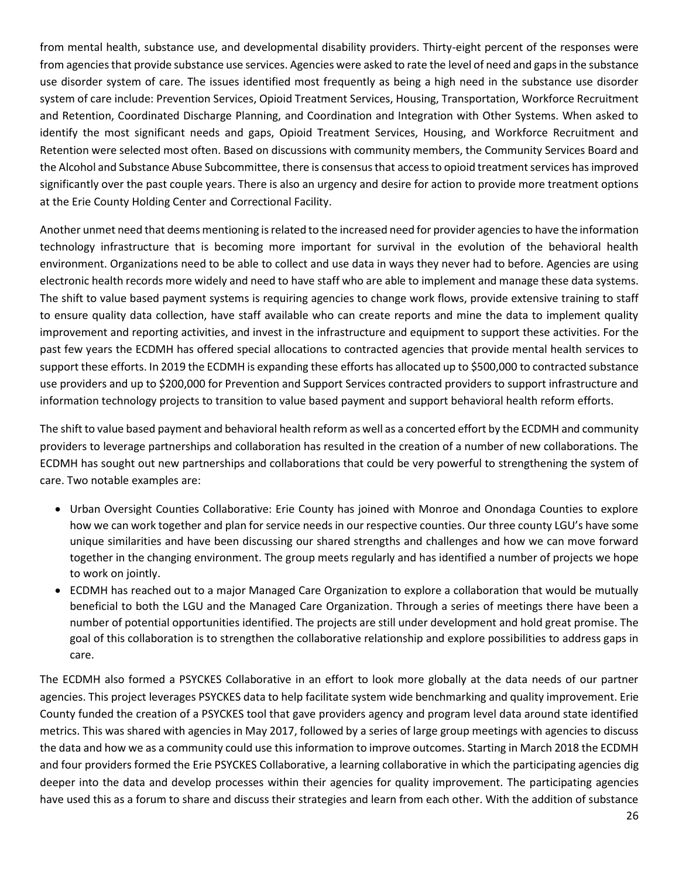from mental health, substance use, and developmental disability providers. Thirty-eight percent of the responses were from agencies that provide substance use services. Agencies were asked to rate the level of need and gaps in the substance use disorder system of care. The issues identified most frequently as being a high need in the substance use disorder system of care include: Prevention Services, Opioid Treatment Services, Housing, Transportation, Workforce Recruitment and Retention, Coordinated Discharge Planning, and Coordination and Integration with Other Systems. When asked to identify the most significant needs and gaps, Opioid Treatment Services, Housing, and Workforce Recruitment and Retention were selected most often. Based on discussions with community members, the Community Services Board and the Alcohol and Substance Abuse Subcommittee, there is consensus that access to opioid treatment services has improved significantly over the past couple years. There is also an urgency and desire for action to provide more treatment options at the Erie County Holding Center and Correctional Facility.

Another unmet need that deems mentioning is related to the increased need for provider agencies to have the information technology infrastructure that is becoming more important for survival in the evolution of the behavioral health environment. Organizations need to be able to collect and use data in ways they never had to before. Agencies are using electronic health records more widely and need to have staff who are able to implement and manage these data systems. The shift to value based payment systems is requiring agencies to change work flows, provide extensive training to staff to ensure quality data collection, have staff available who can create reports and mine the data to implement quality improvement and reporting activities, and invest in the infrastructure and equipment to support these activities. For the past few years the ECDMH has offered special allocations to contracted agencies that provide mental health services to support these efforts. In 2019 the ECDMH is expanding these efforts has allocated up to \$500,000 to contracted substance use providers and up to \$200,000 for Prevention and Support Services contracted providers to support infrastructure and information technology projects to transition to value based payment and support behavioral health reform efforts.

The shift to value based payment and behavioral health reform as well as a concerted effort by the ECDMH and community providers to leverage partnerships and collaboration has resulted in the creation of a number of new collaborations. The ECDMH has sought out new partnerships and collaborations that could be very powerful to strengthening the system of care. Two notable examples are:

- Urban Oversight Counties Collaborative: Erie County has joined with Monroe and Onondaga Counties to explore how we can work together and plan for service needs in our respective counties. Our three county LGU's have some unique similarities and have been discussing our shared strengths and challenges and how we can move forward together in the changing environment. The group meets regularly and has identified a number of projects we hope to work on jointly.
- ECDMH has reached out to a major Managed Care Organization to explore a collaboration that would be mutually beneficial to both the LGU and the Managed Care Organization. Through a series of meetings there have been a number of potential opportunities identified. The projects are still under development and hold great promise. The goal of this collaboration is to strengthen the collaborative relationship and explore possibilities to address gaps in care.

The ECDMH also formed a PSYCKES Collaborative in an effort to look more globally at the data needs of our partner agencies. This project leverages PSYCKES data to help facilitate system wide benchmarking and quality improvement. Erie County funded the creation of a PSYCKES tool that gave providers agency and program level data around state identified metrics. This was shared with agencies in May 2017, followed by a series of large group meetings with agencies to discuss the data and how we as a community could use this information to improve outcomes. Starting in March 2018 the ECDMH and four providers formed the Erie PSYCKES Collaborative, a learning collaborative in which the participating agencies dig deeper into the data and develop processes within their agencies for quality improvement. The participating agencies have used this as a forum to share and discuss their strategies and learn from each other. With the addition of substance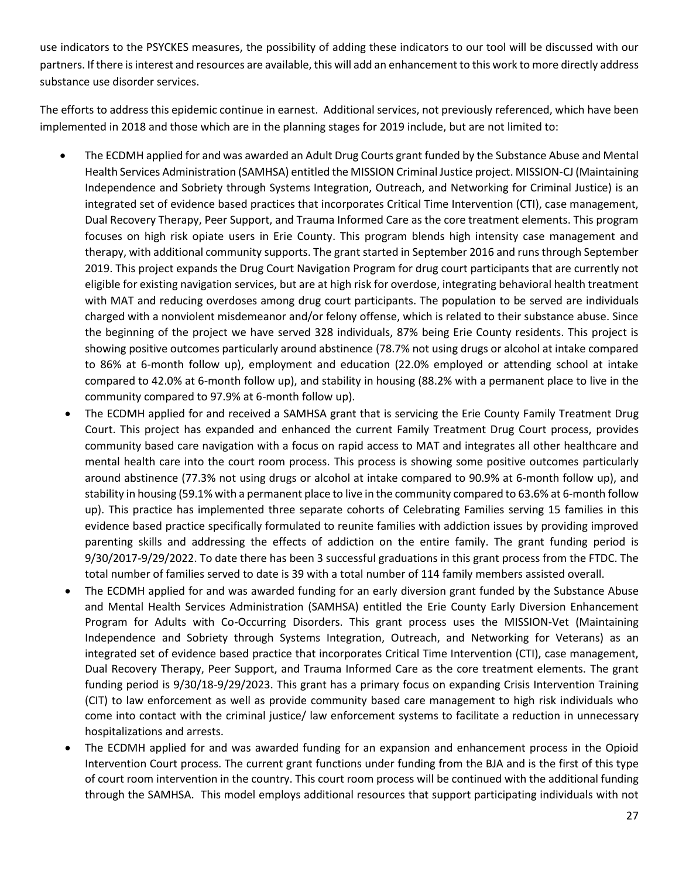use indicators to the PSYCKES measures, the possibility of adding these indicators to our tool will be discussed with our partners. If there is interest and resources are available, this will add an enhancement to this work to more directly address substance use disorder services.

The efforts to address this epidemic continue in earnest. Additional services, not previously referenced, which have been implemented in 2018 and those which are in the planning stages for 2019 include, but are not limited to:

- The ECDMH applied for and was awarded an Adult Drug Courts grant funded by the Substance Abuse and Mental Health Services Administration (SAMHSA) entitled the MISSION Criminal Justice project. MISSION-CJ (Maintaining Independence and Sobriety through Systems Integration, Outreach, and Networking for Criminal Justice) is an integrated set of evidence based practices that incorporates Critical Time Intervention (CTI), case management, Dual Recovery Therapy, Peer Support, and Trauma Informed Care as the core treatment elements. This program focuses on high risk opiate users in Erie County. This program blends high intensity case management and therapy, with additional community supports. The grant started in September 2016 and runs through September 2019. This project expands the Drug Court Navigation Program for drug court participants that are currently not eligible for existing navigation services, but are at high risk for overdose, integrating behavioral health treatment with MAT and reducing overdoses among drug court participants. The population to be served are individuals charged with a nonviolent misdemeanor and/or felony offense, which is related to their substance abuse. Since the beginning of the project we have served 328 individuals, 87% being Erie County residents. This project is showing positive outcomes particularly around abstinence (78.7% not using drugs or alcohol at intake compared to 86% at 6-month follow up), employment and education (22.0% employed or attending school at intake compared to 42.0% at 6-month follow up), and stability in housing (88.2% with a permanent place to live in the community compared to 97.9% at 6-month follow up).
- The ECDMH applied for and received a SAMHSA grant that is servicing the Erie County Family Treatment Drug Court. This project has expanded and enhanced the current Family Treatment Drug Court process, provides community based care navigation with a focus on rapid access to MAT and integrates all other healthcare and mental health care into the court room process. This process is showing some positive outcomes particularly around abstinence (77.3% not using drugs or alcohol at intake compared to 90.9% at 6-month follow up), and stability in housing (59.1% with a permanent place to live in the community compared to 63.6% at 6-month follow up). This practice has implemented three separate cohorts of Celebrating Families serving 15 families in this evidence based practice specifically formulated to reunite families with addiction issues by providing improved parenting skills and addressing the effects of addiction on the entire family. The grant funding period is 9/30/2017-9/29/2022. To date there has been 3 successful graduations in this grant process from the FTDC. The total number of families served to date is 39 with a total number of 114 family members assisted overall.
- The ECDMH applied for and was awarded funding for an early diversion grant funded by the Substance Abuse and Mental Health Services Administration (SAMHSA) entitled the Erie County Early Diversion Enhancement Program for Adults with Co-Occurring Disorders. This grant process uses the MISSION-Vet (Maintaining Independence and Sobriety through Systems Integration, Outreach, and Networking for Veterans) as an integrated set of evidence based practice that incorporates Critical Time Intervention (CTI), case management, Dual Recovery Therapy, Peer Support, and Trauma Informed Care as the core treatment elements. The grant funding period is 9/30/18-9/29/2023. This grant has a primary focus on expanding Crisis Intervention Training (CIT) to law enforcement as well as provide community based care management to high risk individuals who come into contact with the criminal justice/ law enforcement systems to facilitate a reduction in unnecessary hospitalizations and arrests.
- The ECDMH applied for and was awarded funding for an expansion and enhancement process in the Opioid Intervention Court process. The current grant functions under funding from the BJA and is the first of this type of court room intervention in the country. This court room process will be continued with the additional funding through the SAMHSA. This model employs additional resources that support participating individuals with not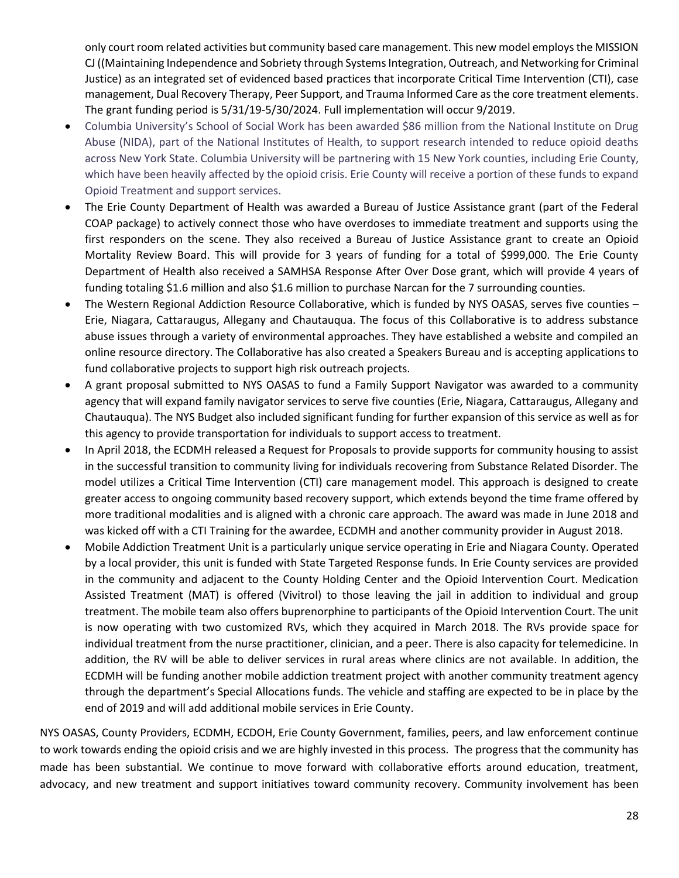only court room related activities but community based care management. This new model employs the MISSION CJ ((Maintaining Independence and Sobriety through Systems Integration, Outreach, and Networking for Criminal Justice) as an integrated set of evidenced based practices that incorporate Critical Time Intervention (CTI), case management, Dual Recovery Therapy, Peer Support, and Trauma Informed Care as the core treatment elements. The grant funding period is 5/31/19-5/30/2024. Full implementation will occur 9/2019.

- Columbia University's School of Social Work has been awarded \$86 million from the National Institute on Drug Abuse (NIDA), part of the National Institutes of Health, to support research intended to reduce opioid deaths across New York State. Columbia University will be partnering with 15 New York counties, including Erie County, which have been heavily affected by the opioid crisis. Erie County will receive a portion of these funds to expand Opioid Treatment and support services.
- The Erie County Department of Health was awarded a Bureau of Justice Assistance grant (part of the Federal COAP package) to actively connect those who have overdoses to immediate treatment and supports using the first responders on the scene. They also received a Bureau of Justice Assistance grant to create an Opioid Mortality Review Board. This will provide for 3 years of funding for a total of \$999,000. The Erie County Department of Health also received a SAMHSA Response After Over Dose grant, which will provide 4 years of funding totaling \$1.6 million and also \$1.6 million to purchase Narcan for the 7 surrounding counties.
- The Western Regional Addiction Resource Collaborative, which is funded by NYS OASAS, serves five counties Erie, Niagara, Cattaraugus, Allegany and Chautauqua. The focus of this Collaborative is to address substance abuse issues through a variety of environmental approaches. They have established a website and compiled an online resource directory. The Collaborative has also created a Speakers Bureau and is accepting applications to fund collaborative projects to support high risk outreach projects.
- A grant proposal submitted to NYS OASAS to fund a Family Support Navigator was awarded to a community agency that will expand family navigator services to serve five counties (Erie, Niagara, Cattaraugus, Allegany and Chautauqua). The NYS Budget also included significant funding for further expansion of this service as well as for this agency to provide transportation for individuals to support access to treatment.
- In April 2018, the ECDMH released a Request for Proposals to provide supports for community housing to assist in the successful transition to community living for individuals recovering from Substance Related Disorder. The model utilizes a Critical Time Intervention (CTI) care management model. This approach is designed to create greater access to ongoing community based recovery support, which extends beyond the time frame offered by more traditional modalities and is aligned with a chronic care approach. The award was made in June 2018 and was kicked off with a CTI Training for the awardee, ECDMH and another community provider in August 2018.
- Mobile Addiction Treatment Unit is a particularly unique service operating in Erie and Niagara County. Operated by a local provider, this unit is funded with State Targeted Response funds. In Erie County services are provided in the community and adjacent to the County Holding Center and the Opioid Intervention Court. Medication Assisted Treatment (MAT) is offered (Vivitrol) to those leaving the jail in addition to individual and group treatment. The mobile team also offers buprenorphine to participants of the Opioid Intervention Court. The unit is now operating with two customized RVs, which they acquired in March 2018. The RVs provide space for individual treatment from the nurse practitioner, clinician, and a peer. There is also capacity for telemedicine. In addition, the RV will be able to deliver services in rural areas where clinics are not available. In addition, the ECDMH will be funding another mobile addiction treatment project with another community treatment agency through the department's Special Allocations funds. The vehicle and staffing are expected to be in place by the end of 2019 and will add additional mobile services in Erie County.

NYS OASAS, County Providers, ECDMH, ECDOH, Erie County Government, families, peers, and law enforcement continue to work towards ending the opioid crisis and we are highly invested in this process. The progress that the community has made has been substantial. We continue to move forward with collaborative efforts around education, treatment, advocacy, and new treatment and support initiatives toward community recovery. Community involvement has been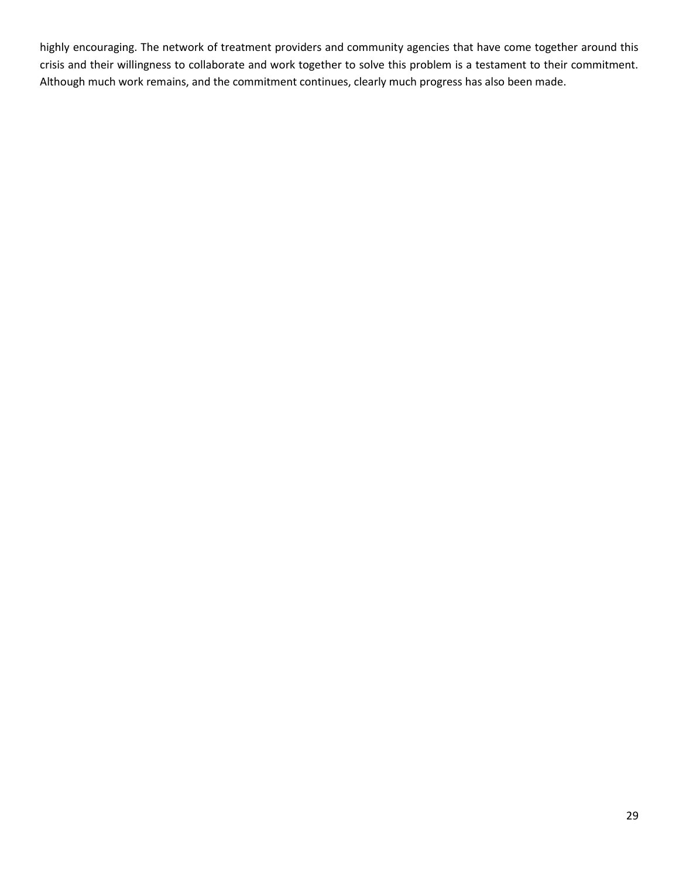highly encouraging. The network of treatment providers and community agencies that have come together around this crisis and their willingness to collaborate and work together to solve this problem is a testament to their commitment. Although much work remains, and the commitment continues, clearly much progress has also been made.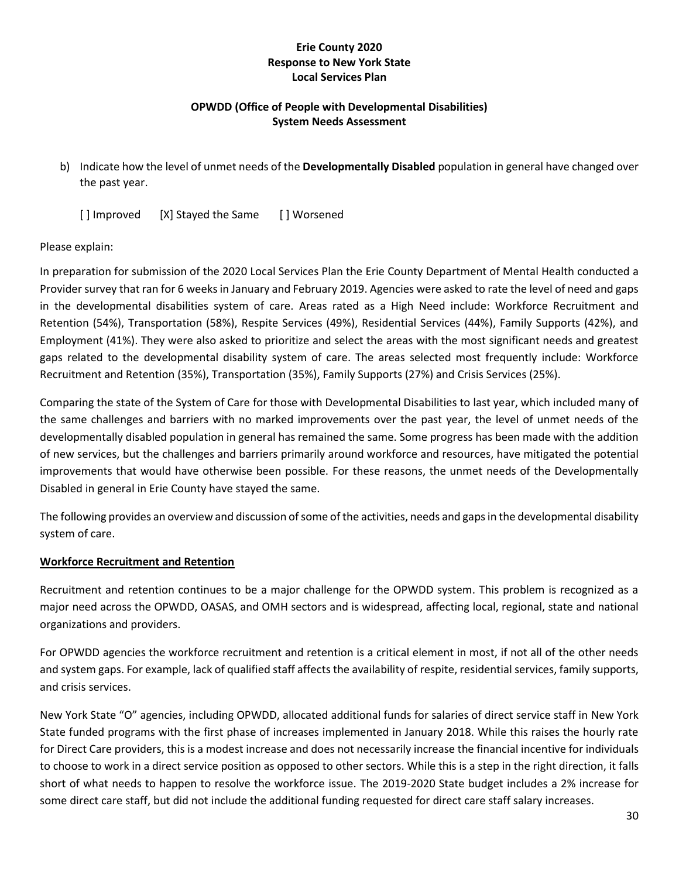#### **Erie County 2020 Response to New York State Local Services Plan**

## **OPWDD (Office of People with Developmental Disabilities) System Needs Assessment**

b) Indicate how the level of unmet needs of the **Developmentally Disabled** population in general have changed over the past year.

[] Improved [X] Stayed the Same [] Worsened

#### Please explain:

In preparation for submission of the 2020 Local Services Plan the Erie County Department of Mental Health conducted a Provider survey that ran for 6 weeks in January and February 2019. Agencies were asked to rate the level of need and gaps in the developmental disabilities system of care. Areas rated as a High Need include: Workforce Recruitment and Retention (54%), Transportation (58%), Respite Services (49%), Residential Services (44%), Family Supports (42%), and Employment (41%). They were also asked to prioritize and select the areas with the most significant needs and greatest gaps related to the developmental disability system of care. The areas selected most frequently include: Workforce Recruitment and Retention (35%), Transportation (35%), Family Supports (27%) and Crisis Services (25%).

Comparing the state of the System of Care for those with Developmental Disabilities to last year, which included many of the same challenges and barriers with no marked improvements over the past year, the level of unmet needs of the developmentally disabled population in general has remained the same. Some progress has been made with the addition of new services, but the challenges and barriers primarily around workforce and resources, have mitigated the potential improvements that would have otherwise been possible. For these reasons, the unmet needs of the Developmentally Disabled in general in Erie County have stayed the same.

The following provides an overview and discussion of some of the activities, needs and gaps in the developmental disability system of care.

#### **Workforce Recruitment and Retention**

Recruitment and retention continues to be a major challenge for the OPWDD system. This problem is recognized as a major need across the OPWDD, OASAS, and OMH sectors and is widespread, affecting local, regional, state and national organizations and providers.

For OPWDD agencies the workforce recruitment and retention is a critical element in most, if not all of the other needs and system gaps. For example, lack of qualified staff affects the availability of respite, residential services, family supports, and crisis services.

New York State "O" agencies, including OPWDD, allocated additional funds for salaries of direct service staff in New York State funded programs with the first phase of increases implemented in January 2018. While this raises the hourly rate for Direct Care providers, this is a modest increase and does not necessarily increase the financial incentive for individuals to choose to work in a direct service position as opposed to other sectors. While this is a step in the right direction, it falls short of what needs to happen to resolve the workforce issue. The 2019-2020 State budget includes a 2% increase for some direct care staff, but did not include the additional funding requested for direct care staff salary increases.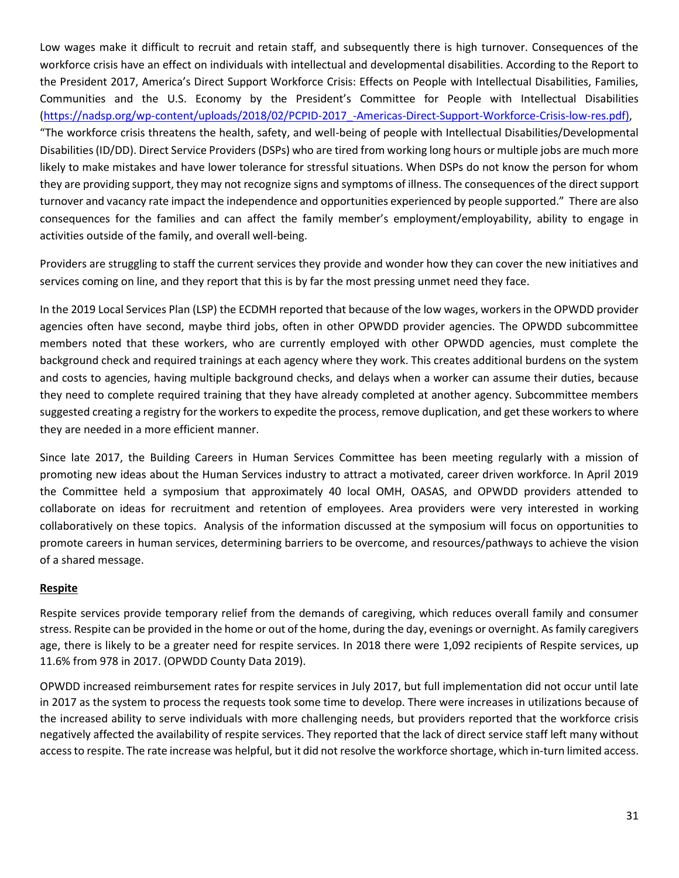Low wages make it difficult to recruit and retain staff, and subsequently there is high turnover. Consequences of the workforce crisis have an effect on individuals with intellectual and developmental disabilities. According to the Report to the President 2017, America's Direct Support Workforce Crisis: Effects on People with Intellectual Disabilities, Families, Communities and the U.S. Economy by the President's Committee for People with Intellectual Disabilities [\(https://nadsp.org/wp-content/uploads/2018/02/PCPID-2017\\_-Americas-Direct-Support-Workforce-Crisis-low-res.pdf\),](https://nadsp.org/wp-content/uploads/2018/02/PCPID-2017_-Americas-Direct-Support-Workforce-Crisis-low-res.pdf)) "The workforce crisis threatens the health, safety, and well-being of people with Intellectual Disabilities/Developmental Disabilities (ID/DD). Direct Service Providers (DSPs) who are tired from working long hours or multiple jobs are much more likely to make mistakes and have lower tolerance for stressful situations. When DSPs do not know the person for whom they are providing support, they may not recognize signs and symptoms of illness. The consequences of the direct support turnover and vacancy rate impact the independence and opportunities experienced by people supported." There are also consequences for the families and can affect the family member's employment/employability, ability to engage in activities outside of the family, and overall well-being.

Providers are struggling to staff the current services they provide and wonder how they can cover the new initiatives and services coming on line, and they report that this is by far the most pressing unmet need they face.

In the 2019 Local Services Plan (LSP) the ECDMH reported that because of the low wages, workers in the OPWDD provider agencies often have second, maybe third jobs, often in other OPWDD provider agencies. The OPWDD subcommittee members noted that these workers, who are currently employed with other OPWDD agencies, must complete the background check and required trainings at each agency where they work. This creates additional burdens on the system and costs to agencies, having multiple background checks, and delays when a worker can assume their duties, because they need to complete required training that they have already completed at another agency. Subcommittee members suggested creating a registry for the workers to expedite the process, remove duplication, and get these workers to where they are needed in a more efficient manner.

Since late 2017, the Building Careers in Human Services Committee has been meeting regularly with a mission of promoting new ideas about the Human Services industry to attract a motivated, career driven workforce. In April 2019 the Committee held a symposium that approximately 40 local OMH, OASAS, and OPWDD providers attended to collaborate on ideas for recruitment and retention of employees. Area providers were very interested in working collaboratively on these topics. Analysis of the information discussed at the symposium will focus on opportunities to promote careers in human services, determining barriers to be overcome, and resources/pathways to achieve the vision of a shared message.

## **Respite**

Respite services provide temporary relief from the demands of caregiving, which reduces overall family and consumer stress. Respite can be provided in the home or out of the home, during the day, evenings or overnight. As family caregivers age, there is likely to be a greater need for respite services. In 2018 there were 1,092 recipients of Respite services, up 11.6% from 978 in 2017. (OPWDD County Data 2019).

OPWDD increased reimbursement rates for respite services in July 2017, but full implementation did not occur until late in 2017 as the system to process the requests took some time to develop. There were increases in utilizations because of the increased ability to serve individuals with more challenging needs, but providers reported that the workforce crisis negatively affected the availability of respite services. They reported that the lack of direct service staff left many without access to respite. The rate increase was helpful, but it did not resolve the workforce shortage, which in-turn limited access.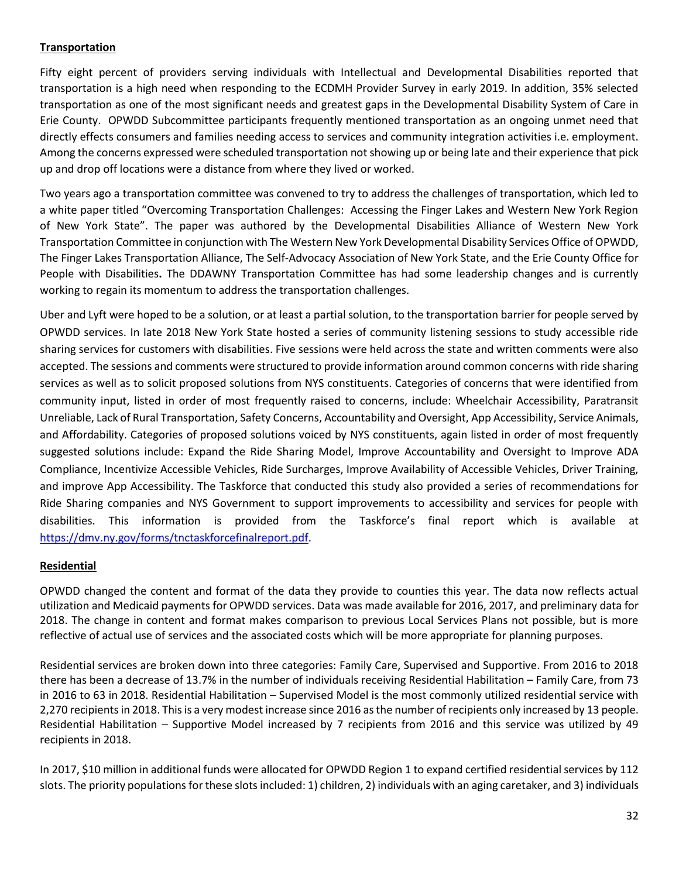## **Transportation**

Fifty eight percent of providers serving individuals with Intellectual and Developmental Disabilities reported that transportation is a high need when responding to the ECDMH Provider Survey in early 2019. In addition, 35% selected transportation as one of the most significant needs and greatest gaps in the Developmental Disability System of Care in Erie County. OPWDD Subcommittee participants frequently mentioned transportation as an ongoing unmet need that directly effects consumers and families needing access to services and community integration activities i.e. employment. Among the concerns expressed were scheduled transportation not showing up or being late and their experience that pick up and drop off locations were a distance from where they lived or worked.

Two years ago a transportation committee was convened to try to address the challenges of transportation, which led to a white paper titled "Overcoming Transportation Challenges: Accessing the Finger Lakes and Western New York Region of New York State". The paper was authored by the Developmental Disabilities Alliance of Western New York Transportation Committee in conjunction with The Western New York Developmental Disability Services Office of OPWDD, The Finger Lakes Transportation Alliance, The Self-Advocacy Association of New York State, and the Erie County Office for People with Disabilities**.** The DDAWNY Transportation Committee has had some leadership changes and is currently working to regain its momentum to address the transportation challenges.

Uber and Lyft were hoped to be a solution, or at least a partial solution, to the transportation barrier for people served by OPWDD services. In late 2018 New York State hosted a series of community listening sessions to study accessible ride sharing services for customers with disabilities. Five sessions were held across the state and written comments were also accepted. The sessions and comments were structured to provide information around common concerns with ride sharing services as well as to solicit proposed solutions from NYS constituents. Categories of concerns that were identified from community input, listed in order of most frequently raised to concerns, include: Wheelchair Accessibility, Paratransit Unreliable, Lack of Rural Transportation, Safety Concerns, Accountability and Oversight, App Accessibility, Service Animals, and Affordability. Categories of proposed solutions voiced by NYS constituents, again listed in order of most frequently suggested solutions include: Expand the Ride Sharing Model, Improve Accountability and Oversight to Improve ADA Compliance, Incentivize Accessible Vehicles, Ride Surcharges, Improve Availability of Accessible Vehicles, Driver Training, and improve App Accessibility. The Taskforce that conducted this study also provided a series of recommendations for Ride Sharing companies and NYS Government to support improvements to accessibility and services for people with disabilities. This information is provided from the Taskforce's final report which is available at [https://dmv.ny.gov/forms/tnctaskforcefinalreport.pdf.](https://dmv.ny.gov/forms/tnctaskforcefinalreport.pdf)

#### **Residential**

OPWDD changed the content and format of the data they provide to counties this year. The data now reflects actual utilization and Medicaid payments for OPWDD services. Data was made available for 2016, 2017, and preliminary data for 2018. The change in content and format makes comparison to previous Local Services Plans not possible, but is more reflective of actual use of services and the associated costs which will be more appropriate for planning purposes.

Residential services are broken down into three categories: Family Care, Supervised and Supportive. From 2016 to 2018 there has been a decrease of 13.7% in the number of individuals receiving Residential Habilitation – Family Care, from 73 in 2016 to 63 in 2018. Residential Habilitation – Supervised Model is the most commonly utilized residential service with 2,270 recipients in 2018. This is a very modest increase since 2016 as the number of recipients only increased by 13 people. Residential Habilitation – Supportive Model increased by 7 recipients from 2016 and this service was utilized by 49 recipients in 2018.

In 2017, \$10 million in additional funds were allocated for OPWDD Region 1 to expand certified residential services by 112 slots. The priority populations for these slots included: 1) children, 2) individuals with an aging caretaker, and 3) individuals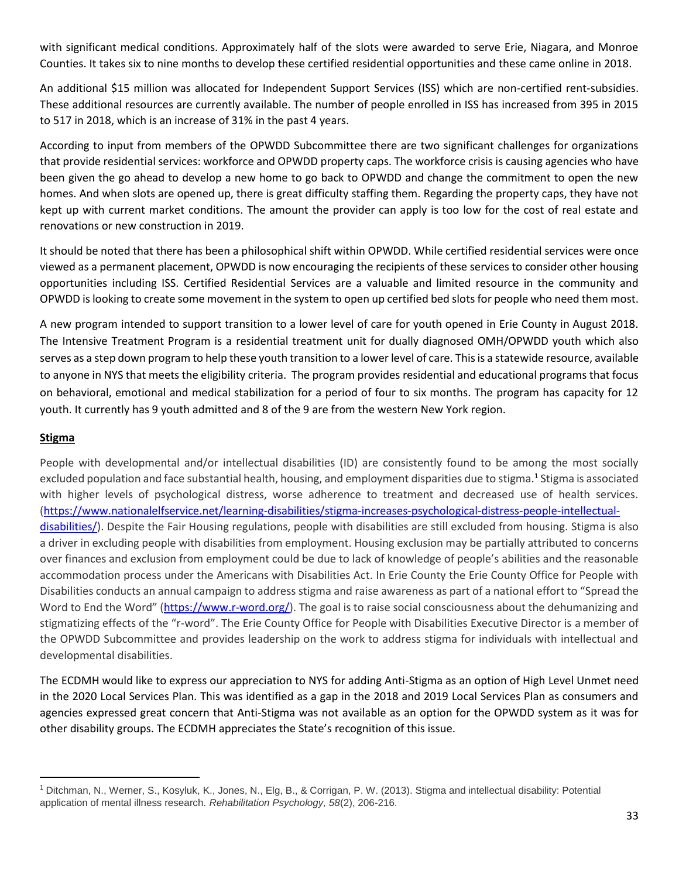with significant medical conditions. Approximately half of the slots were awarded to serve Erie, Niagara, and Monroe Counties. It takes six to nine months to develop these certified residential opportunities and these came online in 2018.

An additional \$15 million was allocated for Independent Support Services (ISS) which are non-certified rent-subsidies. These additional resources are currently available. The number of people enrolled in ISS has increased from 395 in 2015 to 517 in 2018, which is an increase of 31% in the past 4 years.

According to input from members of the OPWDD Subcommittee there are two significant challenges for organizations that provide residential services: workforce and OPWDD property caps. The workforce crisis is causing agencies who have been given the go ahead to develop a new home to go back to OPWDD and change the commitment to open the new homes. And when slots are opened up, there is great difficulty staffing them. Regarding the property caps, they have not kept up with current market conditions. The amount the provider can apply is too low for the cost of real estate and renovations or new construction in 2019.

It should be noted that there has been a philosophical shift within OPWDD. While certified residential services were once viewed as a permanent placement, OPWDD is now encouraging the recipients of these services to consider other housing opportunities including ISS. Certified Residential Services are a valuable and limited resource in the community and OPWDD is looking to create some movement in the system to open up certified bed slots for people who need them most.

A new program intended to support transition to a lower level of care for youth opened in Erie County in August 2018. The Intensive Treatment Program is a residential treatment unit for dually diagnosed OMH/OPWDD youth which also serves as a step down program to help these youth transition to a lower level of care. This is a statewide resource, available to anyone in NYS that meets the eligibility criteria. The program provides residential and educational programs that focus on behavioral, emotional and medical stabilization for a period of four to six months. The program has capacity for 12 youth. It currently has 9 youth admitted and 8 of the 9 are from the western New York region.

## **Stigma**

 $\overline{\phantom{a}}$ 

People with developmental and/or intellectual disabilities (ID) are consistently found to be among the most socially excluded population and face substantial health, housing, and employment disparities due to stigma.<sup>1</sup> Stigma is associated with higher levels of psychological distress, worse adherence to treatment and decreased use of health services. [\(https://www.nationalelfservice.net/learning-disabilities/stigma-increases-psychological-distress-people-intellectual](https://www.nationalelfservice.net/learning-disabilities/stigma-increases-psychological-distress-people-intellectual-disabilities/)[disabilities/\)](https://www.nationalelfservice.net/learning-disabilities/stigma-increases-psychological-distress-people-intellectual-disabilities/). Despite the Fair Housing regulations, people with disabilities are still excluded from housing. Stigma is also a driver in excluding people with disabilities from employment. Housing exclusion may be partially attributed to concerns over finances and exclusion from employment could be due to lack of knowledge of people's abilities and the reasonable accommodation process under the Americans with Disabilities Act. In Erie County the Erie County Office for People with Disabilities conducts an annual campaign to address stigma and raise awareness as part of a national effort to "Spread the Word to End the Word" ([https://www.r-word.org/\)](https://www.r-word.org/). The goal is to raise social consciousness about the dehumanizing and stigmatizing effects of the "r-word". The Erie County Office for People with Disabilities Executive Director is a member of the OPWDD Subcommittee and provides leadership on the work to address stigma for individuals with intellectual and developmental disabilities.

The ECDMH would like to express our appreciation to NYS for adding Anti-Stigma as an option of High Level Unmet need in the 2020 Local Services Plan. This was identified as a gap in the 2018 and 2019 Local Services Plan as consumers and agencies expressed great concern that Anti-Stigma was not available as an option for the OPWDD system as it was for other disability groups. The ECDMH appreciates the State's recognition of this issue.

<sup>1</sup> Ditchman, N., Werner, S., Kosyluk, K., Jones, N., Elg, B., & Corrigan, P. W. (2013). Stigma and intellectual disability: Potential application of mental illness research. *Rehabilitation Psychology, 58*(2), 206-216.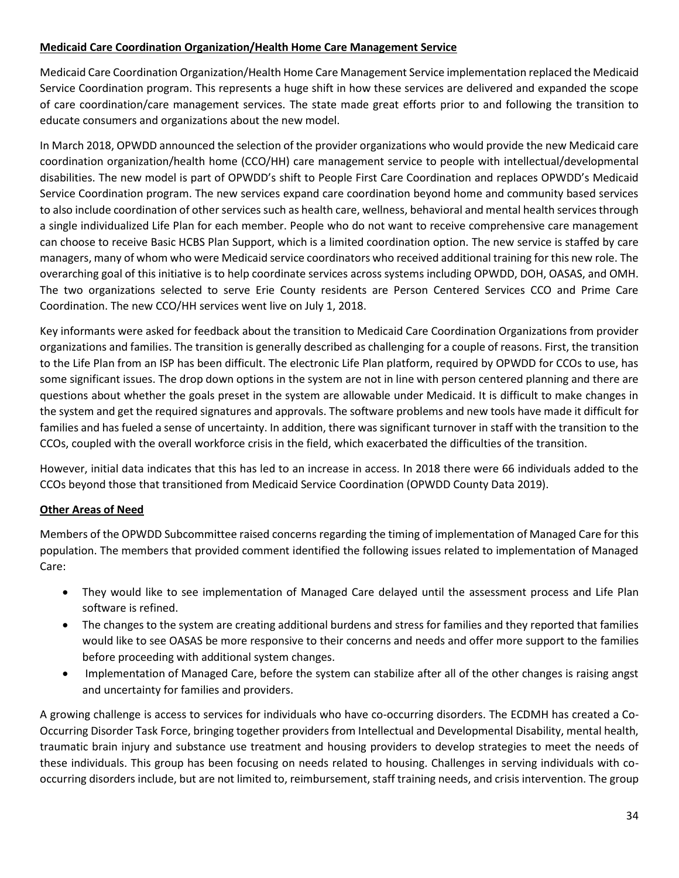#### **Medicaid Care Coordination Organization/Health Home Care Management Service**

Medicaid Care Coordination Organization/Health Home Care Management Service implementation replaced the Medicaid Service Coordination program. This represents a huge shift in how these services are delivered and expanded the scope of care coordination/care management services. The state made great efforts prior to and following the transition to educate consumers and organizations about the new model.

In March 2018, OPWDD announced the selection of the provider organizations who would provide the new Medicaid care coordination organization/health home (CCO/HH) care management service to people with intellectual/developmental disabilities. The new model is part of OPWDD's shift to People First Care Coordination and replaces OPWDD's Medicaid Service Coordination program. The new services expand care coordination beyond home and community based services to also include coordination of other services such as health care, wellness, behavioral and mental health services through a single individualized Life Plan for each member. People who do not want to receive comprehensive care management can choose to receive Basic HCBS Plan Support, which is a limited coordination option. The new service is staffed by care managers, many of whom who were Medicaid service coordinators who received additional training for this new role. The overarching goal of this initiative is to help coordinate services across systems including OPWDD, DOH, OASAS, and OMH. The two organizations selected to serve Erie County residents are Person Centered Services CCO and Prime Care Coordination. The new CCO/HH services went live on July 1, 2018.

Key informants were asked for feedback about the transition to Medicaid Care Coordination Organizations from provider organizations and families. The transition is generally described as challenging for a couple of reasons. First, the transition to the Life Plan from an ISP has been difficult. The electronic Life Plan platform, required by OPWDD for CCOs to use, has some significant issues. The drop down options in the system are not in line with person centered planning and there are questions about whether the goals preset in the system are allowable under Medicaid. It is difficult to make changes in the system and get the required signatures and approvals. The software problems and new tools have made it difficult for families and has fueled a sense of uncertainty. In addition, there was significant turnover in staff with the transition to the CCOs, coupled with the overall workforce crisis in the field, which exacerbated the difficulties of the transition.

However, initial data indicates that this has led to an increase in access. In 2018 there were 66 individuals added to the CCOs beyond those that transitioned from Medicaid Service Coordination (OPWDD County Data 2019).

## **Other Areas of Need**

Members of the OPWDD Subcommittee raised concerns regarding the timing of implementation of Managed Care for this population. The members that provided comment identified the following issues related to implementation of Managed Care:

- They would like to see implementation of Managed Care delayed until the assessment process and Life Plan software is refined.
- The changes to the system are creating additional burdens and stress for families and they reported that families would like to see OASAS be more responsive to their concerns and needs and offer more support to the families before proceeding with additional system changes.
- Implementation of Managed Care, before the system can stabilize after all of the other changes is raising angst and uncertainty for families and providers.

A growing challenge is access to services for individuals who have co-occurring disorders. The ECDMH has created a Co-Occurring Disorder Task Force, bringing together providers from Intellectual and Developmental Disability, mental health, traumatic brain injury and substance use treatment and housing providers to develop strategies to meet the needs of these individuals. This group has been focusing on needs related to housing. Challenges in serving individuals with cooccurring disorders include, but are not limited to, reimbursement, staff training needs, and crisis intervention. The group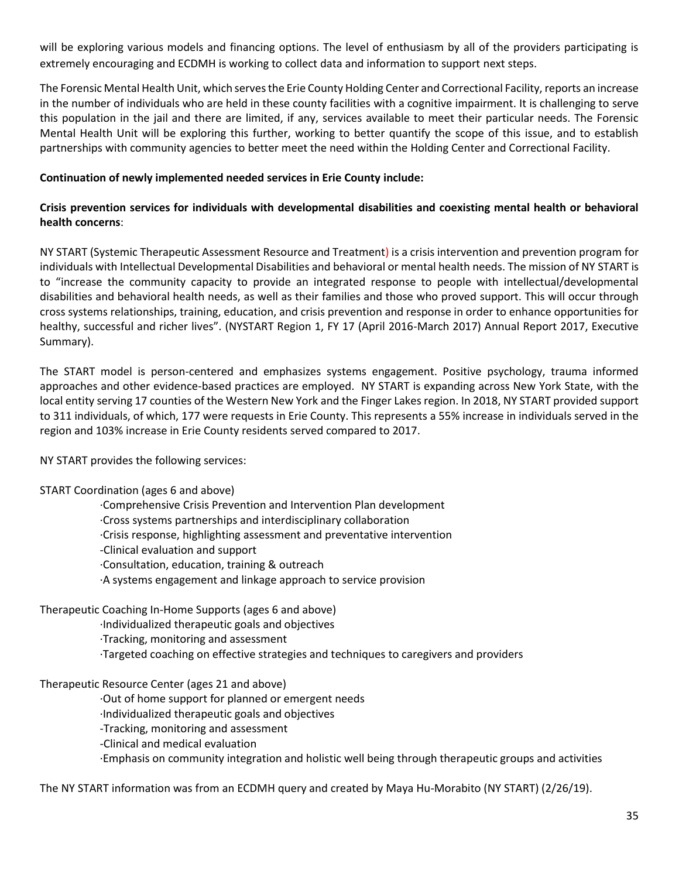will be exploring various models and financing options. The level of enthusiasm by all of the providers participating is extremely encouraging and ECDMH is working to collect data and information to support next steps.

The Forensic Mental Health Unit, which serves the Erie County Holding Center and Correctional Facility, reports an increase in the number of individuals who are held in these county facilities with a cognitive impairment. It is challenging to serve this population in the jail and there are limited, if any, services available to meet their particular needs. The Forensic Mental Health Unit will be exploring this further, working to better quantify the scope of this issue, and to establish partnerships with community agencies to better meet the need within the Holding Center and Correctional Facility.

#### **Continuation of newly implemented needed services in Erie County include:**

## **Crisis prevention services for individuals with developmental disabilities and coexisting mental health or behavioral health concerns**:

NY START (Systemic Therapeutic Assessment Resource and Treatment) is a crisis intervention and prevention program for individuals with Intellectual Developmental Disabilities and behavioral or mental health needs. The mission of NY START is to "increase the community capacity to provide an integrated response to people with intellectual/developmental disabilities and behavioral health needs, as well as their families and those who proved support. This will occur through cross systems relationships, training, education, and crisis prevention and response in order to enhance opportunities for healthy, successful and richer lives". (NYSTART Region 1, FY 17 (April 2016-March 2017) Annual Report 2017, Executive Summary).

The START model is person-centered and emphasizes systems engagement. Positive psychology, trauma informed approaches and other evidence-based practices are employed. NY START is expanding across New York State, with the local entity serving 17 counties of the Western New York and the Finger Lakes region. In 2018, NY START provided support to 311 individuals, of which, 177 were requests in Erie County. This represents a 55% increase in individuals served in the region and 103% increase in Erie County residents served compared to 2017.

NY START provides the following services:

#### START Coordination (ages 6 and above)

·Comprehensive Crisis Prevention and Intervention Plan development ·Cross systems partnerships and interdisciplinary collaboration ·Crisis response, highlighting assessment and preventative intervention -Clinical evaluation and support ·Consultation, education, training & outreach ·A systems engagement and linkage approach to service provision

#### Therapeutic Coaching In-Home Supports (ages 6 and above)

- ·Individualized therapeutic goals and objectives
- ·Tracking, monitoring and assessment
- ·Targeted coaching on effective strategies and techniques to caregivers and providers

#### Therapeutic Resource Center (ages 21 and above)

- ·Out of home support for planned or emergent needs
- ·Individualized therapeutic goals and objectives
- -Tracking, monitoring and assessment
- -Clinical and medical evaluation

·Emphasis on community integration and holistic well being through therapeutic groups and activities

The NY START information was from an ECDMH query and created by Maya Hu-Morabito (NY START) (2/26/19).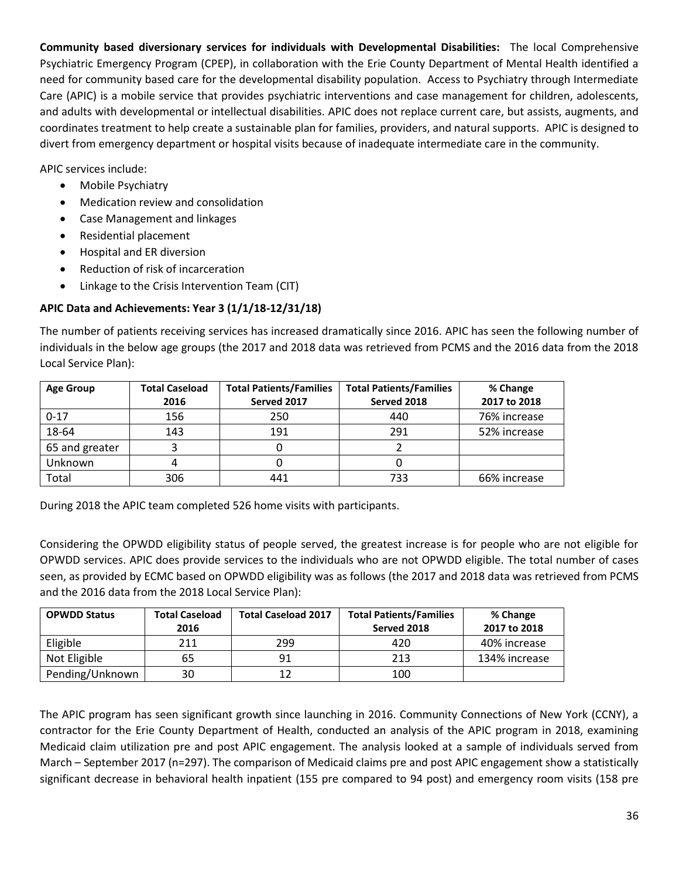**Community based diversionary services for individuals with Developmental Disabilities:** The local Comprehensive Psychiatric Emergency Program (CPEP), in collaboration with the Erie County Department of Mental Health identified a need for community based care for the developmental disability population. Access to Psychiatry through Intermediate Care (APIC) is a mobile service that provides psychiatric interventions and case management for children, adolescents, and adults with developmental or intellectual disabilities. APIC does not replace current care, but assists, augments, and coordinates treatment to help create a sustainable plan for families, providers, and natural supports. APIC is designed to divert from emergency department or hospital visits because of inadequate intermediate care in the community.

APIC services include:

- Mobile Psychiatry
- Medication review and consolidation
- Case Management and linkages
- Residential placement
- Hospital and ER diversion
- Reduction of risk of incarceration
- Linkage to the Crisis Intervention Team (CIT)

## **APIC Data and Achievements: Year 3 (1/1/18-12/31/18)**

The number of patients receiving services has increased dramatically since 2016. APIC has seen the following number of individuals in the below age groups (the 2017 and 2018 data was retrieved from PCMS and the 2016 data from the 2018 Local Service Plan):

| <b>Age Group</b> | <b>Total Caseload</b><br>2016 | <b>Total Patients/Families</b><br>Served 2017 | <b>Total Patients/Families</b><br>Served 2018 | % Change<br>2017 to 2018 |
|------------------|-------------------------------|-----------------------------------------------|-----------------------------------------------|--------------------------|
| $0 - 17$         | 156                           | 250                                           | 440                                           | 76% increase             |
| 18-64            | 143                           | 191                                           | 291                                           | 52% increase             |
| 65 and greater   |                               |                                               |                                               |                          |
| Unknown          |                               |                                               |                                               |                          |
| Total            | 306                           | 441                                           | 733                                           | 66% increase             |

During 2018 the APIC team completed 526 home visits with participants.

Considering the OPWDD eligibility status of people served, the greatest increase is for people who are not eligible for OPWDD services. APIC does provide services to the individuals who are not OPWDD eligible. The total number of cases seen, as provided by ECMC based on OPWDD eligibility was as follows (the 2017 and 2018 data was retrieved from PCMS and the 2016 data from the 2018 Local Service Plan):

| <b>OPWDD Status</b> | <b>Total Caseload</b><br>2016 | <b>Total Caseload 2017</b> | <b>Total Patients/Families</b><br>Served 2018 | % Change<br>2017 to 2018 |
|---------------------|-------------------------------|----------------------------|-----------------------------------------------|--------------------------|
| Eligible            | 211                           | 299                        | 420                                           | 40% increase             |
| Not Eligible        | 65                            | 91                         | 213                                           | 134% increase            |
| Pending/Unknown     | 30                            |                            | 100                                           |                          |

The APIC program has seen significant growth since launching in 2016. Community Connections of New York (CCNY), a contractor for the Erie County Department of Health, conducted an analysis of the APIC program in 2018, examining Medicaid claim utilization pre and post APIC engagement. The analysis looked at a sample of individuals served from March – September 2017 (n=297). The comparison of Medicaid claims pre and post APIC engagement show a statistically significant decrease in behavioral health inpatient (155 pre compared to 94 post) and emergency room visits (158 pre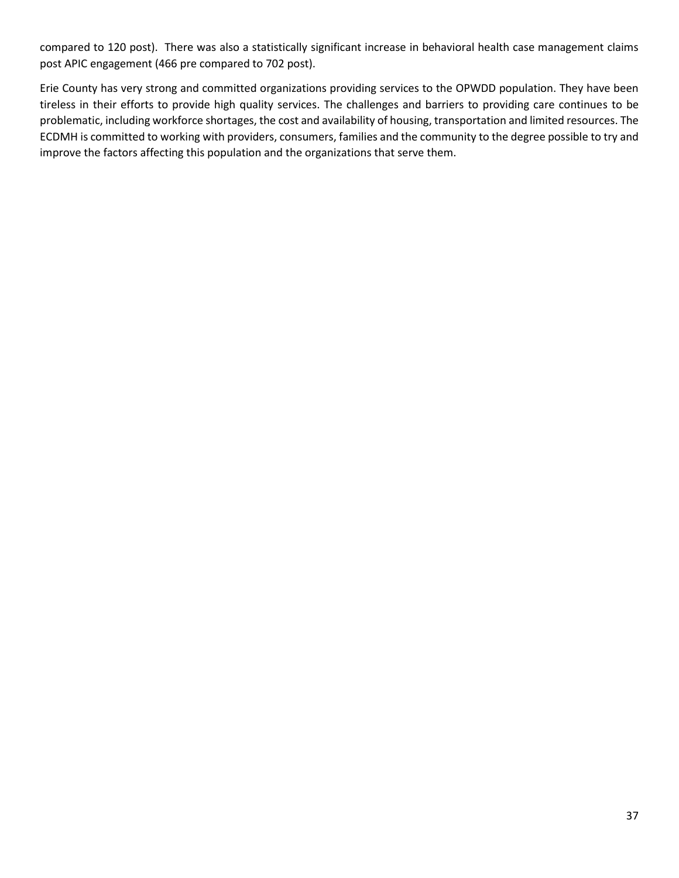compared to 120 post). There was also a statistically significant increase in behavioral health case management claims post APIC engagement (466 pre compared to 702 post).

Erie County has very strong and committed organizations providing services to the OPWDD population. They have been tireless in their efforts to provide high quality services. The challenges and barriers to providing care continues to be problematic, including workforce shortages, the cost and availability of housing, transportation and limited resources. The ECDMH is committed to working with providers, consumers, families and the community to the degree possible to try and improve the factors affecting this population and the organizations that serve them.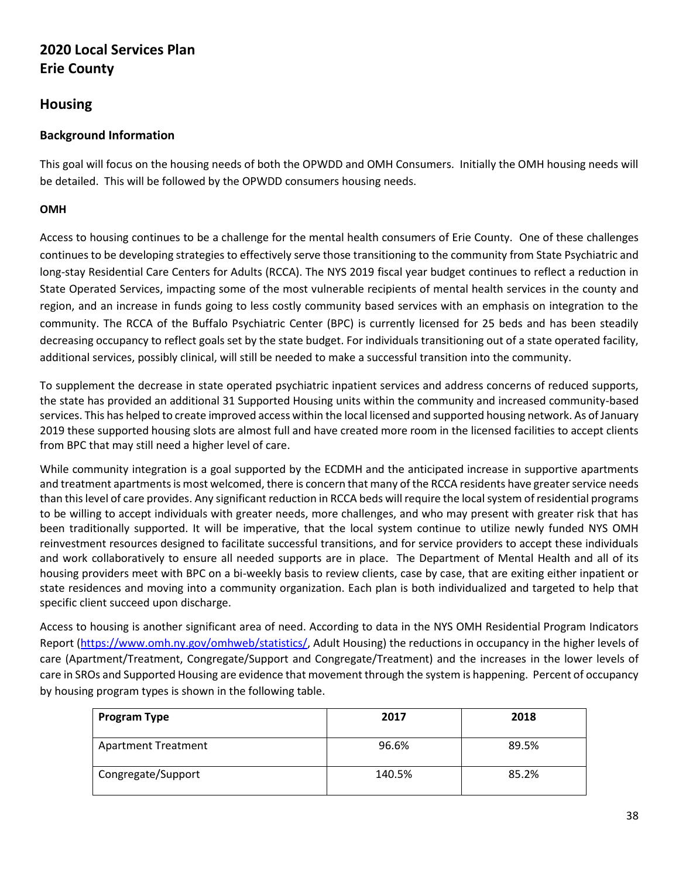# **2020 Local Services Plan Erie County**

# **Housing**

# **Background Information**

This goal will focus on the housing needs of both the OPWDD and OMH Consumers. Initially the OMH housing needs will be detailed. This will be followed by the OPWDD consumers housing needs.

## **OMH**

Access to housing continues to be a challenge for the mental health consumers of Erie County.One of these challenges continues to be developing strategies to effectively serve those transitioning to the community from State Psychiatric and long-stay Residential Care Centers for Adults (RCCA). The NYS 2019 fiscal year budget continues to reflect a reduction in State Operated Services, impacting some of the most vulnerable recipients of mental health services in the county and region, and an increase in funds going to less costly community based services with an emphasis on integration to the community. The RCCA of the Buffalo Psychiatric Center (BPC) is currently licensed for 25 beds and has been steadily decreasing occupancy to reflect goals set by the state budget. For individuals transitioning out of a state operated facility, additional services, possibly clinical, will still be needed to make a successful transition into the community.

To supplement the decrease in state operated psychiatric inpatient services and address concerns of reduced supports, the state has provided an additional 31 Supported Housing units within the community and increased community-based services. This has helped to create improved access within the local licensed and supported housing network. As of January 2019 these supported housing slots are almost full and have created more room in the licensed facilities to accept clients from BPC that may still need a higher level of care.

While community integration is a goal supported by the ECDMH and the anticipated increase in supportive apartments and treatment apartments is most welcomed, there is concern that many of the RCCA residents have greater service needs than this level of care provides. Any significant reduction in RCCA beds will require the local system of residential programs to be willing to accept individuals with greater needs, more challenges, and who may present with greater risk that has been traditionally supported. It will be imperative, that the local system continue to utilize newly funded NYS OMH reinvestment resources designed to facilitate successful transitions, and for service providers to accept these individuals and work collaboratively to ensure all needed supports are in place. The Department of Mental Health and all of its housing providers meet with BPC on a bi-weekly basis to review clients, case by case, that are exiting either inpatient or state residences and moving into a community organization. Each plan is both individualized and targeted to help that specific client succeed upon discharge.

Access to housing is another significant area of need. According to data in the NYS OMH Residential Program Indicators Report [\(https://www.omh.ny.gov/omhweb/statistics/,](https://www.omh.ny.gov/omhweb/statistics/) Adult Housing) the reductions in occupancy in the higher levels of care (Apartment/Treatment, Congregate/Support and Congregate/Treatment) and the increases in the lower levels of care in SROs and Supported Housing are evidence that movement through the system is happening. Percent of occupancy by housing program types is shown in the following table.

| Program Type               | 2017   | 2018  |
|----------------------------|--------|-------|
| <b>Apartment Treatment</b> | 96.6%  | 89.5% |
| Congregate/Support         | 140.5% | 85.2% |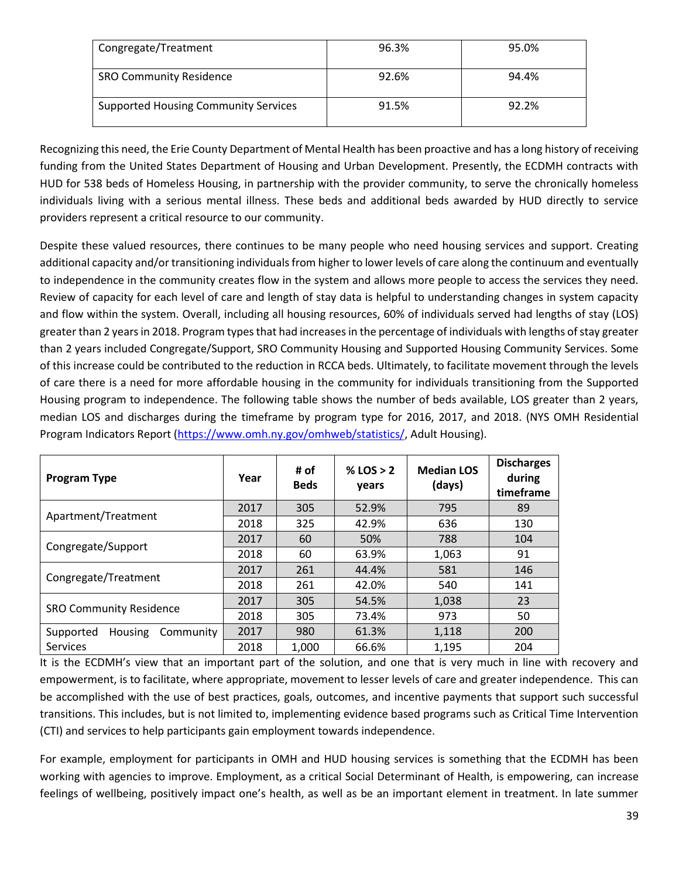| Congregate/Treatment                        | 96.3% | 95.0% |
|---------------------------------------------|-------|-------|
| <b>SRO Community Residence</b>              | 92.6% | 94.4% |
| <b>Supported Housing Community Services</b> | 91.5% | 92.2% |

Recognizing this need, the Erie County Department of Mental Health has been proactive and has a long history of receiving funding from the United States Department of Housing and Urban Development. Presently, the ECDMH contracts with HUD for 538 beds of Homeless Housing, in partnership with the provider community, to serve the chronically homeless individuals living with a serious mental illness. These beds and additional beds awarded by HUD directly to service providers represent a critical resource to our community.

Despite these valued resources, there continues to be many people who need housing services and support. Creating additional capacity and/or transitioning individuals from higher to lower levels of care along the continuum and eventually to independence in the community creates flow in the system and allows more people to access the services they need. Review of capacity for each level of care and length of stay data is helpful to understanding changes in system capacity and flow within the system. Overall, including all housing resources, 60% of individuals served had lengths of stay (LOS) greater than 2 years in 2018. Program types that had increases in the percentage of individuals with lengths of stay greater than 2 years included Congregate/Support, SRO Community Housing and Supported Housing Community Services. Some of this increase could be contributed to the reduction in RCCA beds. Ultimately, to facilitate movement through the levels of care there is a need for more affordable housing in the community for individuals transitioning from the Supported Housing program to independence. The following table shows the number of beds available, LOS greater than 2 years, median LOS and discharges during the timeframe by program type for 2016, 2017, and 2018. (NYS OMH Residential Program Indicators Report [\(https://www.omh.ny.gov/omhweb/statistics/,](https://www.omh.ny.gov/omhweb/statistics/) Adult Housing).

| <b>Program Type</b>               | Year | # of<br><b>Beds</b> | % LOS $> 2$<br>years | <b>Median LOS</b><br>(days) | <b>Discharges</b><br>during<br>timeframe |
|-----------------------------------|------|---------------------|----------------------|-----------------------------|------------------------------------------|
| Apartment/Treatment               | 2017 | 305                 | 52.9%                | 795                         | 89                                       |
|                                   | 2018 | 325                 | 42.9%                | 636                         | 130                                      |
|                                   | 2017 | 60                  | 50%                  | 788                         | 104                                      |
| Congregate/Support                | 2018 | 60                  | 63.9%                | 1,063                       | 91                                       |
|                                   | 2017 | 261                 | 44.4%                | 581                         | 146                                      |
| Congregate/Treatment              | 2018 | 261                 | 42.0%                | 540                         | 141                                      |
| <b>SRO Community Residence</b>    | 2017 | 305                 | 54.5%                | 1,038                       | 23                                       |
|                                   | 2018 | 305                 | 73.4%                | 973                         | 50                                       |
| Housing<br>Community<br>Supported | 2017 | 980                 | 61.3%                | 1,118                       | 200                                      |
| <b>Services</b>                   | 2018 | 1,000               | 66.6%                | 1,195                       | 204                                      |

It is the ECDMH's view that an important part of the solution, and one that is very much in line with recovery and empowerment, is to facilitate, where appropriate, movement to lesser levels of care and greater independence. This can be accomplished with the use of best practices, goals, outcomes, and incentive payments that support such successful transitions. This includes, but is not limited to, implementing evidence based programs such as Critical Time Intervention (CTI) and services to help participants gain employment towards independence.

For example, employment for participants in OMH and HUD housing services is something that the ECDMH has been working with agencies to improve. Employment, as a critical Social Determinant of Health, is empowering, can increase feelings of wellbeing, positively impact one's health, as well as be an important element in treatment. In late summer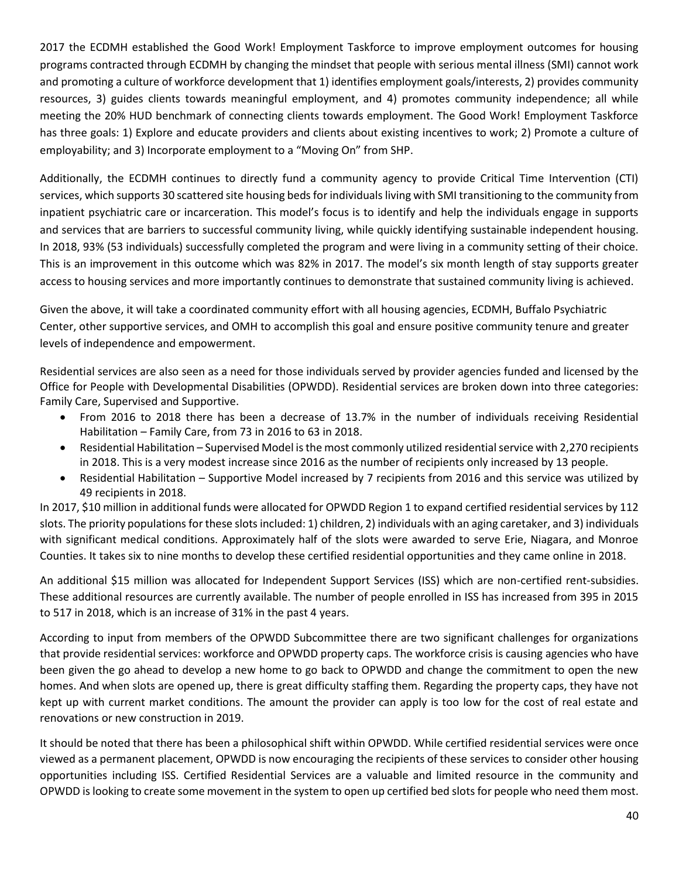2017 the ECDMH established the Good Work! Employment Taskforce to improve employment outcomes for housing programs contracted through ECDMH by changing the mindset that people with serious mental illness (SMI) cannot work and promoting a culture of workforce development that 1) identifies employment goals/interests, 2) provides community resources, 3) guides clients towards meaningful employment, and 4) promotes community independence; all while meeting the 20% HUD benchmark of connecting clients towards employment. The Good Work! Employment Taskforce has three goals: 1) Explore and educate providers and clients about existing incentives to work; 2) Promote a culture of employability; and 3) Incorporate employment to a "Moving On" from SHP.

Additionally, the ECDMH continues to directly fund a community agency to provide Critical Time Intervention (CTI) services, which supports 30 scattered site housing beds for individuals living with SMI transitioning to the community from inpatient psychiatric care or incarceration. This model's focus is to identify and help the individuals engage in supports and services that are barriers to successful community living, while quickly identifying sustainable independent housing. In 2018, 93% (53 individuals) successfully completed the program and were living in a community setting of their choice. This is an improvement in this outcome which was 82% in 2017. The model's six month length of stay supports greater access to housing services and more importantly continues to demonstrate that sustained community living is achieved.

Given the above, it will take a coordinated community effort with all housing agencies, ECDMH, Buffalo Psychiatric Center, other supportive services, and OMH to accomplish this goal and ensure positive community tenure and greater levels of independence and empowerment.

Residential services are also seen as a need for those individuals served by provider agencies funded and licensed by the Office for People with Developmental Disabilities (OPWDD). Residential services are broken down into three categories: Family Care, Supervised and Supportive.

- From 2016 to 2018 there has been a decrease of 13.7% in the number of individuals receiving Residential Habilitation – Family Care, from 73 in 2016 to 63 in 2018.
- Residential Habilitation Supervised Model is the most commonly utilized residential service with 2,270 recipients in 2018. This is a very modest increase since 2016 as the number of recipients only increased by 13 people.
- Residential Habilitation Supportive Model increased by 7 recipients from 2016 and this service was utilized by 49 recipients in 2018.

In 2017, \$10 million in additional funds were allocated for OPWDD Region 1 to expand certified residential services by 112 slots. The priority populations for these slots included: 1) children, 2) individuals with an aging caretaker, and 3) individuals with significant medical conditions. Approximately half of the slots were awarded to serve Erie, Niagara, and Monroe Counties. It takes six to nine months to develop these certified residential opportunities and they came online in 2018.

An additional \$15 million was allocated for Independent Support Services (ISS) which are non-certified rent-subsidies. These additional resources are currently available. The number of people enrolled in ISS has increased from 395 in 2015 to 517 in 2018, which is an increase of 31% in the past 4 years.

According to input from members of the OPWDD Subcommittee there are two significant challenges for organizations that provide residential services: workforce and OPWDD property caps. The workforce crisis is causing agencies who have been given the go ahead to develop a new home to go back to OPWDD and change the commitment to open the new homes. And when slots are opened up, there is great difficulty staffing them. Regarding the property caps, they have not kept up with current market conditions. The amount the provider can apply is too low for the cost of real estate and renovations or new construction in 2019.

It should be noted that there has been a philosophical shift within OPWDD. While certified residential services were once viewed as a permanent placement, OPWDD is now encouraging the recipients of these services to consider other housing opportunities including ISS. Certified Residential Services are a valuable and limited resource in the community and OPWDD is looking to create some movement in the system to open up certified bed slots for people who need them most.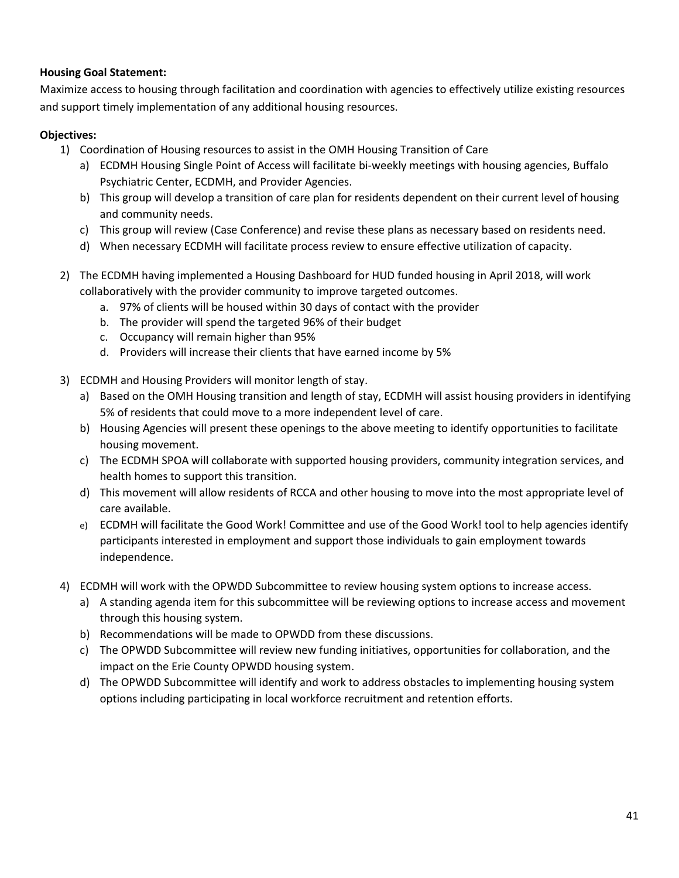## **Housing Goal Statement:**

Maximize access to housing through facilitation and coordination with agencies to effectively utilize existing resources and support timely implementation of any additional housing resources.

## **Objectives:**

- 1) Coordination of Housing resources to assist in the OMH Housing Transition of Care
	- a) ECDMH Housing Single Point of Access will facilitate bi-weekly meetings with housing agencies, Buffalo Psychiatric Center, ECDMH, and Provider Agencies.
	- b) This group will develop a transition of care plan for residents dependent on their current level of housing and community needs.
	- c) This group will review (Case Conference) and revise these plans as necessary based on residents need.
	- d) When necessary ECDMH will facilitate process review to ensure effective utilization of capacity.
- 2) The ECDMH having implemented a Housing Dashboard for HUD funded housing in April 2018, will work collaboratively with the provider community to improve targeted outcomes.
	- a. 97% of clients will be housed within 30 days of contact with the provider
	- b. The provider will spend the targeted 96% of their budget
	- c. Occupancy will remain higher than 95%
	- d. Providers will increase their clients that have earned income by 5%
- 3) ECDMH and Housing Providers will monitor length of stay.
	- a) Based on the OMH Housing transition and length of stay, ECDMH will assist housing providers in identifying 5% of residents that could move to a more independent level of care.
	- b) Housing Agencies will present these openings to the above meeting to identify opportunities to facilitate housing movement.
	- c) The ECDMH SPOA will collaborate with supported housing providers, community integration services, and health homes to support this transition.
	- d) This movement will allow residents of RCCA and other housing to move into the most appropriate level of care available.
	- e) ECDMH will facilitate the Good Work! Committee and use of the Good Work! tool to help agencies identify participants interested in employment and support those individuals to gain employment towards independence.
- 4) ECDMH will work with the OPWDD Subcommittee to review housing system options to increase access.
	- a) A standing agenda item for this subcommittee will be reviewing options to increase access and movement through this housing system.
	- b) Recommendations will be made to OPWDD from these discussions.
	- c) The OPWDD Subcommittee will review new funding initiatives, opportunities for collaboration, and the impact on the Erie County OPWDD housing system.
	- d) The OPWDD Subcommittee will identify and work to address obstacles to implementing housing system options including participating in local workforce recruitment and retention efforts.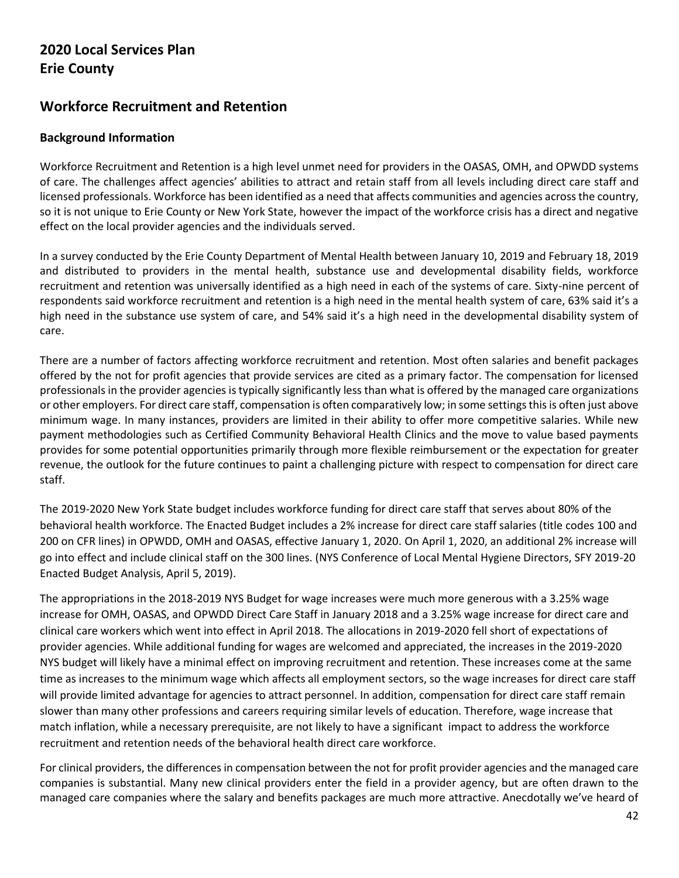# **2020 Local Services Plan Erie County**

# **Workforce Recruitment and Retention**

## **Background Information**

Workforce Recruitment and Retention is a high level unmet need for providers in the OASAS, OMH, and OPWDD systems of care. The challenges affect agencies' abilities to attract and retain staff from all levels including direct care staff and licensed professionals. Workforce has been identified as a need that affects communities and agencies across the country, so it is not unique to Erie County or New York State, however the impact of the workforce crisis has a direct and negative effect on the local provider agencies and the individuals served.

In a survey conducted by the Erie County Department of Mental Health between January 10, 2019 and February 18, 2019 and distributed to providers in the mental health, substance use and developmental disability fields, workforce recruitment and retention was universally identified as a high need in each of the systems of care. Sixty-nine percent of respondents said workforce recruitment and retention is a high need in the mental health system of care, 63% said it's a high need in the substance use system of care, and 54% said it's a high need in the developmental disability system of care.

There are a number of factors affecting workforce recruitment and retention. Most often salaries and benefit packages offered by the not for profit agencies that provide services are cited as a primary factor. The compensation for licensed professionals in the provider agencies is typically significantly less than what is offered by the managed care organizations or other employers. For direct care staff, compensation is often comparatively low; in some settings this is often just above minimum wage. In many instances, providers are limited in their ability to offer more competitive salaries. While new payment methodologies such as Certified Community Behavioral Health Clinics and the move to value based payments provides for some potential opportunities primarily through more flexible reimbursement or the expectation for greater revenue, the outlook for the future continues to paint a challenging picture with respect to compensation for direct care staff.

The 2019-2020 New York State budget includes workforce funding for direct care staff that serves about 80% of the behavioral health workforce. The Enacted Budget includes a 2% increase for direct care staff salaries (title codes 100 and 200 on CFR lines) in OPWDD, OMH and OASAS, effective January 1, 2020. On April 1, 2020, an additional 2% increase will go into effect and include clinical staff on the 300 lines. (NYS Conference of Local Mental Hygiene Directors, SFY 2019-20 Enacted Budget Analysis, April 5, 2019).

The appropriations in the 2018-2019 NYS Budget for wage increases were much more generous with a 3.25% wage increase for OMH, OASAS, and OPWDD Direct Care Staff in January 2018 and a 3.25% wage increase for direct care and clinical care workers which went into effect in April 2018. The allocations in 2019-2020 fell short of expectations of provider agencies. While additional funding for wages are welcomed and appreciated, the increases in the 2019-2020 NYS budget will likely have a minimal effect on improving recruitment and retention. These increases come at the same time as increases to the minimum wage which affects all employment sectors, so the wage increases for direct care staff will provide limited advantage for agencies to attract personnel. In addition, compensation for direct care staff remain slower than many other professions and careers requiring similar levels of education. Therefore, wage increase that match inflation, while a necessary prerequisite, are not likely to have a significant impact to address the workforce recruitment and retention needs of the behavioral health direct care workforce.

For clinical providers, the differences in compensation between the not for profit provider agencies and the managed care companies is substantial. Many new clinical providers enter the field in a provider agency, but are often drawn to the managed care companies where the salary and benefits packages are much more attractive. Anecdotally we've heard of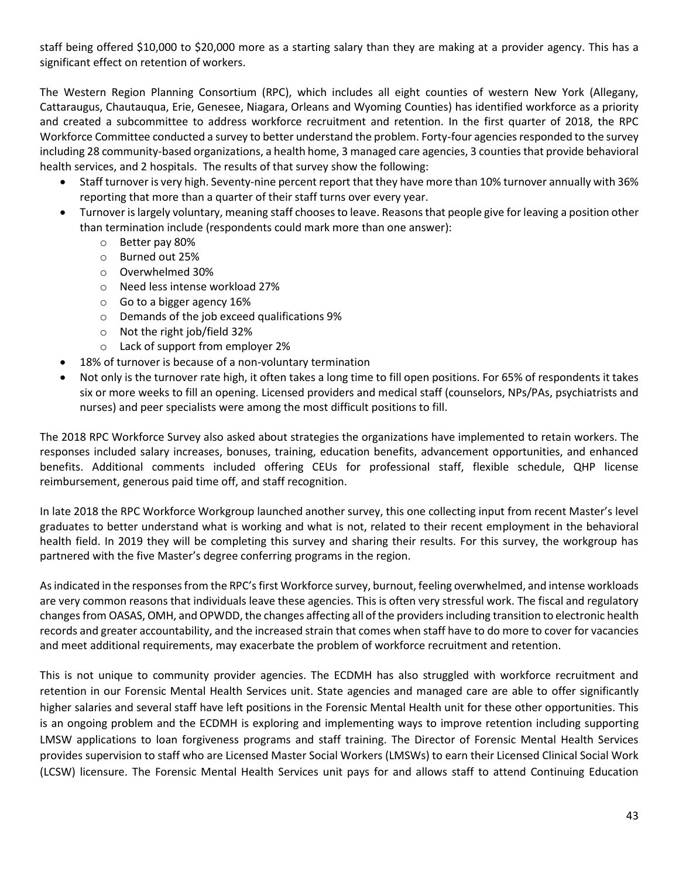staff being offered \$10,000 to \$20,000 more as a starting salary than they are making at a provider agency. This has a significant effect on retention of workers.

The Western Region Planning Consortium (RPC), which includes all eight counties of western New York (Allegany, Cattaraugus, Chautauqua, Erie, Genesee, Niagara, Orleans and Wyoming Counties) has identified workforce as a priority and created a subcommittee to address workforce recruitment and retention. In the first quarter of 2018, the RPC Workforce Committee conducted a survey to better understand the problem. Forty-four agencies responded to the survey including 28 community-based organizations, a health home, 3 managed care agencies, 3 counties that provide behavioral health services, and 2 hospitals. The results of that survey show the following:

- Staff turnover is very high. Seventy-nine percent report that they have more than 10% turnover annually with 36% reporting that more than a quarter of their staff turns over every year.
- Turnover is largely voluntary, meaning staff chooses to leave. Reasons that people give for leaving a position other than termination include (respondents could mark more than one answer):
	- o Better pay 80%
	- o Burned out 25%
	- o Overwhelmed 30%
	- o Need less intense workload 27%
	- o Go to a bigger agency 16%
	- o Demands of the job exceed qualifications 9%
	- o Not the right job/field 32%
	- o Lack of support from employer 2%
- 18% of turnover is because of a non-voluntary termination
- Not only is the turnover rate high, it often takes a long time to fill open positions. For 65% of respondents it takes six or more weeks to fill an opening. Licensed providers and medical staff (counselors, NPs/PAs, psychiatrists and nurses) and peer specialists were among the most difficult positions to fill.

The 2018 RPC Workforce Survey also asked about strategies the organizations have implemented to retain workers. The responses included salary increases, bonuses, training, education benefits, advancement opportunities, and enhanced benefits. Additional comments included offering CEUs for professional staff, flexible schedule, QHP license reimbursement, generous paid time off, and staff recognition.

In late 2018 the RPC Workforce Workgroup launched another survey, this one collecting input from recent Master's level graduates to better understand what is working and what is not, related to their recent employment in the behavioral health field. In 2019 they will be completing this survey and sharing their results. For this survey, the workgroup has partnered with the five Master's degree conferring programs in the region.

As indicated in the responses from the RPC's first Workforce survey, burnout, feeling overwhelmed, and intense workloads are very common reasons that individuals leave these agencies. This is often very stressful work. The fiscal and regulatory changes from OASAS, OMH, and OPWDD, the changes affecting all of the providers including transition to electronic health records and greater accountability, and the increased strain that comes when staff have to do more to cover for vacancies and meet additional requirements, may exacerbate the problem of workforce recruitment and retention.

This is not unique to community provider agencies. The ECDMH has also struggled with workforce recruitment and retention in our Forensic Mental Health Services unit. State agencies and managed care are able to offer significantly higher salaries and several staff have left positions in the Forensic Mental Health unit for these other opportunities. This is an ongoing problem and the ECDMH is exploring and implementing ways to improve retention including supporting LMSW applications to loan forgiveness programs and staff training. The Director of Forensic Mental Health Services provides supervision to staff who are Licensed Master Social Workers (LMSWs) to earn their Licensed Clinical Social Work (LCSW) licensure. The Forensic Mental Health Services unit pays for and allows staff to attend Continuing Education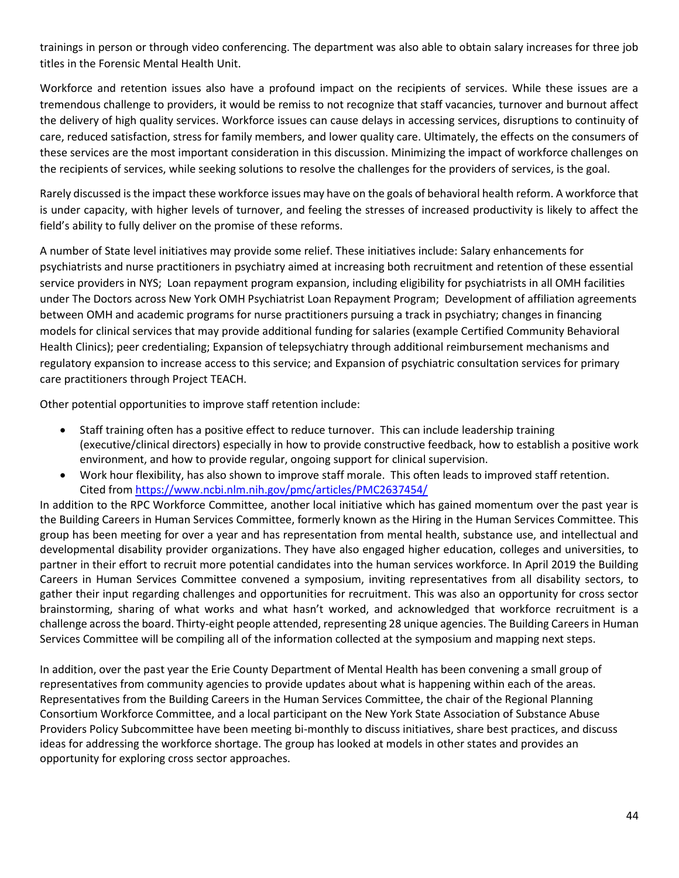trainings in person or through video conferencing. The department was also able to obtain salary increases for three job titles in the Forensic Mental Health Unit.

Workforce and retention issues also have a profound impact on the recipients of services. While these issues are a tremendous challenge to providers, it would be remiss to not recognize that staff vacancies, turnover and burnout affect the delivery of high quality services. Workforce issues can cause delays in accessing services, disruptions to continuity of care, reduced satisfaction, stress for family members, and lower quality care. Ultimately, the effects on the consumers of these services are the most important consideration in this discussion. Minimizing the impact of workforce challenges on the recipients of services, while seeking solutions to resolve the challenges for the providers of services, is the goal.

Rarely discussed is the impact these workforce issues may have on the goals of behavioral health reform. A workforce that is under capacity, with higher levels of turnover, and feeling the stresses of increased productivity is likely to affect the field's ability to fully deliver on the promise of these reforms.

A number of State level initiatives may provide some relief. These initiatives include: Salary enhancements for psychiatrists and nurse practitioners in psychiatry aimed at increasing both recruitment and retention of these essential service providers in NYS; Loan repayment program expansion, including eligibility for psychiatrists in all OMH facilities under The Doctors across New York OMH Psychiatrist Loan Repayment Program; Development of affiliation agreements between OMH and academic programs for nurse practitioners pursuing a track in psychiatry; changes in financing models for clinical services that may provide additional funding for salaries (example Certified Community Behavioral Health Clinics); peer credentialing; Expansion of telepsychiatry through additional reimbursement mechanisms and regulatory expansion to increase access to this service; and Expansion of psychiatric consultation services for primary care practitioners through Project TEACH.

Other potential opportunities to improve staff retention include:

- Staff training often has a positive effect to reduce turnover. This can include leadership training (executive/clinical directors) especially in how to provide constructive feedback, how to establish a positive work environment, and how to provide regular, ongoing support for clinical supervision.
- Work hour flexibility, has also shown to improve staff morale. This often leads to improved staff retention. Cited from<https://www.ncbi.nlm.nih.gov/pmc/articles/PMC2637454/>

In addition to the RPC Workforce Committee, another local initiative which has gained momentum over the past year is the Building Careers in Human Services Committee, formerly known as the Hiring in the Human Services Committee. This group has been meeting for over a year and has representation from mental health, substance use, and intellectual and developmental disability provider organizations. They have also engaged higher education, colleges and universities, to partner in their effort to recruit more potential candidates into the human services workforce. In April 2019 the Building Careers in Human Services Committee convened a symposium, inviting representatives from all disability sectors, to gather their input regarding challenges and opportunities for recruitment. This was also an opportunity for cross sector brainstorming, sharing of what works and what hasn't worked, and acknowledged that workforce recruitment is a challenge across the board. Thirty-eight people attended, representing 28 unique agencies. The Building Careers in Human Services Committee will be compiling all of the information collected at the symposium and mapping next steps.

In addition, over the past year the Erie County Department of Mental Health has been convening a small group of representatives from community agencies to provide updates about what is happening within each of the areas. Representatives from the Building Careers in the Human Services Committee, the chair of the Regional Planning Consortium Workforce Committee, and a local participant on the New York State Association of Substance Abuse Providers Policy Subcommittee have been meeting bi-monthly to discuss initiatives, share best practices, and discuss ideas for addressing the workforce shortage. The group has looked at models in other states and provides an opportunity for exploring cross sector approaches.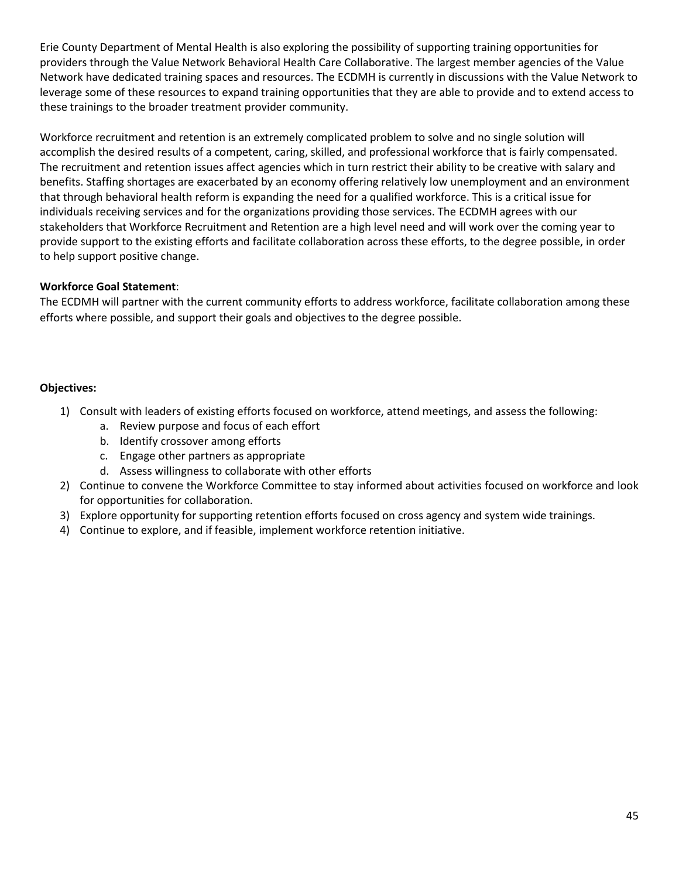Erie County Department of Mental Health is also exploring the possibility of supporting training opportunities for providers through the Value Network Behavioral Health Care Collaborative. The largest member agencies of the Value Network have dedicated training spaces and resources. The ECDMH is currently in discussions with the Value Network to leverage some of these resources to expand training opportunities that they are able to provide and to extend access to these trainings to the broader treatment provider community.

Workforce recruitment and retention is an extremely complicated problem to solve and no single solution will accomplish the desired results of a competent, caring, skilled, and professional workforce that is fairly compensated. The recruitment and retention issues affect agencies which in turn restrict their ability to be creative with salary and benefits. Staffing shortages are exacerbated by an economy offering relatively low unemployment and an environment that through behavioral health reform is expanding the need for a qualified workforce. This is a critical issue for individuals receiving services and for the organizations providing those services. The ECDMH agrees with our stakeholders that Workforce Recruitment and Retention are a high level need and will work over the coming year to provide support to the existing efforts and facilitate collaboration across these efforts, to the degree possible, in order to help support positive change.

## **Workforce Goal Statement**:

The ECDMH will partner with the current community efforts to address workforce, facilitate collaboration among these efforts where possible, and support their goals and objectives to the degree possible.

## **Objectives:**

- 1) Consult with leaders of existing efforts focused on workforce, attend meetings, and assess the following:
	- a. Review purpose and focus of each effort
	- b. Identify crossover among efforts
	- c. Engage other partners as appropriate
	- d. Assess willingness to collaborate with other efforts
- 2) Continue to convene the Workforce Committee to stay informed about activities focused on workforce and look for opportunities for collaboration.
- 3) Explore opportunity for supporting retention efforts focused on cross agency and system wide trainings.
- 4) Continue to explore, and if feasible, implement workforce retention initiative.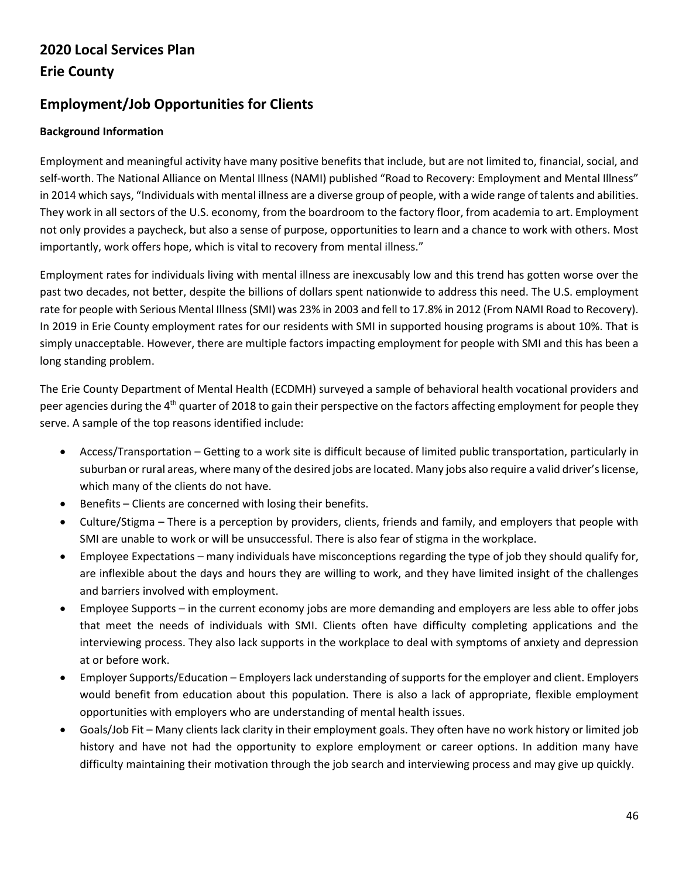# **2020 Local Services Plan Erie County**

# **Employment/Job Opportunities for Clients**

# **Background Information**

Employment and meaningful activity have many positive benefits that include, but are not limited to, financial, social, and self-worth. The National Alliance on Mental Illness (NAMI) published "Road to Recovery: Employment and Mental Illness" in 2014 which says, "Individuals with mental illness are a diverse group of people, with a wide range of talents and abilities. They work in all sectors of the U.S. economy, from the boardroom to the factory floor, from academia to art. Employment not only provides a paycheck, but also a sense of purpose, opportunities to learn and a chance to work with others. Most importantly, work offers hope, which is vital to recovery from mental illness."

Employment rates for individuals living with mental illness are inexcusably low and this trend has gotten worse over the past two decades, not better, despite the billions of dollars spent nationwide to address this need. The U.S. employment rate for people with Serious Mental Illness (SMI) was 23% in 2003 and fell to 17.8% in 2012 (From NAMI Road to Recovery). In 2019 in Erie County employment rates for our residents with SMI in supported housing programs is about 10%. That is simply unacceptable. However, there are multiple factors impacting employment for people with SMI and this has been a long standing problem.

The Erie County Department of Mental Health (ECDMH) surveyed a sample of behavioral health vocational providers and peer agencies during the  $4<sup>th</sup>$  quarter of 2018 to gain their perspective on the factors affecting employment for people they serve. A sample of the top reasons identified include:

- Access/Transportation Getting to a work site is difficult because of limited public transportation, particularly in suburban or rural areas, where many of the desired jobs are located. Many jobs also require a valid driver's license, which many of the clients do not have.
- Benefits Clients are concerned with losing their benefits.
- Culture/Stigma There is a perception by providers, clients, friends and family, and employers that people with SMI are unable to work or will be unsuccessful. There is also fear of stigma in the workplace.
- Employee Expectations many individuals have misconceptions regarding the type of job they should qualify for, are inflexible about the days and hours they are willing to work, and they have limited insight of the challenges and barriers involved with employment.
- Employee Supports in the current economy jobs are more demanding and employers are less able to offer jobs that meet the needs of individuals with SMI. Clients often have difficulty completing applications and the interviewing process. They also lack supports in the workplace to deal with symptoms of anxiety and depression at or before work.
- Employer Supports/Education Employers lack understanding of supports for the employer and client. Employers would benefit from education about this population. There is also a lack of appropriate, flexible employment opportunities with employers who are understanding of mental health issues.
- Goals/Job Fit Many clients lack clarity in their employment goals. They often have no work history or limited job history and have not had the opportunity to explore employment or career options. In addition many have difficulty maintaining their motivation through the job search and interviewing process and may give up quickly.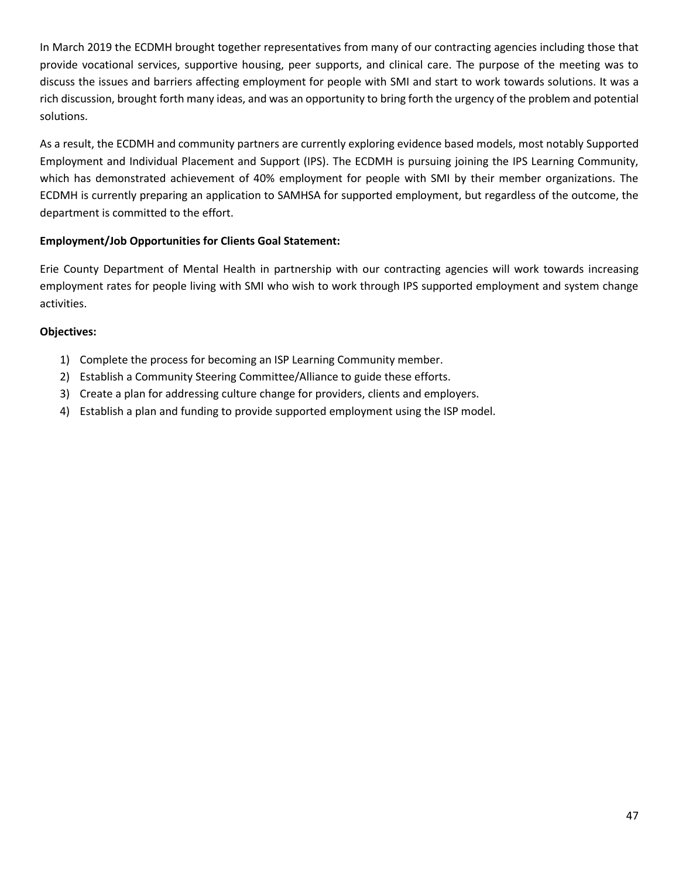In March 2019 the ECDMH brought together representatives from many of our contracting agencies including those that provide vocational services, supportive housing, peer supports, and clinical care. The purpose of the meeting was to discuss the issues and barriers affecting employment for people with SMI and start to work towards solutions. It was a rich discussion, brought forth many ideas, and was an opportunity to bring forth the urgency of the problem and potential solutions.

As a result, the ECDMH and community partners are currently exploring evidence based models, most notably Supported Employment and Individual Placement and Support (IPS). The ECDMH is pursuing joining the IPS Learning Community, which has demonstrated achievement of 40% employment for people with SMI by their member organizations. The ECDMH is currently preparing an application to SAMHSA for supported employment, but regardless of the outcome, the department is committed to the effort.

## **Employment/Job Opportunities for Clients Goal Statement:**

Erie County Department of Mental Health in partnership with our contracting agencies will work towards increasing employment rates for people living with SMI who wish to work through IPS supported employment and system change activities.

## **Objectives:**

- 1) Complete the process for becoming an ISP Learning Community member.
- 2) Establish a Community Steering Committee/Alliance to guide these efforts.
- 3) Create a plan for addressing culture change for providers, clients and employers.
- 4) Establish a plan and funding to provide supported employment using the ISP model.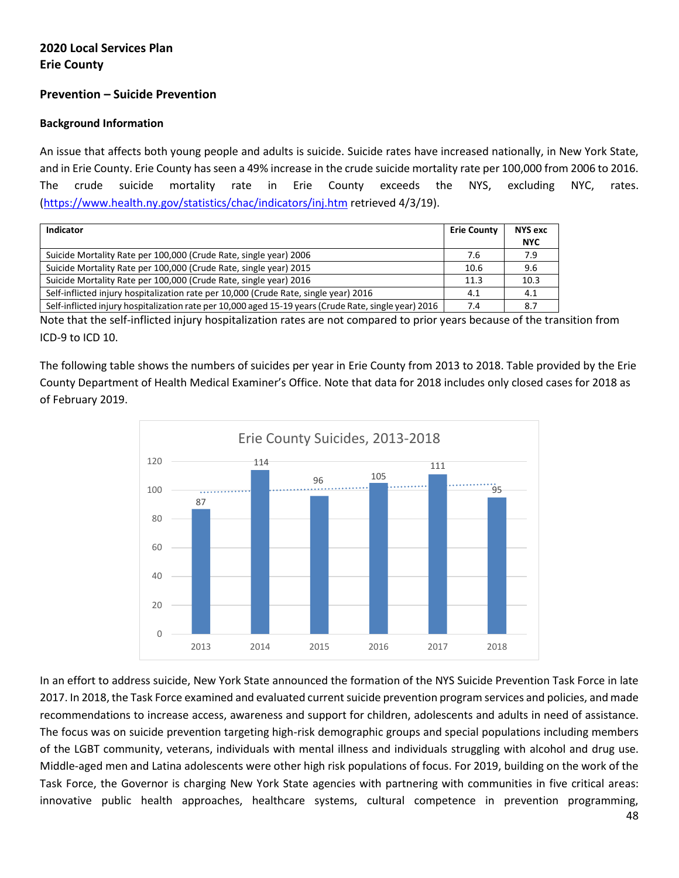# **2020 Local Services Plan Erie County**

## **Prevention – Suicide Prevention**

#### **Background Information**

An issue that affects both young people and adults is suicide. Suicide rates have increased nationally, in New York State, and in Erie County. Erie County has seen a 49% increase in the crude suicide mortality rate per 100,000 from 2006 to 2016. The crude suicide mortality rate in Erie County exceeds the NYS, excluding NYC, rates. [\(https://www.health.ny.gov/statistics/chac/indicators/inj.htm](https://www.health.ny.gov/statistics/chac/indicators/inj.htm) retrieved 4/3/19).

| Indicator                                                                                             | <b>Erie County</b> | <b>NYS exc</b> |
|-------------------------------------------------------------------------------------------------------|--------------------|----------------|
|                                                                                                       |                    | <b>NYC</b>     |
| Suicide Mortality Rate per 100,000 (Crude Rate, single year) 2006                                     | 7.6                | 7.9            |
| Suicide Mortality Rate per 100,000 (Crude Rate, single year) 2015                                     | 10.6               | 9.6            |
| Suicide Mortality Rate per 100,000 (Crude Rate, single year) 2016                                     | 11.3               | 10.3           |
| Self-inflicted injury hospitalization rate per 10,000 (Crude Rate, single year) 2016                  | 4.1                | 4.1            |
| Self-inflicted injury hospitalization rate per 10,000 aged 15-19 years (Crude Rate, single year) 2016 | 7.4                | 8.7            |

Note that the self-inflicted injury hospitalization rates are not compared to prior years because of the transition from ICD-9 to ICD 10.

The following table shows the numbers of suicides per year in Erie County from 2013 to 2018. Table provided by the Erie County Department of Health Medical Examiner's Office. Note that data for 2018 includes only closed cases for 2018 as of February 2019.



In an effort to address suicide, New York State announced the formation of the NYS Suicide Prevention Task Force in late 2017. In 2018, the Task Force examined and evaluated current suicide prevention program services and policies, and made recommendations to increase access, awareness and support for children, adolescents and adults in need of assistance. The focus was on suicide prevention targeting high-risk demographic groups and special populations including members of the LGBT community, veterans, individuals with mental illness and individuals struggling with alcohol and drug use. Middle-aged men and Latina adolescents were other high risk populations of focus. For 2019, building on the work of the Task Force, the Governor is charging New York State agencies with partnering with communities in five critical areas: innovative public health approaches, healthcare systems, cultural competence in prevention programming,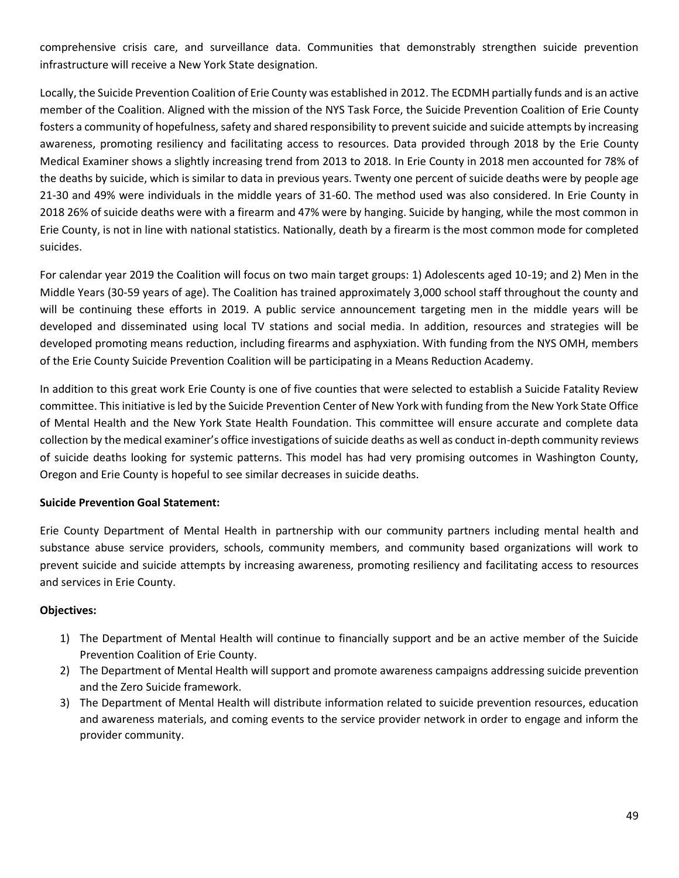comprehensive crisis care, and surveillance data. Communities that demonstrably strengthen suicide prevention infrastructure will receive a New York State designation.

Locally, the Suicide Prevention Coalition of Erie County was established in 2012. The ECDMH partially funds and is an active member of the Coalition. Aligned with the mission of the NYS Task Force, the Suicide Prevention Coalition of Erie County fosters a community of hopefulness, safety and shared responsibility to prevent suicide and suicide attempts by increasing awareness, promoting resiliency and facilitating access to resources. Data provided through 2018 by the Erie County Medical Examiner shows a slightly increasing trend from 2013 to 2018. In Erie County in 2018 men accounted for 78% of the deaths by suicide, which is similar to data in previous years. Twenty one percent of suicide deaths were by people age 21-30 and 49% were individuals in the middle years of 31-60. The method used was also considered. In Erie County in 2018 26% of suicide deaths were with a firearm and 47% were by hanging. Suicide by hanging, while the most common in Erie County, is not in line with national statistics. Nationally, death by a firearm is the most common mode for completed suicides.

For calendar year 2019 the Coalition will focus on two main target groups: 1) Adolescents aged 10-19; and 2) Men in the Middle Years (30-59 years of age). The Coalition has trained approximately 3,000 school staff throughout the county and will be continuing these efforts in 2019. A public service announcement targeting men in the middle years will be developed and disseminated using local TV stations and social media. In addition, resources and strategies will be developed promoting means reduction, including firearms and asphyxiation. With funding from the NYS OMH, members of the Erie County Suicide Prevention Coalition will be participating in a Means Reduction Academy.

In addition to this great work Erie County is one of five counties that were selected to establish a Suicide Fatality Review committee. This initiative is led by the Suicide Prevention Center of New York with funding from the New York State Office of Mental Health and the New York State Health Foundation. This committee will ensure accurate and complete data collection by the medical examiner's office investigations of suicide deaths as well as conduct in-depth community reviews of suicide deaths looking for systemic patterns. This model has had very promising outcomes in Washington County, Oregon and Erie County is hopeful to see similar decreases in suicide deaths.

#### **Suicide Prevention Goal Statement:**

Erie County Department of Mental Health in partnership with our community partners including mental health and substance abuse service providers, schools, community members, and community based organizations will work to prevent suicide and suicide attempts by increasing awareness, promoting resiliency and facilitating access to resources and services in Erie County.

#### **Objectives:**

- 1) The Department of Mental Health will continue to financially support and be an active member of the Suicide Prevention Coalition of Erie County.
- 2) The Department of Mental Health will support and promote awareness campaigns addressing suicide prevention and the Zero Suicide framework.
- 3) The Department of Mental Health will distribute information related to suicide prevention resources, education and awareness materials, and coming events to the service provider network in order to engage and inform the provider community.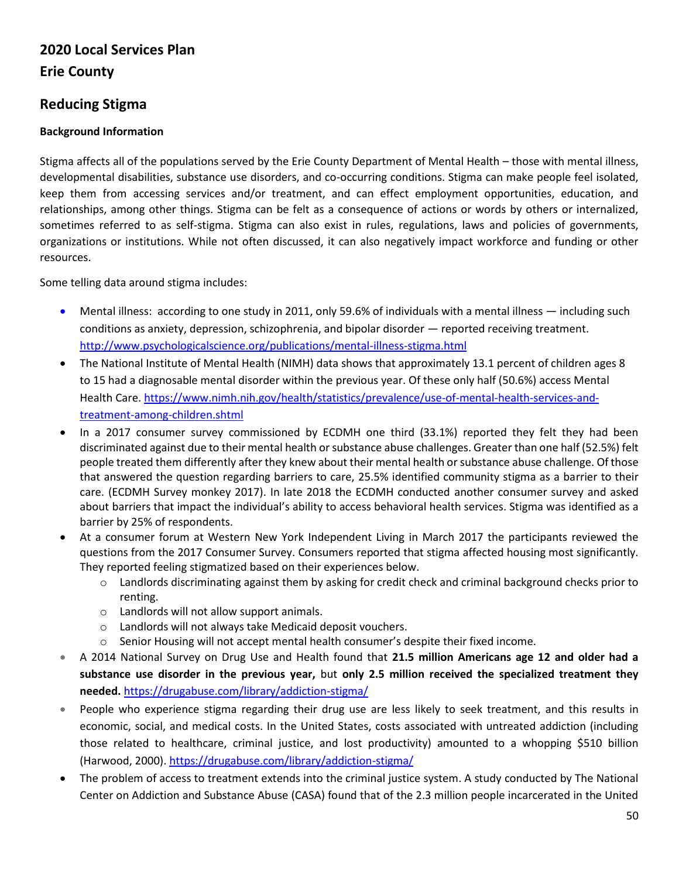# **2020 Local Services Plan Erie County**

# **Reducing Stigma**

## **Background Information**

Stigma affects all of the populations served by the Erie County Department of Mental Health – those with mental illness, developmental disabilities, substance use disorders, and co-occurring conditions. Stigma can make people feel isolated, keep them from accessing services and/or treatment, and can effect employment opportunities, education, and relationships, among other things. Stigma can be felt as a consequence of actions or words by others or internalized, sometimes referred to as self-stigma. Stigma can also exist in rules, regulations, laws and policies of governments, organizations or institutions. While not often discussed, it can also negatively impact workforce and funding or other resources.

Some telling data around stigma includes:

- Mental illness: according to one study in 2011, only 59.6% of individuals with a mental illness including such conditions as anxiety, depression, schizophrenia, and bipolar disorder — reported receiving treatment. <http://www.psychologicalscience.org/publications/mental-illness-stigma.html>
- The National Institute of Mental Health (NIMH) data shows that approximately 13.1 percent of children ages 8 to 15 had a diagnosable mental disorder within the previous year. Of these only half (50.6%) access Mental Health Care. [https://www.nimh.nih.gov/health/statistics/prevalence/use-of-mental-health-services-and](https://www.nimh.nih.gov/health/statistics/prevalence/use-of-mental-health-services-and-treatment-among-children.shtml)[treatment-among-children.shtml](https://www.nimh.nih.gov/health/statistics/prevalence/use-of-mental-health-services-and-treatment-among-children.shtml)
- In a 2017 consumer survey commissioned by ECDMH one third (33.1%) reported they felt they had been discriminated against due to their mental health or substance abuse challenges. Greater than one half (52.5%) felt people treated them differently after they knew about their mental health or substance abuse challenge. Of those that answered the question regarding barriers to care, 25.5% identified community stigma as a barrier to their care. (ECDMH Survey monkey 2017). In late 2018 the ECDMH conducted another consumer survey and asked about barriers that impact the individual's ability to access behavioral health services. Stigma was identified as a barrier by 25% of respondents.
- At a consumer forum at Western New York Independent Living in March 2017 the participants reviewed the questions from the 2017 Consumer Survey. Consumers reported that stigma affected housing most significantly. They reported feeling stigmatized based on their experiences below.
	- o Landlords discriminating against them by asking for credit check and criminal background checks prior to renting.
	- o Landlords will not allow support animals.
	- o Landlords will not always take Medicaid deposit vouchers.
	- $\circ$  Senior Housing will not accept mental health consumer's despite their fixed income.
- A 2014 National Survey on Drug Use and Health found that **21.5 million Americans age 12 and older had a substance use disorder in the previous year,** but **only 2.5 million received the specialized treatment they needed.** <https://drugabuse.com/library/addiction-stigma/>
- People who experience stigma regarding their drug use are less likely to seek treatment, and this results in economic, social, and medical costs. In the United States, costs associated with untreated addiction (including those related to healthcare, criminal justice, and lost productivity) amounted to a whopping \$510 billion (Harwood, 2000)[. https://drugabuse.com/library/addiction-stigma/](https://drugabuse.com/library/addiction-stigma/)
- The problem of access to treatment extends into the criminal justice system. A study conducted by The National Center on Addiction and Substance Abuse (CASA) found that of the 2.3 million people incarcerated in the United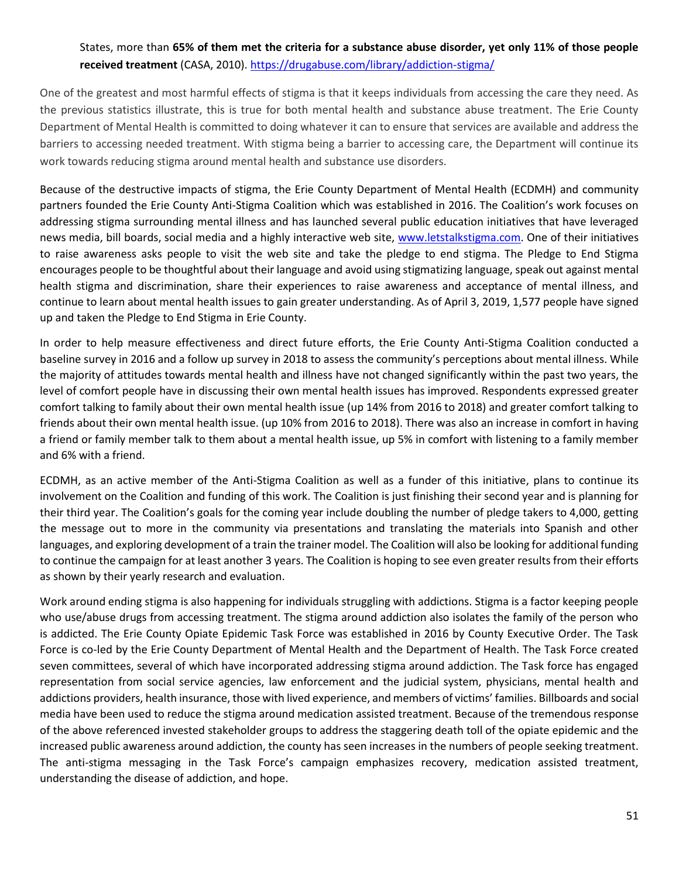# States, more than **65% of them met the criteria for a substance abuse disorder, yet only 11% of those people received treatment** (CASA, 2010)[. https://drugabuse.com/library/addiction-stigma/](https://drugabuse.com/library/addiction-stigma/)

One of the greatest and most harmful effects of stigma is that it keeps individuals from accessing the care they need. As the previous statistics illustrate, this is true for both mental health and substance abuse treatment. The Erie County Department of Mental Health is committed to doing whatever it can to ensure that services are available and address the barriers to accessing needed treatment. With stigma being a barrier to accessing care, the Department will continue its work towards reducing stigma around mental health and substance use disorders.

Because of the destructive impacts of stigma, the Erie County Department of Mental Health (ECDMH) and community partners founded the Erie County Anti-Stigma Coalition which was established in 2016. The Coalition's work focuses on addressing stigma surrounding mental illness and has launched several public education initiatives that have leveraged news media, bill boards, social media and a highly interactive web site, [www.letstalkstigma.com.](http://www.letstalkstigma.com/) One of their initiatives to raise awareness asks people to visit the web site and take the pledge to end stigma. The Pledge to End Stigma encourages people to be thoughtful about their language and avoid using stigmatizing language, speak out against mental health stigma and discrimination, share their experiences to raise awareness and acceptance of mental illness, and continue to learn about mental health issues to gain greater understanding. As of April 3, 2019, 1,577 people have signed up and taken the Pledge to End Stigma in Erie County.

In order to help measure effectiveness and direct future efforts, the Erie County Anti-Stigma Coalition conducted a baseline survey in 2016 and a follow up survey in 2018 to assess the community's perceptions about mental illness. While the majority of attitudes towards mental health and illness have not changed significantly within the past two years, the level of comfort people have in discussing their own mental health issues has improved. Respondents expressed greater comfort talking to family about their own mental health issue (up 14% from 2016 to 2018) and greater comfort talking to friends about their own mental health issue. (up 10% from 2016 to 2018). There was also an increase in comfort in having a friend or family member talk to them about a mental health issue, up 5% in comfort with listening to a family member and 6% with a friend.

ECDMH, as an active member of the Anti-Stigma Coalition as well as a funder of this initiative, plans to continue its involvement on the Coalition and funding of this work. The Coalition is just finishing their second year and is planning for their third year. The Coalition's goals for the coming year include doubling the number of pledge takers to 4,000, getting the message out to more in the community via presentations and translating the materials into Spanish and other languages, and exploring development of a train the trainer model. The Coalition will also be looking for additional funding to continue the campaign for at least another 3 years. The Coalition is hoping to see even greater results from their efforts as shown by their yearly research and evaluation.

Work around ending stigma is also happening for individuals struggling with addictions. Stigma is a factor keeping people who use/abuse drugs from accessing treatment. The stigma around addiction also isolates the family of the person who is addicted. The Erie County Opiate Epidemic Task Force was established in 2016 by County Executive Order. The Task Force is co-led by the Erie County Department of Mental Health and the Department of Health. The Task Force created seven committees, several of which have incorporated addressing stigma around addiction. The Task force has engaged representation from social service agencies, law enforcement and the judicial system, physicians, mental health and addictions providers, health insurance, those with lived experience, and members of victims' families. Billboards and social media have been used to reduce the stigma around medication assisted treatment. Because of the tremendous response of the above referenced invested stakeholder groups to address the staggering death toll of the opiate epidemic and the increased public awareness around addiction, the county has seen increases in the numbers of people seeking treatment. The anti-stigma messaging in the Task Force's campaign emphasizes recovery, medication assisted treatment, understanding the disease of addiction, and hope.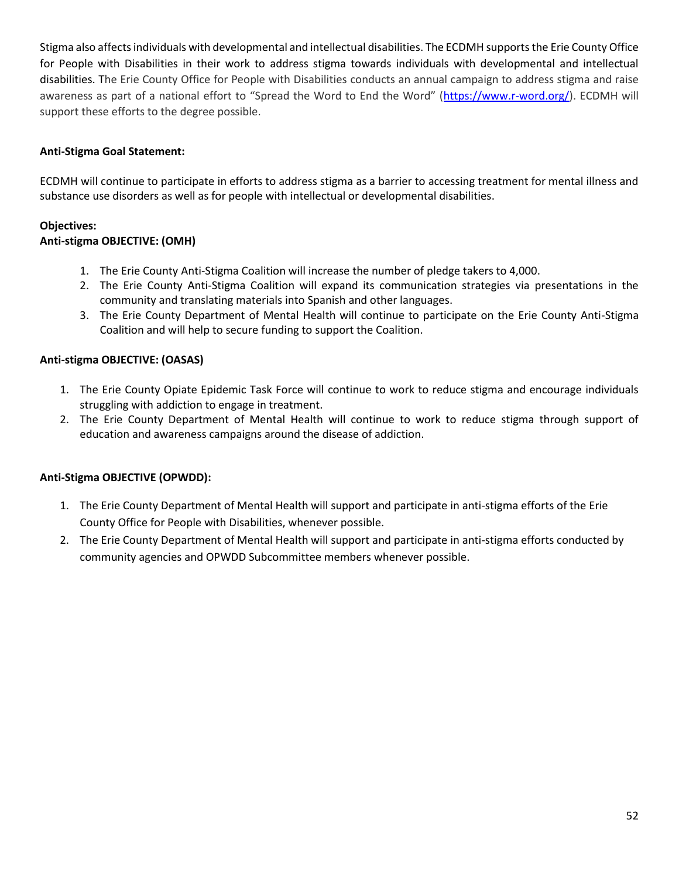Stigma also affects individuals with developmental and intellectual disabilities. The ECDMH supports the Erie County Office for People with Disabilities in their work to address stigma towards individuals with developmental and intellectual disabilities. The Erie County Office for People with Disabilities conducts an annual campaign to address stigma and raise awareness as part of a national effort to "Spread the Word to End the Word" ([https://www.r-word.org/\)](https://www.r-word.org/). ECDMH will support these efforts to the degree possible.

#### **Anti-Stigma Goal Statement:**

ECDMH will continue to participate in efforts to address stigma as a barrier to accessing treatment for mental illness and substance use disorders as well as for people with intellectual or developmental disabilities.

#### **Objectives: Anti-stigma OBJECTIVE: (OMH)**

- 1. The Erie County Anti-Stigma Coalition will increase the number of pledge takers to 4,000.
- 2. The Erie County Anti-Stigma Coalition will expand its communication strategies via presentations in the community and translating materials into Spanish and other languages.
- 3. The Erie County Department of Mental Health will continue to participate on the Erie County Anti-Stigma Coalition and will help to secure funding to support the Coalition.

## **Anti-stigma OBJECTIVE: (OASAS)**

- 1. The Erie County Opiate Epidemic Task Force will continue to work to reduce stigma and encourage individuals struggling with addiction to engage in treatment.
- 2. The Erie County Department of Mental Health will continue to work to reduce stigma through support of education and awareness campaigns around the disease of addiction.

## **Anti-Stigma OBJECTIVE (OPWDD):**

- 1. The Erie County Department of Mental Health will support and participate in anti-stigma efforts of the Erie County Office for People with Disabilities, whenever possible.
- 2. The Erie County Department of Mental Health will support and participate in anti-stigma efforts conducted by community agencies and OPWDD Subcommittee members whenever possible.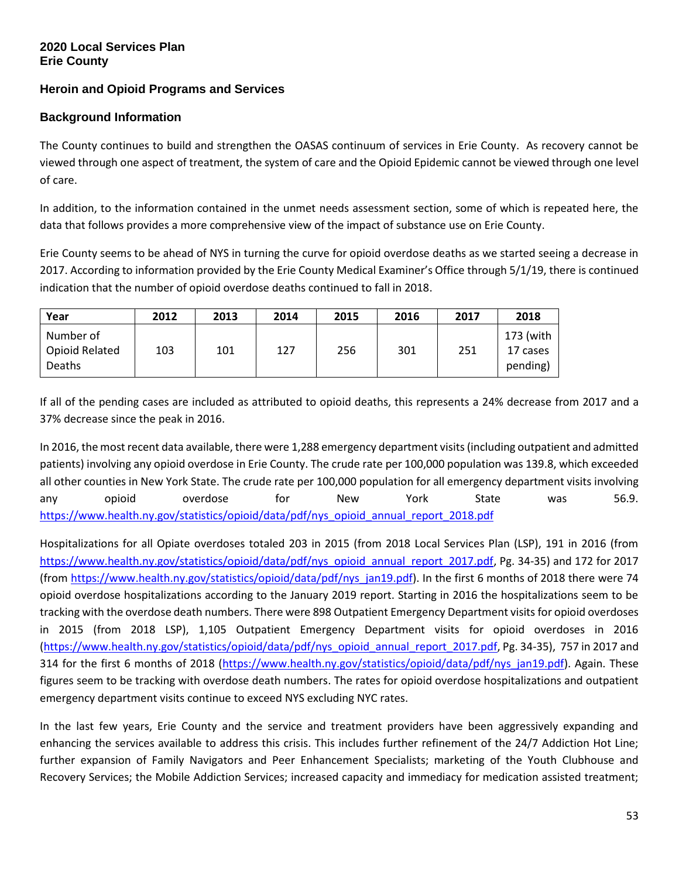# **Heroin and Opioid Programs and Services**

## **Background Information**

The County continues to build and strengthen the OASAS continuum of services in Erie County. As recovery cannot be viewed through one aspect of treatment, the system of care and the Opioid Epidemic cannot be viewed through one level of care.

In addition, to the information contained in the unmet needs assessment section, some of which is repeated here, the data that follows provides a more comprehensive view of the impact of substance use on Erie County.

Erie County seems to be ahead of NYS in turning the curve for opioid overdose deaths as we started seeing a decrease in 2017. According to information provided by the Erie County Medical Examiner's Office through 5/1/19, there is continued indication that the number of opioid overdose deaths continued to fall in 2018.

| Year                                  | 2012 | 2013 | 2014 | 2015 | 2016 | 2017 | 2018                              |
|---------------------------------------|------|------|------|------|------|------|-----------------------------------|
| Number of<br>Opioid Related<br>Deaths | 103  | 101  | 127  | 256  | 301  | 251  | 173 (with<br>17 cases<br>pending) |

If all of the pending cases are included as attributed to opioid deaths, this represents a 24% decrease from 2017 and a 37% decrease since the peak in 2016.

In 2016, the most recent data available, there were 1,288 emergency department visits (including outpatient and admitted patients) involving any opioid overdose in Erie County. The crude rate per 100,000 population was 139.8, which exceeded all other counties in New York State. The crude rate per 100,000 population for all emergency department visits involving any opioid overdose for New York State was 56.9. [https://www.health.ny.gov/statistics/opioid/data/pdf/nys\\_opioid\\_annual\\_report\\_2018.pdf](https://www.health.ny.gov/statistics/opioid/data/pdf/nys_opioid_annual_report_2018.pdf)

Hospitalizations for all Opiate overdoses totaled 203 in 2015 (from 2018 Local Services Plan (LSP), 191 in 2016 (from [https://www.health.ny.gov/statistics/opioid/data/pdf/nys\\_opioid\\_annual\\_report\\_2017.pdf,](https://www.health.ny.gov/statistics/opioid/data/pdf/nys_opioid_annual_report_2017.pdf) Pg. 34-35) and 172 for 2017 (from [https://www.health.ny.gov/statistics/opioid/data/pdf/nys\\_jan19.pdf\)](https://www.health.ny.gov/statistics/opioid/data/pdf/nys_jan19.pdf). In the first 6 months of 2018 there were 74 opioid overdose hospitalizations according to the January 2019 report. Starting in 2016 the hospitalizations seem to be tracking with the overdose death numbers. There were 898 Outpatient Emergency Department visits for opioid overdoses in 2015 (from 2018 LSP), 1,105 Outpatient Emergency Department visits for opioid overdoses in 2016 [\(https://www.health.ny.gov/statistics/opioid/data/pdf/nys\\_opioid\\_annual\\_report\\_2017.pdf,](https://www.health.ny.gov/statistics/opioid/data/pdf/nys_opioid_annual_report_2017.pdf) Pg. 34-35), 757 in 2017 and 314 for the first 6 months of 2018 [\(https://www.health.ny.gov/statistics/opioid/data/pdf/nys\\_jan19.pdf\)](https://www.health.ny.gov/statistics/opioid/data/pdf/nys_jan19.pdf). Again. These figures seem to be tracking with overdose death numbers. The rates for opioid overdose hospitalizations and outpatient emergency department visits continue to exceed NYS excluding NYC rates.

In the last few years, Erie County and the service and treatment providers have been aggressively expanding and enhancing the services available to address this crisis. This includes further refinement of the 24/7 Addiction Hot Line; further expansion of Family Navigators and Peer Enhancement Specialists; marketing of the Youth Clubhouse and Recovery Services; the Mobile Addiction Services; increased capacity and immediacy for medication assisted treatment;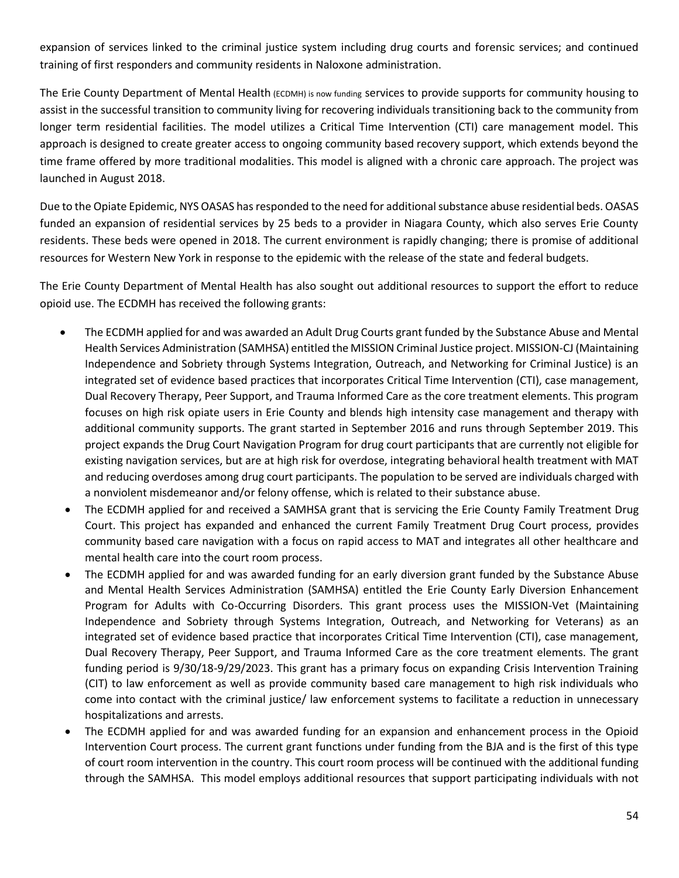expansion of services linked to the criminal justice system including drug courts and forensic services; and continued training of first responders and community residents in Naloxone administration.

The Erie County Department of Mental Health (ECDMH) is now funding services to provide supports for community housing to assist in the successful transition to community living for recovering individuals transitioning back to the community from longer term residential facilities. The model utilizes a Critical Time Intervention (CTI) care management model. This approach is designed to create greater access to ongoing community based recovery support, which extends beyond the time frame offered by more traditional modalities. This model is aligned with a chronic care approach. The project was launched in August 2018.

Due to the Opiate Epidemic, NYS OASAS has responded to the need for additional substance abuse residential beds. OASAS funded an expansion of residential services by 25 beds to a provider in Niagara County, which also serves Erie County residents. These beds were opened in 2018. The current environment is rapidly changing; there is promise of additional resources for Western New York in response to the epidemic with the release of the state and federal budgets.

The Erie County Department of Mental Health has also sought out additional resources to support the effort to reduce opioid use. The ECDMH has received the following grants:

- The ECDMH applied for and was awarded an Adult Drug Courts grant funded by the Substance Abuse and Mental Health Services Administration (SAMHSA) entitled the MISSION Criminal Justice project. MISSION-CJ (Maintaining Independence and Sobriety through Systems Integration, Outreach, and Networking for Criminal Justice) is an integrated set of evidence based practices that incorporates Critical Time Intervention (CTI), case management, Dual Recovery Therapy, Peer Support, and Trauma Informed Care as the core treatment elements. This program focuses on high risk opiate users in Erie County and blends high intensity case management and therapy with additional community supports. The grant started in September 2016 and runs through September 2019. This project expands the Drug Court Navigation Program for drug court participants that are currently not eligible for existing navigation services, but are at high risk for overdose, integrating behavioral health treatment with MAT and reducing overdoses among drug court participants. The population to be served are individuals charged with a nonviolent misdemeanor and/or felony offense, which is related to their substance abuse.
- The ECDMH applied for and received a SAMHSA grant that is servicing the Erie County Family Treatment Drug Court. This project has expanded and enhanced the current Family Treatment Drug Court process, provides community based care navigation with a focus on rapid access to MAT and integrates all other healthcare and mental health care into the court room process.
- The ECDMH applied for and was awarded funding for an early diversion grant funded by the Substance Abuse and Mental Health Services Administration (SAMHSA) entitled the Erie County Early Diversion Enhancement Program for Adults with Co-Occurring Disorders. This grant process uses the MISSION-Vet (Maintaining Independence and Sobriety through Systems Integration, Outreach, and Networking for Veterans) as an integrated set of evidence based practice that incorporates Critical Time Intervention (CTI), case management, Dual Recovery Therapy, Peer Support, and Trauma Informed Care as the core treatment elements. The grant funding period is 9/30/18-9/29/2023. This grant has a primary focus on expanding Crisis Intervention Training (CIT) to law enforcement as well as provide community based care management to high risk individuals who come into contact with the criminal justice/ law enforcement systems to facilitate a reduction in unnecessary hospitalizations and arrests.
- The ECDMH applied for and was awarded funding for an expansion and enhancement process in the Opioid Intervention Court process. The current grant functions under funding from the BJA and is the first of this type of court room intervention in the country. This court room process will be continued with the additional funding through the SAMHSA. This model employs additional resources that support participating individuals with not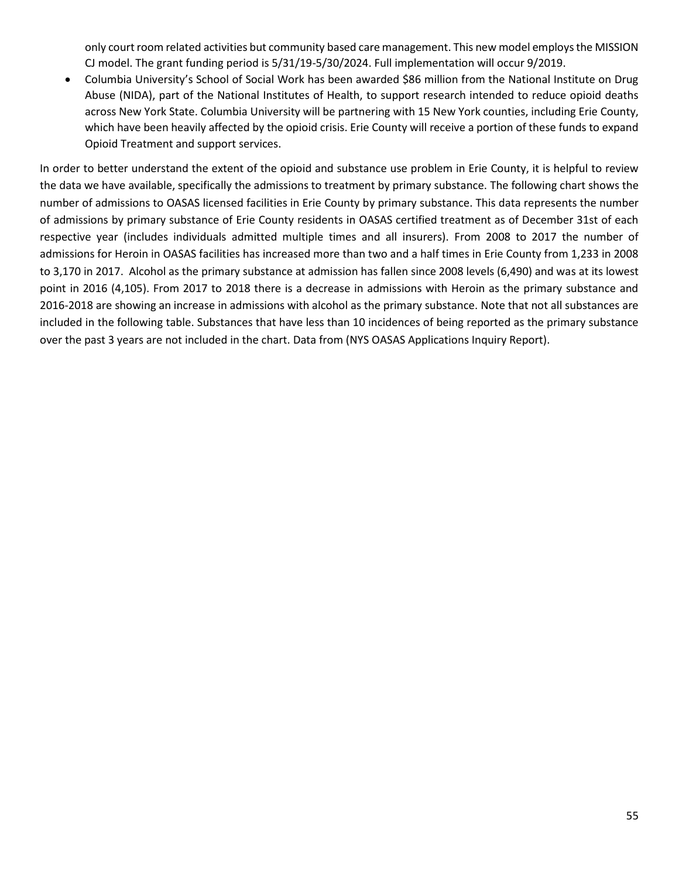only court room related activities but community based care management. This new model employs the MISSION CJ model. The grant funding period is 5/31/19-5/30/2024. Full implementation will occur 9/2019.

 Columbia University's School of Social Work has been awarded \$86 million from the National Institute on Drug Abuse (NIDA), part of the National Institutes of Health, to support research intended to reduce opioid deaths across New York State. Columbia University will be partnering with 15 New York counties, including Erie County, which have been heavily affected by the opioid crisis. Erie County will receive a portion of these funds to expand Opioid Treatment and support services.

In order to better understand the extent of the opioid and substance use problem in Erie County, it is helpful to review the data we have available, specifically the admissions to treatment by primary substance. The following chart shows the number of admissions to OASAS licensed facilities in Erie County by primary substance. This data represents the number of admissions by primary substance of Erie County residents in OASAS certified treatment as of December 31st of each respective year (includes individuals admitted multiple times and all insurers). From 2008 to 2017 the number of admissions for Heroin in OASAS facilities has increased more than two and a half times in Erie County from 1,233 in 2008 to 3,170 in 2017. Alcohol as the primary substance at admission has fallen since 2008 levels (6,490) and was at its lowest point in 2016 (4,105). From 2017 to 2018 there is a decrease in admissions with Heroin as the primary substance and 2016-2018 are showing an increase in admissions with alcohol as the primary substance. Note that not all substances are included in the following table. Substances that have less than 10 incidences of being reported as the primary substance over the past 3 years are not included in the chart. Data from (NYS OASAS Applications Inquiry Report).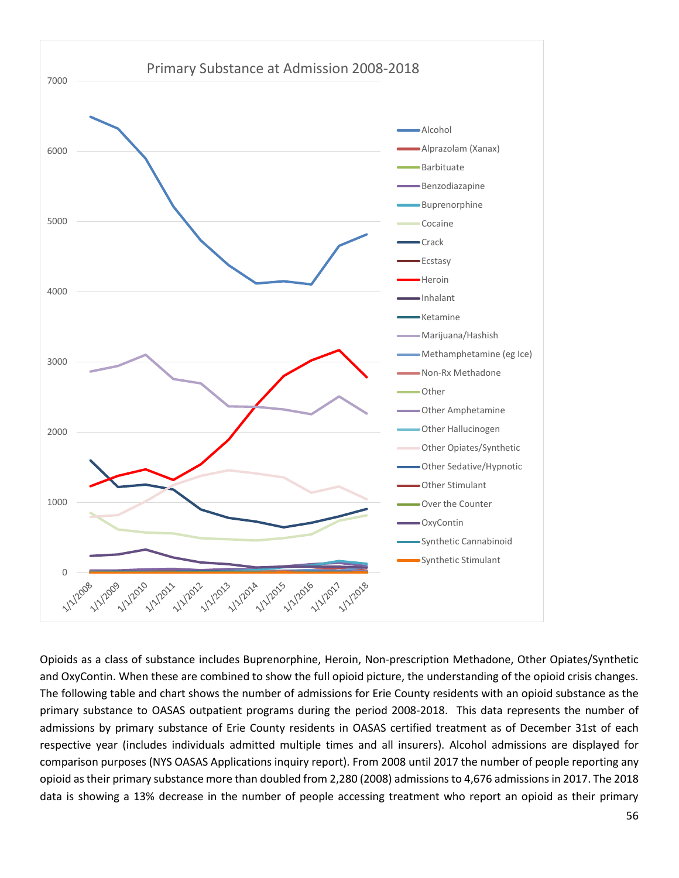

Opioids as a class of substance includes Buprenorphine, Heroin, Non-prescription Methadone, Other Opiates/Synthetic and OxyContin. When these are combined to show the full opioid picture, the understanding of the opioid crisis changes. The following table and chart shows the number of admissions for Erie County residents with an opioid substance as the primary substance to OASAS outpatient programs during the period 2008-2018. This data represents the number of admissions by primary substance of Erie County residents in OASAS certified treatment as of December 31st of each respective year (includes individuals admitted multiple times and all insurers). Alcohol admissions are displayed for comparison purposes (NYS OASAS Applications inquiry report). From 2008 until 2017 the number of people reporting any opioid as their primary substance more than doubled from 2,280 (2008) admissions to 4,676 admissions in 2017. The 2018 data is showing a 13% decrease in the number of people accessing treatment who report an opioid as their primary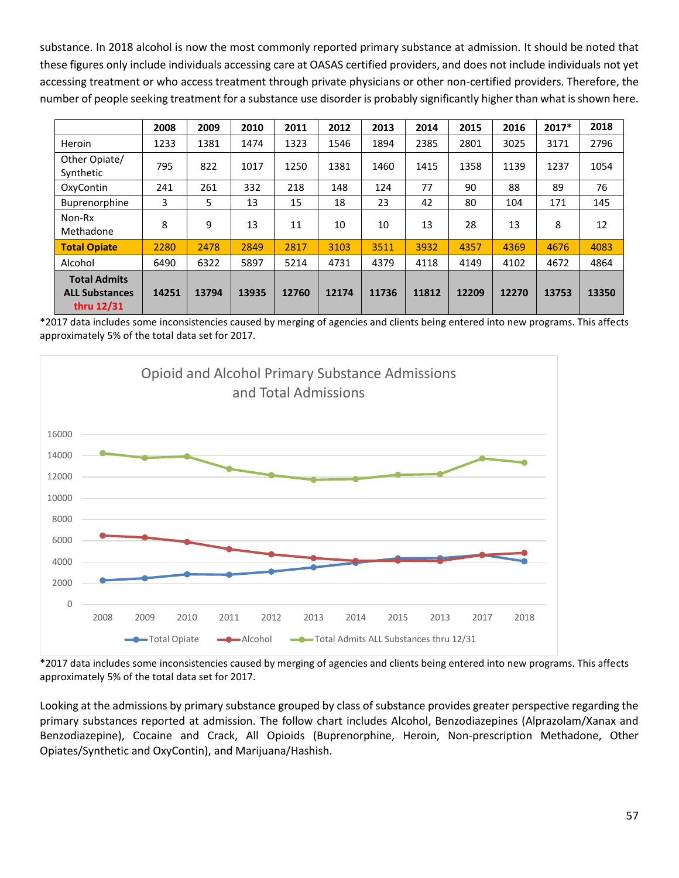substance. In 2018 alcohol is now the most commonly reported primary substance at admission. It should be noted that these figures only include individuals accessing care at OASAS certified providers, and does not include individuals not yet accessing treatment or who access treatment through private physicians or other non-certified providers. Therefore, the number of people seeking treatment for a substance use disorder is probably significantly higher than what is shown here.

|                                                            | 2008  | 2009  | 2010  | 2011  | 2012  | 2013  | 2014  | 2015  | 2016  | $2017*$ | 2018  |
|------------------------------------------------------------|-------|-------|-------|-------|-------|-------|-------|-------|-------|---------|-------|
|                                                            |       |       |       |       |       |       |       |       |       |         |       |
| Heroin                                                     | 1233  | 1381  | 1474  | 1323  | 1546  | 1894  | 2385  | 2801  | 3025  | 3171    | 2796  |
| Other Opiate/<br>Synthetic                                 | 795   | 822   | 1017  | 1250  | 1381  | 1460  | 1415  | 1358  | 1139  | 1237    | 1054  |
| OxyContin                                                  | 241   | 261   | 332   | 218   | 148   | 124   | 77    | 90    | 88    | 89      | 76    |
| Buprenorphine                                              | 3     | 5     | 13    | 15    | 18    | 23    | 42    | 80    | 104   | 171     | 145   |
| Non-Rx<br>Methadone                                        | 8     | 9     | 13    | 11    | 10    | 10    | 13    | 28    | 13    | 8       | 12    |
| <b>Total Opiate</b>                                        | 2280  | 2478  | 2849  | 2817  | 3103  | 3511  | 3932  | 4357  | 4369  | 4676    | 4083  |
| Alcohol                                                    | 6490  | 6322  | 5897  | 5214  | 4731  | 4379  | 4118  | 4149  | 4102  | 4672    | 4864  |
| <b>Total Admits</b><br><b>ALL Substances</b><br>thru 12/31 | 14251 | 13794 | 13935 | 12760 | 12174 | 11736 | 11812 | 12209 | 12270 | 13753   | 13350 |

\*2017 data includes some inconsistencies caused by merging of agencies and clients being entered into new programs. This affects approximately 5% of the total data set for 2017.



\*2017 data includes some inconsistencies caused by merging of agencies and clients being entered into new programs. This affects approximately 5% of the total data set for 2017.

Looking at the admissions by primary substance grouped by class of substance provides greater perspective regarding the primary substances reported at admission. The follow chart includes Alcohol, Benzodiazepines (Alprazolam/Xanax and Benzodiazepine), Cocaine and Crack, All Opioids (Buprenorphine, Heroin, Non-prescription Methadone, Other Opiates/Synthetic and OxyContin), and Marijuana/Hashish.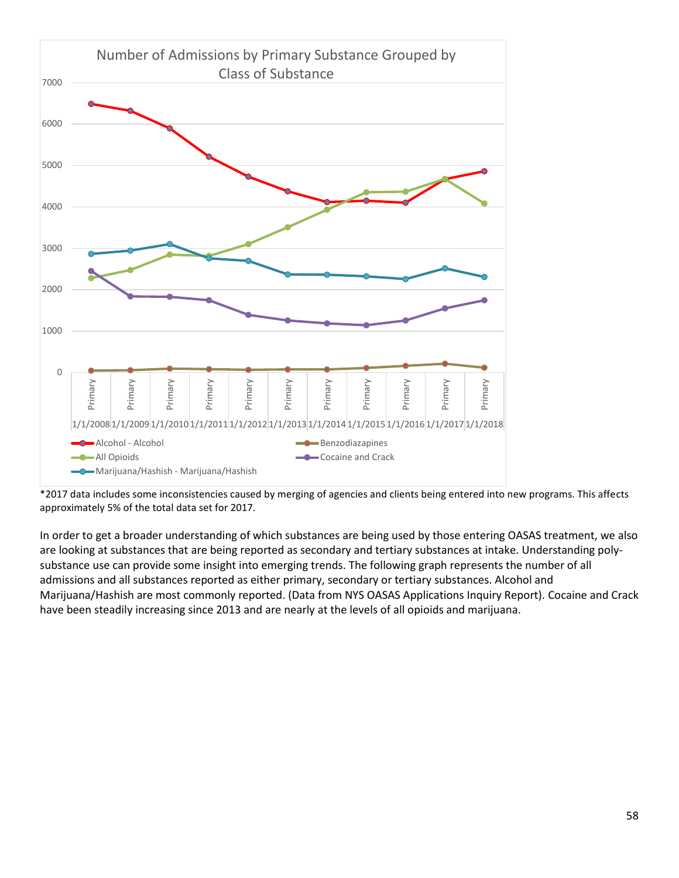

\*2017 data includes some inconsistencies caused by merging of agencies and clients being entered into new programs. This affects approximately 5% of the total data set for 2017.

In order to get a broader understanding of which substances are being used by those entering OASAS treatment, we also are looking at substances that are being reported as secondary and tertiary substances at intake. Understanding polysubstance use can provide some insight into emerging trends. The following graph represents the number of all admissions and all substances reported as either primary, secondary or tertiary substances. Alcohol and Marijuana/Hashish are most commonly reported. (Data from NYS OASAS Applications Inquiry Report). Cocaine and Crack have been steadily increasing since 2013 and are nearly at the levels of all opioids and marijuana.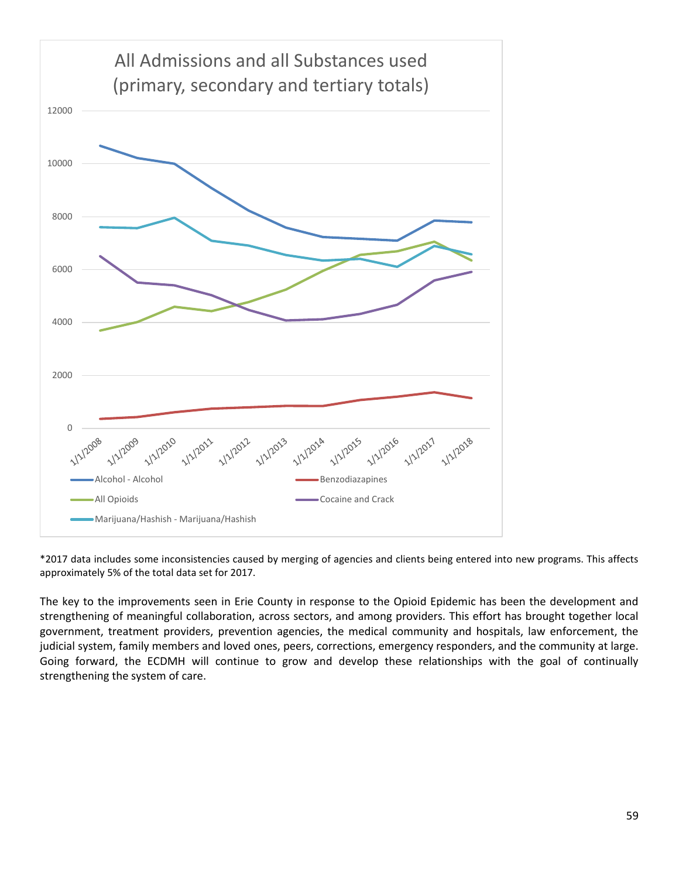

\*2017 data includes some inconsistencies caused by merging of agencies and clients being entered into new programs. This affects approximately 5% of the total data set for 2017.

The key to the improvements seen in Erie County in response to the Opioid Epidemic has been the development and strengthening of meaningful collaboration, across sectors, and among providers. This effort has brought together local government, treatment providers, prevention agencies, the medical community and hospitals, law enforcement, the judicial system, family members and loved ones, peers, corrections, emergency responders, and the community at large. Going forward, the ECDMH will continue to grow and develop these relationships with the goal of continually strengthening the system of care.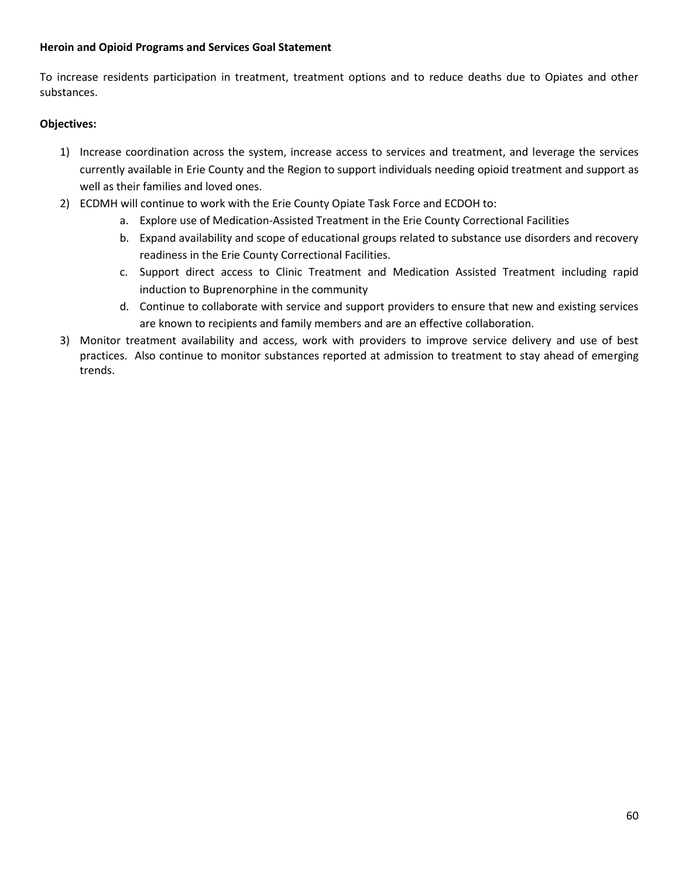#### **Heroin and Opioid Programs and Services Goal Statement**

To increase residents participation in treatment, treatment options and to reduce deaths due to Opiates and other substances.

#### **Objectives:**

- 1) Increase coordination across the system, increase access to services and treatment, and leverage the services currently available in Erie County and the Region to support individuals needing opioid treatment and support as well as their families and loved ones.
- 2) ECDMH will continue to work with the Erie County Opiate Task Force and ECDOH to:
	- a. Explore use of Medication-Assisted Treatment in the Erie County Correctional Facilities
	- b. Expand availability and scope of educational groups related to substance use disorders and recovery readiness in the Erie County Correctional Facilities.
	- c. Support direct access to Clinic Treatment and Medication Assisted Treatment including rapid induction to Buprenorphine in the community
	- d. Continue to collaborate with service and support providers to ensure that new and existing services are known to recipients and family members and are an effective collaboration.
- 3) Monitor treatment availability and access, work with providers to improve service delivery and use of best practices. Also continue to monitor substances reported at admission to treatment to stay ahead of emerging trends.